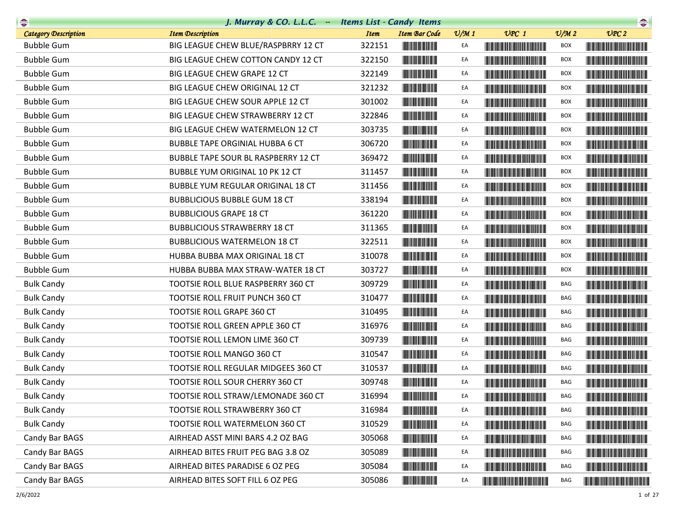|                             | J. Murray & CO. L.L.C. - Items List - Candy Items |                                        |                 |                                                                                                                                                                                                                                      |                             | $\begin{picture}(20,10) \put(0,0){\line(1,0){10}} \put(0,0){\line(1,0){10}} \put(0,0){\line(1,0){10}} \put(0,0){\line(1,0){10}} \put(0,0){\line(1,0){10}} \put(0,0){\line(1,0){10}} \put(0,0){\line(1,0){10}} \put(0,0){\line(1,0){10}} \put(0,0){\line(1,0){10}} \put(0,0){\line(1,0){10}} \put(0,0){\line(1,0){10}} \put(0,0){\line(1,0){10}} \put(0,$ |
|-----------------------------|---------------------------------------------------|----------------------------------------|-----------------|--------------------------------------------------------------------------------------------------------------------------------------------------------------------------------------------------------------------------------------|-----------------------------|----------------------------------------------------------------------------------------------------------------------------------------------------------------------------------------------------------------------------------------------------------------------------------------------------------------------------------------------------------|
| <b>Category Description</b> | <b>Item Description</b>                           | <b>Item</b><br><b>Item Bar Code</b>    | $\frac{v}{M}$ 1 | $UPC$ 1                                                                                                                                                                                                                              | $\mathcal{O}/\mathcal{M}$ 2 | UPC2                                                                                                                                                                                                                                                                                                                                                     |
| <b>Bubble Gum</b>           | BIG LEAGUE CHEW BLUE/RASPBRRY 12 CT               | 322151                                 | EA              |                                                                                                                                                                                                                                      | BOX                         |                                                                                                                                                                                                                                                                                                                                                          |
| <b>Bubble Gum</b>           | BIG LEAGUE CHEW COTTON CANDY 12 CT                | 322150                                 | EA              | <u> The Community of the Community of the Community of the Community of the Community of the Community of the Community of the Community of the Community of the Community of the Community of the Community of the Community of</u> | <b>BOX</b>                  |                                                                                                                                                                                                                                                                                                                                                          |
| <b>Bubble Gum</b>           | BIG LEAGUE CHEW GRAPE 12 CT                       | 322149                                 | EA              |                                                                                                                                                                                                                                      | <b>BOX</b>                  |                                                                                                                                                                                                                                                                                                                                                          |
| <b>Bubble Gum</b>           | BIG LEAGUE CHEW ORIGINAL 12 CT                    | 321232                                 | EA              |                                                                                                                                                                                                                                      | BOX                         | <u> Handi ka shekara ta 1989 ha</u>                                                                                                                                                                                                                                                                                                                      |
| <b>Bubble Gum</b>           | BIG LEAGUE CHEW SOUR APPLE 12 CT                  | 301002                                 | EA              |                                                                                                                                                                                                                                      | <b>BOX</b>                  |                                                                                                                                                                                                                                                                                                                                                          |
| <b>Bubble Gum</b>           | BIG LEAGUE CHEW STRAWBERRY 12 CT                  | 322846                                 | EA              |                                                                                                                                                                                                                                      | <b>BOX</b>                  |                                                                                                                                                                                                                                                                                                                                                          |
| <b>Bubble Gum</b>           | BIG LEAGUE CHEW WATERMELON 12 CT                  | 303735                                 | EA              |                                                                                                                                                                                                                                      | BOX                         |                                                                                                                                                                                                                                                                                                                                                          |
| <b>Bubble Gum</b>           | <b>BUBBLE TAPE ORGINIAL HUBBA 6 CT</b>            | 306720                                 | EA              |                                                                                                                                                                                                                                      | BOX                         |                                                                                                                                                                                                                                                                                                                                                          |
| <b>Bubble Gum</b>           | <b>BUBBLE TAPE SOUR BL RASPBERRY 12 CT</b>        | 369472                                 | EA              |                                                                                                                                                                                                                                      | <b>BOX</b>                  |                                                                                                                                                                                                                                                                                                                                                          |
| <b>Bubble Gum</b>           | BUBBLE YUM ORIGINAL 10 PK 12 CT                   | 311457<br><u> Liberal Maria San Ba</u> | EA              |                                                                                                                                                                                                                                      | <b>BOX</b>                  |                                                                                                                                                                                                                                                                                                                                                          |
| <b>Bubble Gum</b>           | BUBBLE YUM REGULAR ORIGINAL 18 CT                 | 311456                                 | EA              |                                                                                                                                                                                                                                      | <b>BOX</b>                  |                                                                                                                                                                                                                                                                                                                                                          |
| <b>Bubble Gum</b>           | <b>BUBBLICIOUS BUBBLE GUM 18 CT</b>               | 338194                                 | EA              | <u> Harris Barbara (Barbara) e de Al</u>                                                                                                                                                                                             | BOX                         |                                                                                                                                                                                                                                                                                                                                                          |
| <b>Bubble Gum</b>           | <b>BUBBLICIOUS GRAPE 18 CT</b>                    | 361220                                 | EA              | <u> Harris Barbara (Barbara) e de Al</u>                                                                                                                                                                                             | <b>BOX</b>                  |                                                                                                                                                                                                                                                                                                                                                          |
| <b>Bubble Gum</b>           | <b>BUBBLICIOUS STRAWBERRY 18 CT</b>               | 311365                                 | EA              | <u> Liberal Maria Maria Maria Maria Maria Maria Maria Maria Maria Maria Maria Maria Maria Maria Maria Maria Maria </u>                                                                                                               | <b>BOX</b>                  |                                                                                                                                                                                                                                                                                                                                                          |
| <b>Bubble Gum</b>           | <b>BUBBLICIOUS WATERMELON 18 CT</b>               | 322511                                 | EA              |                                                                                                                                                                                                                                      | BOX                         |                                                                                                                                                                                                                                                                                                                                                          |
| <b>Bubble Gum</b>           | HUBBA BUBBA MAX ORIGINAL 18 CT                    | 310078                                 | EA              |                                                                                                                                                                                                                                      | BOX                         | <b>The Community of the Community</b>                                                                                                                                                                                                                                                                                                                    |
| <b>Bubble Gum</b>           | HUBBA BUBBA MAX STRAW-WATER 18 CT                 | 303727                                 | EA              |                                                                                                                                                                                                                                      | <b>BOX</b>                  |                                                                                                                                                                                                                                                                                                                                                          |
| <b>Bulk Candy</b>           | TOOTSIE ROLL BLUE RASPBERRY 360 CT                | 309729                                 | EA              |                                                                                                                                                                                                                                      | BAG                         |                                                                                                                                                                                                                                                                                                                                                          |
| <b>Bulk Candy</b>           | TOOTSIE ROLL FRUIT PUNCH 360 CT                   | 310477                                 | EA              |                                                                                                                                                                                                                                      | BAG                         |                                                                                                                                                                                                                                                                                                                                                          |
| <b>Bulk Candy</b>           | TOOTSIE ROLL GRAPE 360 CT                         | 310495                                 | EA              | <u> Liberal Maria Maria San Barat III a shekara ta 1989 kuni a shekara ta 1989 kuni a shekara ta 1989 kuni a shekara ta 1989 kuni a shekara ta 1989 kuni a shekara ta 1989 kuni a shekara ta 1989 kuni a shekara ta 1989 kuni a </u> | BAG                         | <u> Harry Harry Harry Harry Harry Harry Harry Harry Harry Harry Harry Harry Harry Harry Harry Harry Harry Harry Harry Harry Harry Harry Harry Harry Harry Harry Harry Harry Harry Harry Harry Harry Harry Harry Harry Harry Harr</u>                                                                                                                     |
| <b>Bulk Candy</b>           | TOOTSIE ROLL GREEN APPLE 360 CT                   | 316976                                 | EA              | <u> Timbul Manazarta (</u>                                                                                                                                                                                                           | BAG                         |                                                                                                                                                                                                                                                                                                                                                          |
| <b>Bulk Candy</b>           | TOOTSIE ROLL LEMON LIME 360 CT                    | 309739                                 | EA              | <u> Harry Harry Harry Harry Harry Harry Harry Harry Harry Harry Harry Harry Harry Harry Harry Harry Harry Harry H</u>                                                                                                                | BAG                         |                                                                                                                                                                                                                                                                                                                                                          |
| <b>Bulk Candy</b>           | <b>TOOTSIE ROLL MANGO 360 CT</b>                  | 310547                                 | EA              |                                                                                                                                                                                                                                      | BAG                         |                                                                                                                                                                                                                                                                                                                                                          |
| <b>Bulk Candy</b>           | TOOTSIE ROLL REGULAR MIDGEES 360 CT               | 310537                                 | EA              |                                                                                                                                                                                                                                      | BAG                         |                                                                                                                                                                                                                                                                                                                                                          |
| <b>Bulk Candy</b>           | TOOTSIE ROLL SOUR CHERRY 360 CT                   | 309748                                 | EA              |                                                                                                                                                                                                                                      | <b>BAG</b>                  |                                                                                                                                                                                                                                                                                                                                                          |
| <b>Bulk Candy</b>           | TOOTSIE ROLL STRAW/LEMONADE 360 CT                | 316994                                 | EA              |                                                                                                                                                                                                                                      | BAG                         |                                                                                                                                                                                                                                                                                                                                                          |
| <b>Bulk Candy</b>           | TOOTSIE ROLL STRAWBERRY 360 CT                    | 316984                                 | EA              |                                                                                                                                                                                                                                      | BAG                         | <u> Harry Harry Harry Harry Harry Harry Harry Harry Harry Harry Harry Harry Harry Harry Harry Harry Harry Harry Harry Harry Harry Harry Harry Harry Harry Harry Harry Harry Harry Harry Harry Harry Harry Harry Harry Harry Harr</u>                                                                                                                     |
| <b>Bulk Candy</b>           | TOOTSIE ROLL WATERMELON 360 CT                    | 310529                                 | EA              |                                                                                                                                                                                                                                      | BAG                         |                                                                                                                                                                                                                                                                                                                                                          |
| Candy Bar BAGS              | AIRHEAD ASST MINI BARS 4.2 OZ BAG                 | 305068                                 | EA              |                                                                                                                                                                                                                                      | BAG                         | <b>The Committee of the Committee of the Committee</b>                                                                                                                                                                                                                                                                                                   |
| Candy Bar BAGS              | AIRHEAD BITES FRUIT PEG BAG 3.8 OZ                | 305089                                 | EA              | <u> Die Berger von Die Berger von Die Berger von Die Berger von Die Berger von Die Berger von Die Berger von Die B</u>                                                                                                               | BAG                         | <b>The Community of the Community</b>                                                                                                                                                                                                                                                                                                                    |
| Candy Bar BAGS              | AIRHEAD BITES PARADISE 6 OZ PEG                   | 305084                                 | EA              | <u> Harry Harry Harry Harry Harry Harry Harry Harry Harry Harry Harry Harry Harry Harry Harry Harry Harry Harry H</u>                                                                                                                | BAG                         |                                                                                                                                                                                                                                                                                                                                                          |
| Candy Bar BAGS              | AIRHEAD BITES SOFT FILL 6 OZ PEG                  | 305086                                 | EA              |                                                                                                                                                                                                                                      | BAG                         |                                                                                                                                                                                                                                                                                                                                                          |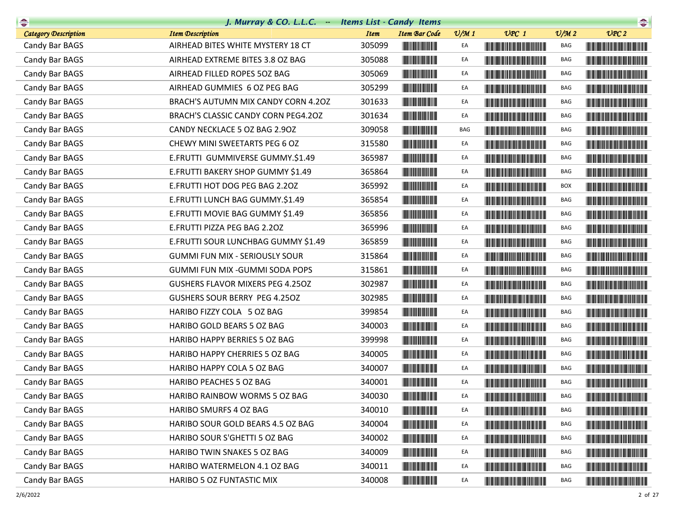| $\begin{picture}(20,10) \put(0,0){\line(1,0){10}} \put(10,0){\line(1,0){10}} \put(10,0){\line(1,0){10}} \put(10,0){\line(1,0){10}} \put(10,0){\line(1,0){10}} \put(10,0){\line(1,0){10}} \put(10,0){\line(1,0){10}} \put(10,0){\line(1,0){10}} \put(10,0){\line(1,0){10}} \put(10,0){\line(1,0){10}} \put(10,0){\line(1,0){10}} \put(10,0){\line(1$ | J. Murray & CO. L.L.C. - Items List - Candy Items |             |                                                                                                                                                                                                                                      |                 |                                                                                                                                                                                                                                      |                             |                                                        |
|-----------------------------------------------------------------------------------------------------------------------------------------------------------------------------------------------------------------------------------------------------------------------------------------------------------------------------------------------------|---------------------------------------------------|-------------|--------------------------------------------------------------------------------------------------------------------------------------------------------------------------------------------------------------------------------------|-----------------|--------------------------------------------------------------------------------------------------------------------------------------------------------------------------------------------------------------------------------------|-----------------------------|--------------------------------------------------------|
| <b>Category Description</b>                                                                                                                                                                                                                                                                                                                         | <b>Item Description</b>                           | <b>Item</b> | <b>Item Bar Code</b>                                                                                                                                                                                                                 | $\frac{v}{M}$ 1 | $UPC$ 1                                                                                                                                                                                                                              | $\mathcal{O}/\mathcal{M}$ 2 | UPC2                                                   |
| Candy Bar BAGS                                                                                                                                                                                                                                                                                                                                      | AIRHEAD BITES WHITE MYSTERY 18 CT                 | 305099      |                                                                                                                                                                                                                                      | EA              |                                                                                                                                                                                                                                      | BAG                         | <u> Harris Barbara (Barbara) e de la pro</u>           |
| Candy Bar BAGS                                                                                                                                                                                                                                                                                                                                      | AIRHEAD EXTREME BITES 3.8 OZ BAG                  | 305088      |                                                                                                                                                                                                                                      | EA              |                                                                                                                                                                                                                                      | BAG                         |                                                        |
| Candy Bar BAGS                                                                                                                                                                                                                                                                                                                                      | AIRHEAD FILLED ROPES 50Z BAG                      | 305069      |                                                                                                                                                                                                                                      | EA              |                                                                                                                                                                                                                                      | BAG                         |                                                        |
| Candy Bar BAGS                                                                                                                                                                                                                                                                                                                                      | AIRHEAD GUMMIES 6 OZ PEG BAG                      | 305299      |                                                                                                                                                                                                                                      | EA              |                                                                                                                                                                                                                                      | BAG                         | <b>The Committee of the Committee of the Committee</b> |
| Candy Bar BAGS                                                                                                                                                                                                                                                                                                                                      | BRACH'S AUTUMN MIX CANDY CORN 4.20Z               | 301633      |                                                                                                                                                                                                                                      | EA              |                                                                                                                                                                                                                                      | BAG                         |                                                        |
| Candy Bar BAGS                                                                                                                                                                                                                                                                                                                                      | BRACH'S CLASSIC CANDY CORN PEG4.20Z               | 301634      | <u> Indian Andrew Maria II</u>                                                                                                                                                                                                       | EA              | <b>The Committee of the Committee of the Committee</b>                                                                                                                                                                               | BAG                         |                                                        |
| Candy Bar BAGS                                                                                                                                                                                                                                                                                                                                      | CANDY NECKLACE 5 OZ BAG 2.90Z                     | 309058      |                                                                                                                                                                                                                                      | BAG             |                                                                                                                                                                                                                                      | BAG                         |                                                        |
| Candy Bar BAGS                                                                                                                                                                                                                                                                                                                                      | CHEWY MINI SWEETARTS PEG 6 OZ                     | 315580      |                                                                                                                                                                                                                                      | EA              | <u> Harry Harry Harry Harry Harry Harry Harry Harry Harry Harry Harry Harry Harry Harry Harry Harry Harry Harry Harry Harry Harry Harry Harry Harry Harry Harry Harry Harry Harry Harry Harry Harry Harry Harry Harry Harry Harr</u> | BAG                         |                                                        |
| Candy Bar BAGS                                                                                                                                                                                                                                                                                                                                      | E.FRUTTI GUMMIVERSE GUMMY.\$1.49                  | 365987      |                                                                                                                                                                                                                                      | EA              | <u> Harry Harry Harry Harry Harry Harry Harry Harry Harry Harry Harry Harry Harry Harry Harry Harry Harry Harry Harry Harry Harry Harry Harry Harry Harry Harry Harry Harry Harry Harry Harry Harry Harry Harry Harry Harry Harr</u> | BAG                         |                                                        |
| Candy Bar BAGS                                                                                                                                                                                                                                                                                                                                      | E.FRUTTI BAKERY SHOP GUMMY \$1.49                 | 365864      | <u> Indian Andrew Maria II</u>                                                                                                                                                                                                       | EA              |                                                                                                                                                                                                                                      | BAG                         |                                                        |
| Candy Bar BAGS                                                                                                                                                                                                                                                                                                                                      | E.FRUTTI HOT DOG PEG BAG 2.20Z                    | 365992      |                                                                                                                                                                                                                                      | EA              |                                                                                                                                                                                                                                      | <b>BOX</b>                  |                                                        |
| Candy Bar BAGS                                                                                                                                                                                                                                                                                                                                      | E.FRUTTI LUNCH BAG GUMMY.\$1.49                   | 365854      | <u> Indian Andrew Maria II</u>                                                                                                                                                                                                       | EA              |                                                                                                                                                                                                                                      | BAG                         |                                                        |
| Candy Bar BAGS                                                                                                                                                                                                                                                                                                                                      | E.FRUTTI MOVIE BAG GUMMY \$1.49                   | 365856      |                                                                                                                                                                                                                                      | EA              |                                                                                                                                                                                                                                      | BAG                         | <u> Hill in de Berger de Berger de Berger d</u>        |
| Candy Bar BAGS                                                                                                                                                                                                                                                                                                                                      | E.FRUTTI PIZZA PEG BAG 2.20Z                      | 365996      | <u> Indian American Indian A</u>                                                                                                                                                                                                     | EA              |                                                                                                                                                                                                                                      | BAG                         |                                                        |
| Candy Bar BAGS                                                                                                                                                                                                                                                                                                                                      | E.FRUTTI SOUR LUNCHBAG GUMMY \$1.49               | 365859      |                                                                                                                                                                                                                                      | EA              |                                                                                                                                                                                                                                      | BAG                         |                                                        |
| Candy Bar BAGS                                                                                                                                                                                                                                                                                                                                      | <b>GUMMI FUN MIX - SERIOUSLY SOUR</b>             | 315864      |                                                                                                                                                                                                                                      | EA              |                                                                                                                                                                                                                                      | BAG                         |                                                        |
| Candy Bar BAGS                                                                                                                                                                                                                                                                                                                                      | GUMMI FUN MIX - GUMMI SODA POPS                   | 315861      | <b>The Committee of the Committee of the Committee</b>                                                                                                                                                                               | EA              |                                                                                                                                                                                                                                      | BAG                         |                                                        |
| Candy Bar BAGS                                                                                                                                                                                                                                                                                                                                      | <b>GUSHERS FLAVOR MIXERS PEG 4.250Z</b>           | 302987      | <u> Herbert Herbert </u>                                                                                                                                                                                                             | EA              |                                                                                                                                                                                                                                      | BAG                         |                                                        |
| Candy Bar BAGS                                                                                                                                                                                                                                                                                                                                      | <b>GUSHERS SOUR BERRY PEG 4.250Z</b>              | 302985      |                                                                                                                                                                                                                                      | EA              |                                                                                                                                                                                                                                      | BAG                         |                                                        |
| Candy Bar BAGS                                                                                                                                                                                                                                                                                                                                      | HARIBO FIZZY COLA 5 OZ BAG                        | 399854      |                                                                                                                                                                                                                                      | EA              |                                                                                                                                                                                                                                      | BAG                         |                                                        |
| Candy Bar BAGS                                                                                                                                                                                                                                                                                                                                      | HARIBO GOLD BEARS 5 OZ BAG                        | 340003      | <b>The Community of the Community</b>                                                                                                                                                                                                | EA              |                                                                                                                                                                                                                                      | BAG                         |                                                        |
| Candy Bar BAGS                                                                                                                                                                                                                                                                                                                                      | HARIBO HAPPY BERRIES 5 OZ BAG                     | 399998      |                                                                                                                                                                                                                                      | EA              |                                                                                                                                                                                                                                      | BAG                         |                                                        |
| Candy Bar BAGS                                                                                                                                                                                                                                                                                                                                      | HARIBO HAPPY CHERRIES 5 OZ BAG                    | 340005      |                                                                                                                                                                                                                                      | EA              |                                                                                                                                                                                                                                      | BAG                         |                                                        |
| Candy Bar BAGS                                                                                                                                                                                                                                                                                                                                      | HARIBO HAPPY COLA 5 OZ BAG                        | 340007      |                                                                                                                                                                                                                                      | EA              |                                                                                                                                                                                                                                      | BAG                         |                                                        |
| Candy Bar BAGS                                                                                                                                                                                                                                                                                                                                      | HARIBO PEACHES 5 OZ BAG                           | 340001      | <u> The Barbara and The Barbara and The Barbara and The Barbara and The Barbara and The Barbara and The Barbara and The Barbara and The Barbara and The Barbara and The Barbara and The Barbara and The Barbara and The Barbara </u> | EA              |                                                                                                                                                                                                                                      | BAG                         |                                                        |
| Candy Bar BAGS                                                                                                                                                                                                                                                                                                                                      | HARIBO RAINBOW WORMS 5 OZ BAG                     | 340030      |                                                                                                                                                                                                                                      | EA              |                                                                                                                                                                                                                                      | BAG                         |                                                        |
| Candy Bar BAGS                                                                                                                                                                                                                                                                                                                                      | HARIBO SMURFS 4 OZ BAG                            | 340010      |                                                                                                                                                                                                                                      | EA              | <b>The Community of the Community</b>                                                                                                                                                                                                | BAG                         |                                                        |
| Candy Bar BAGS                                                                                                                                                                                                                                                                                                                                      | HARIBO SOUR GOLD BEARS 4.5 OZ BAG                 | 340004      |                                                                                                                                                                                                                                      | EA              |                                                                                                                                                                                                                                      | BAG                         |                                                        |
| Candy Bar BAGS                                                                                                                                                                                                                                                                                                                                      | HARIBO SOUR S'GHETTI 5 OZ BAG                     | 340002      | <u> Indian Maria San Ind</u>                                                                                                                                                                                                         | EA              | <u> Harry Harry Harry Harry Harry Harry Harry Harry Harry Harry Harry Harry Harry Harry Harry Harry Harry Harry Harry Harry Harry Harry Harry Harry Harry Harry Harry Harry Harry Harry Harry Harry Harry Harry Harry Harry Harr</u> | BAG                         |                                                        |
| Candy Bar BAGS                                                                                                                                                                                                                                                                                                                                      | HARIBO TWIN SNAKES 5 OZ BAG                       | 340009      |                                                                                                                                                                                                                                      | EA              | <b>CONTRACTOR</b>                                                                                                                                                                                                                    | BAG                         |                                                        |
| Candy Bar BAGS                                                                                                                                                                                                                                                                                                                                      | HARIBO WATERMELON 4.1 OZ BAG                      | 340011      | <u> Herbert Herbert in der Entschaft</u>                                                                                                                                                                                             | EA              | <b>The Community of the Community</b>                                                                                                                                                                                                | BAG                         |                                                        |
| Candy Bar BAGS                                                                                                                                                                                                                                                                                                                                      | HARIBO 5 OZ FUNTASTIC MIX                         | 340008      | <u> Indian Maria San Ba</u>                                                                                                                                                                                                          | EA              |                                                                                                                                                                                                                                      | BAG                         |                                                        |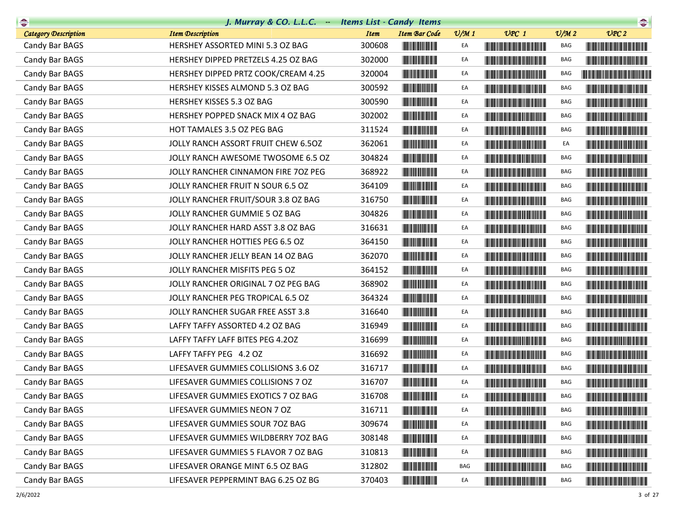| $\begin{picture}(20,10) \put(0,0){\line(1,0){10}} \put(10,0){\line(1,0){10}} \put(10,0){\line(1,0){10}} \put(10,0){\line(1,0){10}} \put(10,0){\line(1,0){10}} \put(10,0){\line(1,0){10}} \put(10,0){\line(1,0){10}} \put(10,0){\line(1,0){10}} \put(10,0){\line(1,0){10}} \put(10,0){\line(1,0){10}} \put(10,0){\line(1,0){10}} \put(10,0){\line(1$ | J. Murray & CO. L.L.C. - Items List - Candy Items |             |                                                                                                                       |                 |                                                                                                                                                                                                                                      |                             | $\begin{picture}(20,10) \put(0,0){\line(1,0){10}} \put(10,0){\line(1,0){10}} \put(10,0){\line(1,0){10}} \put(10,0){\line(1,0){10}} \put(10,0){\line(1,0){10}} \put(10,0){\line(1,0){10}} \put(10,0){\line(1,0){10}} \put(10,0){\line(1,0){10}} \put(10,0){\line(1,0){10}} \put(10,0){\line(1,0){10}} \put(10,0){\line(1,0){10}} \put(10,0){\line(1$ |
|-----------------------------------------------------------------------------------------------------------------------------------------------------------------------------------------------------------------------------------------------------------------------------------------------------------------------------------------------------|---------------------------------------------------|-------------|-----------------------------------------------------------------------------------------------------------------------|-----------------|--------------------------------------------------------------------------------------------------------------------------------------------------------------------------------------------------------------------------------------|-----------------------------|-----------------------------------------------------------------------------------------------------------------------------------------------------------------------------------------------------------------------------------------------------------------------------------------------------------------------------------------------------|
| <b>Category Description</b>                                                                                                                                                                                                                                                                                                                         | <b>Item Description</b>                           | <b>Item</b> | <b>Item Bar Code</b>                                                                                                  | $\frac{v}{M}$ 1 | $UPC$ 1                                                                                                                                                                                                                              | $\mathcal{O}/\mathcal{M}$ 2 | UPC2                                                                                                                                                                                                                                                                                                                                                |
| Candy Bar BAGS                                                                                                                                                                                                                                                                                                                                      | HERSHEY ASSORTED MINI 5.3 OZ BAG                  | 300608      |                                                                                                                       | EA              |                                                                                                                                                                                                                                      | BAG                         |                                                                                                                                                                                                                                                                                                                                                     |
| Candy Bar BAGS                                                                                                                                                                                                                                                                                                                                      | HERSHEY DIPPED PRETZELS 4.25 OZ BAG               | 302000      |                                                                                                                       | EA              | <u> Harry Harry Harry Harry Harry Harry Harry Harry Harry Harry Harry Harry Harry Harry Harry Harry Harry Harry H</u>                                                                                                                | BAG                         |                                                                                                                                                                                                                                                                                                                                                     |
| Candy Bar BAGS                                                                                                                                                                                                                                                                                                                                      | HERSHEY DIPPED PRTZ COOK/CREAM 4.25               | 320004      |                                                                                                                       | EA              |                                                                                                                                                                                                                                      | <b>BAG</b>                  | <u> Literatura de la contrada de la contrada de la con</u>                                                                                                                                                                                                                                                                                          |
| Candy Bar BAGS                                                                                                                                                                                                                                                                                                                                      | HERSHEY KISSES ALMOND 5.3 OZ BAG                  | 300592      |                                                                                                                       | EA              |                                                                                                                                                                                                                                      | BAG                         |                                                                                                                                                                                                                                                                                                                                                     |
| Candy Bar BAGS                                                                                                                                                                                                                                                                                                                                      | HERSHEY KISSES 5.3 OZ BAG                         | 300590      |                                                                                                                       | EA              |                                                                                                                                                                                                                                      | BAG                         |                                                                                                                                                                                                                                                                                                                                                     |
| Candy Bar BAGS                                                                                                                                                                                                                                                                                                                                      | HERSHEY POPPED SNACK MIX 4 OZ BAG                 | 302002      | <u> Indian Andrew Maria II</u>                                                                                        | EA              | <u> Timba ka matsayin ka matsayin ka matsayin ka matsayin ka matsayin ka matsayin ka matsayin ka matsayin ka matsayin ka matsayin ka matsayin ka matsayin ka matsayin ka matsayin ka matsayin ka matsayin ka matsayin ka matsayi</u> | BAG                         |                                                                                                                                                                                                                                                                                                                                                     |
| Candy Bar BAGS                                                                                                                                                                                                                                                                                                                                      | HOT TAMALES 3.5 OZ PEG BAG                        | 311524      |                                                                                                                       | EA              |                                                                                                                                                                                                                                      | BAG                         | <u> The Common School and The Common School and</u>                                                                                                                                                                                                                                                                                                 |
| Candy Bar BAGS                                                                                                                                                                                                                                                                                                                                      | JOLLY RANCH ASSORT FRUIT CHEW 6.50Z               | 362061      |                                                                                                                       | EA              |                                                                                                                                                                                                                                      | EA                          |                                                                                                                                                                                                                                                                                                                                                     |
| Candy Bar BAGS                                                                                                                                                                                                                                                                                                                                      | JOLLY RANCH AWESOME TWOSOME 6.5 OZ                | 304824      |                                                                                                                       | EA              | <u> The Community of the Community of the Community of the Community of the Community of the Community of the Community of the Community of the Community of the Community of the Community of the Community of the Community of</u> | BAG                         |                                                                                                                                                                                                                                                                                                                                                     |
| Candy Bar BAGS                                                                                                                                                                                                                                                                                                                                      | JOLLY RANCHER CINNAMON FIRE 70Z PEG               | 368922      |                                                                                                                       | EA              |                                                                                                                                                                                                                                      | BAG                         |                                                                                                                                                                                                                                                                                                                                                     |
| Candy Bar BAGS                                                                                                                                                                                                                                                                                                                                      | JOLLY RANCHER FRUIT N SOUR 6.5 OZ                 | 364109      |                                                                                                                       | EA              |                                                                                                                                                                                                                                      | BAG                         |                                                                                                                                                                                                                                                                                                                                                     |
| Candy Bar BAGS                                                                                                                                                                                                                                                                                                                                      | JOLLY RANCHER FRUIT/SOUR 3.8 OZ BAG               | 316750      | <u> Indian American Indian Indian Indian Indian Indian Indian Indian Indian Indian Indian Indian Indian Indian In</u> | EA              |                                                                                                                                                                                                                                      | BAG                         |                                                                                                                                                                                                                                                                                                                                                     |
| Candy Bar BAGS                                                                                                                                                                                                                                                                                                                                      | JOLLY RANCHER GUMMIE 5 OZ BAG                     | 304826      | <b>The Common Service</b>                                                                                             | EA              |                                                                                                                                                                                                                                      | BAG                         |                                                                                                                                                                                                                                                                                                                                                     |
| Candy Bar BAGS                                                                                                                                                                                                                                                                                                                                      | JOLLY RANCHER HARD ASST 3.8 OZ BAG                | 316631      |                                                                                                                       | EA              | <u> Harris Harris Harris Harris Harris Harris Harris Harris Harris Harris Harris Harris Harris Harris Harris Harris Harris Harris Harris Harris Harris Harris Harris Harris Harris Harris Harris Harris Harris Harris Harris Har</u> | BAG                         |                                                                                                                                                                                                                                                                                                                                                     |
| Candy Bar BAGS                                                                                                                                                                                                                                                                                                                                      | JOLLY RANCHER HOTTIES PEG 6.5 OZ                  | 364150      |                                                                                                                       | EA              |                                                                                                                                                                                                                                      | BAG                         | <b>The Common Service Common Service</b>                                                                                                                                                                                                                                                                                                            |
| Candy Bar BAGS                                                                                                                                                                                                                                                                                                                                      | JOLLY RANCHER JELLY BEAN 14 OZ BAG                | 362070      |                                                                                                                       | EA              |                                                                                                                                                                                                                                      | BAG                         |                                                                                                                                                                                                                                                                                                                                                     |
| Candy Bar BAGS                                                                                                                                                                                                                                                                                                                                      | JOLLY RANCHER MISFITS PEG 5 OZ                    | 364152      | <b>The Common Service Common</b>                                                                                      | EA              |                                                                                                                                                                                                                                      | BAG                         |                                                                                                                                                                                                                                                                                                                                                     |
| Candy Bar BAGS                                                                                                                                                                                                                                                                                                                                      | JOLLY RANCHER ORIGINAL 7 OZ PEG BAG               | 368902      |                                                                                                                       | EA              |                                                                                                                                                                                                                                      | BAG                         |                                                                                                                                                                                                                                                                                                                                                     |
| Candy Bar BAGS                                                                                                                                                                                                                                                                                                                                      | JOLLY RANCHER PEG TROPICAL 6.5 OZ                 | 364324      |                                                                                                                       | EA              |                                                                                                                                                                                                                                      | BAG                         |                                                                                                                                                                                                                                                                                                                                                     |
| Candy Bar BAGS                                                                                                                                                                                                                                                                                                                                      | JOLLY RANCHER SUGAR FREE ASST 3.8                 | 316640      |                                                                                                                       | EA              |                                                                                                                                                                                                                                      | BAG                         |                                                                                                                                                                                                                                                                                                                                                     |
| Candy Bar BAGS                                                                                                                                                                                                                                                                                                                                      | LAFFY TAFFY ASSORTED 4.2 OZ BAG                   | 316949      |                                                                                                                       | EA              |                                                                                                                                                                                                                                      | BAG                         |                                                                                                                                                                                                                                                                                                                                                     |
| Candy Bar BAGS                                                                                                                                                                                                                                                                                                                                      | LAFFY TAFFY LAFF BITES PEG 4.20Z                  | 316699      |                                                                                                                       | EA              |                                                                                                                                                                                                                                      | BAG                         |                                                                                                                                                                                                                                                                                                                                                     |
| Candy Bar BAGS                                                                                                                                                                                                                                                                                                                                      | LAFFY TAFFY PEG 4.2 OZ                            | 316692      |                                                                                                                       | EA              |                                                                                                                                                                                                                                      | BAG                         |                                                                                                                                                                                                                                                                                                                                                     |
| Candy Bar BAGS                                                                                                                                                                                                                                                                                                                                      | LIFESAVER GUMMIES COLLISIONS 3.6 OZ               | 316717      |                                                                                                                       | EA              |                                                                                                                                                                                                                                      | BAG                         |                                                                                                                                                                                                                                                                                                                                                     |
| Candy Bar BAGS                                                                                                                                                                                                                                                                                                                                      | LIFESAVER GUMMIES COLLISIONS 7 OZ                 | 316707      | <b>The Committee of the Committee of the Committee</b>                                                                | EA              |                                                                                                                                                                                                                                      | BAG                         |                                                                                                                                                                                                                                                                                                                                                     |
| Candy Bar BAGS                                                                                                                                                                                                                                                                                                                                      | LIFESAVER GUMMIES EXOTICS 7 OZ BAG                | 316708      | <b>THE REAL PROPERTY</b>                                                                                              | EA              |                                                                                                                                                                                                                                      | BAG                         |                                                                                                                                                                                                                                                                                                                                                     |
| Candy Bar BAGS                                                                                                                                                                                                                                                                                                                                      | LIFESAVER GUMMIES NEON 7 OZ                       | 316711      |                                                                                                                       | EA              | <u> The Community of the Community of the Community of the Community of the Community of the Community of the Community of the Community of the Community of the Community of the Community of the Community of the Community of</u> | BAG                         |                                                                                                                                                                                                                                                                                                                                                     |
| Candy Bar BAGS                                                                                                                                                                                                                                                                                                                                      | LIFESAVER GUMMIES SOUR 70Z BAG                    | 309674      | <u> Indian Andrew Maria II</u>                                                                                        | EA              | <u> Liberal Maria Maria Maria Maria Maria Maria Maria Maria Maria Maria Maria Maria Maria Maria Maria Maria Maria </u>                                                                                                               | BAG                         |                                                                                                                                                                                                                                                                                                                                                     |
| Candy Bar BAGS                                                                                                                                                                                                                                                                                                                                      | LIFESAVER GUMMIES WILDBERRY 70Z BAG               | 308148      |                                                                                                                       | EA              | <u> Liberal Maria de la contrada de la contrada de la contrada de la contrada de la contrada de la con</u>                                                                                                                           | BAG                         |                                                                                                                                                                                                                                                                                                                                                     |
| Candy Bar BAGS                                                                                                                                                                                                                                                                                                                                      | LIFESAVER GUMMIES 5 FLAVOR 7 OZ BAG               | 310813      |                                                                                                                       | EA              | <u> Linda ka masang mga kalendari ng mga kalendari ng mga kalendari ng mga kalendari ng mga kalendari ng mga kalendari ng mga kalendari ng mga kalendari ng mga kalendari ng mga kalendari ng mga kalendari ng mga kalendari ng </u> | BAG                         |                                                                                                                                                                                                                                                                                                                                                     |
| Candy Bar BAGS                                                                                                                                                                                                                                                                                                                                      | LIFESAVER ORANGE MINT 6.5 OZ BAG                  | 312802      |                                                                                                                       | BAG             | <u> Liberal Maria de la contrada de la contrada de la contrada de la contrada de la contrada de la con</u>                                                                                                                           | BAG                         | <u> Linda ka masa sa kasang mga kalendari ng mga katalog ng mga kalendari ng mga kalendari ng mga kalendari ng mga kalendari ng mga kalendari ng mga kalendari ng mga kalendari ng mga kalendari ng mga kalendari ng mga kalenda</u>                                                                                                                |
| Candy Bar BAGS                                                                                                                                                                                                                                                                                                                                      | LIFESAVER PEPPERMINT BAG 6.25 OZ BG               | 370403      |                                                                                                                       | EA              |                                                                                                                                                                                                                                      | BAG                         | <u> Harry Harry Harry Harry Harry Harry Harry Harry Harry Harry Harry Harry Harry Harry Harry Harry Harry Harry H</u>                                                                                                                                                                                                                               |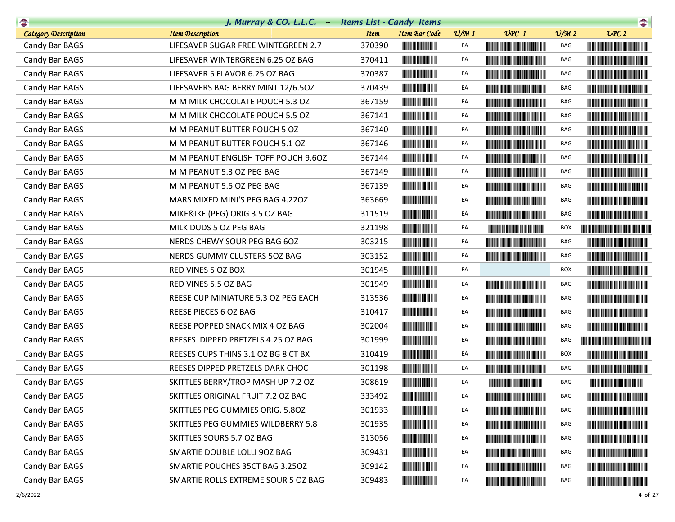| $\begin{picture}(20,10) \put(0,0){\line(1,0){10}} \put(10,0){\line(1,0){10}} \put(10,0){\line(1,0){10}} \put(10,0){\line(1,0){10}} \put(10,0){\line(1,0){10}} \put(10,0){\line(1,0){10}} \put(10,0){\line(1,0){10}} \put(10,0){\line(1,0){10}} \put(10,0){\line(1,0){10}} \put(10,0){\line(1,0){10}} \put(10,0){\line(1,0){10}} \put(10,0){\line(1$ | J. Murray & CO. L.L.C. - Items List - Candy Items |             |                                          |                 |                                                                                                                                                                                                                                      |                             |                                                                                                                                                                                                                                      |
|-----------------------------------------------------------------------------------------------------------------------------------------------------------------------------------------------------------------------------------------------------------------------------------------------------------------------------------------------------|---------------------------------------------------|-------------|------------------------------------------|-----------------|--------------------------------------------------------------------------------------------------------------------------------------------------------------------------------------------------------------------------------------|-----------------------------|--------------------------------------------------------------------------------------------------------------------------------------------------------------------------------------------------------------------------------------|
| <b>Category Description</b>                                                                                                                                                                                                                                                                                                                         | <b>Item Description</b>                           | <b>Item</b> | <b>Item Bar Code</b>                     | $\frac{v}{M}$ 1 | $UPC$ 1                                                                                                                                                                                                                              | $\mathcal{O}/\mathcal{M}$ 2 | UPC2                                                                                                                                                                                                                                 |
| Candy Bar BAGS                                                                                                                                                                                                                                                                                                                                      | LIFESAVER SUGAR FREE WINTEGREEN 2.7               | 370390      |                                          | EA              |                                                                                                                                                                                                                                      | BAG                         |                                                                                                                                                                                                                                      |
| Candy Bar BAGS                                                                                                                                                                                                                                                                                                                                      | LIFESAVER WINTERGREEN 6.25 OZ BAG                 | 370411      |                                          | EA              | <u> Harry Harry Harry Harry Harry Harry Harry Harry Harry Harry Harry Harry Harry Harry Harry Harry Harry Harry Harry Harry Harry Harry Harry Harry Harry Harry Harry Harry Harry Harry Harry Harry Harry Harry Harry Harry Harr</u> | BAG                         |                                                                                                                                                                                                                                      |
| Candy Bar BAGS                                                                                                                                                                                                                                                                                                                                      | LIFESAVER 5 FLAVOR 6.25 OZ BAG                    | 370387      |                                          | EA              |                                                                                                                                                                                                                                      | BAG                         |                                                                                                                                                                                                                                      |
| Candy Bar BAGS                                                                                                                                                                                                                                                                                                                                      | LIFESAVERS BAG BERRY MINT 12/6.50Z                | 370439      |                                          | EA              | <u> The Community of the Community of the Community of the Community of the Community of the Community of the Community of the Community of the Community of the Community of the Community of the Community of the Community of</u> | BAG                         |                                                                                                                                                                                                                                      |
| Candy Bar BAGS                                                                                                                                                                                                                                                                                                                                      | M M MILK CHOCOLATE POUCH 5.3 OZ                   | 367159      | <b>The Common Service</b>                | EA              | <b>The Community of the Community</b>                                                                                                                                                                                                | BAG                         |                                                                                                                                                                                                                                      |
| Candy Bar BAGS                                                                                                                                                                                                                                                                                                                                      | M M MILK CHOCOLATE POUCH 5.5 OZ                   | 367141      | <u> III de la contrada de la con</u>     | EA              |                                                                                                                                                                                                                                      | BAG                         |                                                                                                                                                                                                                                      |
| Candy Bar BAGS                                                                                                                                                                                                                                                                                                                                      | M M PEANUT BUTTER POUCH 5 OZ                      | 367140      |                                          | EA              |                                                                                                                                                                                                                                      | BAG                         |                                                                                                                                                                                                                                      |
| Candy Bar BAGS                                                                                                                                                                                                                                                                                                                                      | M M PEANUT BUTTER POUCH 5.1 OZ                    | 367146      | <b>The Community</b>                     | EA              |                                                                                                                                                                                                                                      | BAG                         |                                                                                                                                                                                                                                      |
| Candy Bar BAGS                                                                                                                                                                                                                                                                                                                                      | M M PEANUT ENGLISH TOFF POUCH 9.6OZ               | 367144      |                                          | EA              | <u> Timba ka masa sa kasang mga kalendari ng mga kalendari ng mga kalendari ng mga kalendari ng mga kalendari ng </u>                                                                                                                | BAG                         | <u> Harry Harry Harry Harry Harry Harry Harry Harry Harry Harry Harry Harry Harry Harry Harry Harry Harry Harry Harry Harry Harry Harry Harry Harry Harry Harry Harry Harry Harry Harry Harry Harry Harry Harry Harry Harry Harr</u> |
| Candy Bar BAGS                                                                                                                                                                                                                                                                                                                                      | M M PEANUT 5.3 OZ PEG BAG                         | 367149      | <u> Indian Andrew Maria II</u>           | EA              |                                                                                                                                                                                                                                      | BAG                         |                                                                                                                                                                                                                                      |
| Candy Bar BAGS                                                                                                                                                                                                                                                                                                                                      | M M PEANUT 5.5 OZ PEG BAG                         | 367139      |                                          | EA              | <b>The Community of the Community</b>                                                                                                                                                                                                | BAG                         |                                                                                                                                                                                                                                      |
| Candy Bar BAGS                                                                                                                                                                                                                                                                                                                                      | MARS MIXED MINI'S PEG BAG 4.220Z                  | 363669      |                                          | EA              | <b>The Common Section</b>                                                                                                                                                                                                            | BAG                         |                                                                                                                                                                                                                                      |
| Candy Bar BAGS                                                                                                                                                                                                                                                                                                                                      | MIKE&IKE (PEG) ORIG 3.5 OZ BAG                    | 311519      | <b>The Common Service Common</b>         | EA              |                                                                                                                                                                                                                                      | BAG                         |                                                                                                                                                                                                                                      |
| Candy Bar BAGS                                                                                                                                                                                                                                                                                                                                      | MILK DUDS 5 OZ PEG BAG                            | 321198      |                                          | EA              | <u> Herbert Herbert in der Erste der Erste der Erste der Erste der Erste der Erste der Erste der Erste der Erste </u>                                                                                                                | BOX                         |                                                                                                                                                                                                                                      |
| Candy Bar BAGS                                                                                                                                                                                                                                                                                                                                      | NERDS CHEWY SOUR PEG BAG 6OZ                      | 303215      |                                          | EA              | <b>The Common Section</b>                                                                                                                                                                                                            | BAG                         |                                                                                                                                                                                                                                      |
| Candy Bar BAGS                                                                                                                                                                                                                                                                                                                                      | NERDS GUMMY CLUSTERS 50Z BAG                      | 303152      |                                          | EA              |                                                                                                                                                                                                                                      | BAG                         |                                                                                                                                                                                                                                      |
| Candy Bar BAGS                                                                                                                                                                                                                                                                                                                                      | RED VINES 5 OZ BOX                                | 301945      | <u> Indian Andrew Maria II</u>           | EA              |                                                                                                                                                                                                                                      | BOX                         | <b>The Community of the Community</b>                                                                                                                                                                                                |
| Candy Bar BAGS                                                                                                                                                                                                                                                                                                                                      | RED VINES 5.5 OZ BAG                              | 301949      | <u> Indian Andrew Maria I</u>            | EA              |                                                                                                                                                                                                                                      | BAG                         | <u> Liberal Maria San Barat da Ba</u>                                                                                                                                                                                                |
| Candy Bar BAGS                                                                                                                                                                                                                                                                                                                                      | REESE CUP MINIATURE 5.3 OZ PEG EACH               | 313536      |                                          | EA              |                                                                                                                                                                                                                                      | BAG                         |                                                                                                                                                                                                                                      |
| Candy Bar BAGS                                                                                                                                                                                                                                                                                                                                      | REESE PIECES 6 OZ BAG                             | 310417      |                                          | EA              | <b>The Committee of the Committee of the Committee of the Committee of the Committee</b>                                                                                                                                             | BAG                         |                                                                                                                                                                                                                                      |
| Candy Bar BAGS                                                                                                                                                                                                                                                                                                                                      | REESE POPPED SNACK MIX 4 OZ BAG                   | 302004      | <u> Herbert Herbert in der Entschaft</u> | EA              |                                                                                                                                                                                                                                      | BAG                         |                                                                                                                                                                                                                                      |
| Candy Bar BAGS                                                                                                                                                                                                                                                                                                                                      | REESES DIPPED PRETZELS 4.25 OZ BAG                | 301999      |                                          | EA              |                                                                                                                                                                                                                                      | BAG                         |                                                                                                                                                                                                                                      |
| Candy Bar BAGS                                                                                                                                                                                                                                                                                                                                      | REESES CUPS THINS 3.1 OZ BG 8 CT BX               | 310419      |                                          | EA              | <b>The Committee of the Committee of the Committee</b>                                                                                                                                                                               | <b>BOX</b>                  |                                                                                                                                                                                                                                      |
| Candy Bar BAGS                                                                                                                                                                                                                                                                                                                                      | REESES DIPPED PRETZELS DARK CHOC                  | 301198      | <b>The Common</b>                        | EA              |                                                                                                                                                                                                                                      | BAG                         |                                                                                                                                                                                                                                      |
| Candy Bar BAGS                                                                                                                                                                                                                                                                                                                                      | SKITTLES BERRY/TROP MASH UP 7.2 OZ                | 308619      |                                          | EA              |                                                                                                                                                                                                                                      | BAG                         | <u> The Community of the Community of the Community of the Community of the Community of the Community of the Community of the Community of the Community of the Community of the Community of the Community of the Community of</u> |
| Candy Bar BAGS                                                                                                                                                                                                                                                                                                                                      | SKITTLES ORIGINAL FRUIT 7.2 OZ BAG                | 333492      |                                          | EA              |                                                                                                                                                                                                                                      | BAG                         |                                                                                                                                                                                                                                      |
| Candy Bar BAGS                                                                                                                                                                                                                                                                                                                                      | SKITTLES PEG GUMMIES ORIG. 5.80Z                  | 301933      |                                          | EA              | <u> Liberal Maria Maria Maria Maria Maria Maria Maria Maria Maria Maria Maria Maria Maria Maria Maria Maria Maria </u>                                                                                                               | BAG                         | <u> Liberal Maria Maria Maria Maria Maria Maria Maria Maria Maria Maria Maria Maria Maria Maria Maria Maria Maria </u>                                                                                                               |
| Candy Bar BAGS                                                                                                                                                                                                                                                                                                                                      | SKITTLES PEG GUMMIES WILDBERRY 5.8                | 301935      |                                          | EA              | <u> Harry Harry Harry Harry Harry Harry Harry Harry Harry Harry Harry Harry Harry Harry Harry Harry Harry Harry Harry Harry Harry Harry Harry Harry Harry Harry Harry Harry Harry Harry Harry Harry Harry Harry Harry Harry Harr</u> | BAG                         |                                                                                                                                                                                                                                      |
| Candy Bar BAGS                                                                                                                                                                                                                                                                                                                                      | SKITTLES SOURS 5.7 OZ BAG                         | 313056      |                                          | EA              | <u> Timba ka matsayin ka matsayin ka matsayin ka matsayin ka matsayin ka matsayin ka matsayin ka matsayin ka matsayin ka matsayin ka matsayin ka matsayin ka matsayin ka matsayin ka matsayin ka matsayin ka matsayin ka matsayi</u> | BAG                         | <b>The Community of the Community</b>                                                                                                                                                                                                |
| Candy Bar BAGS                                                                                                                                                                                                                                                                                                                                      | SMARTIE DOUBLE LOLLI 90Z BAG                      | 309431      |                                          | EA              | <u> Timba kasa kasang kasang kasang kasang kasang kasang kasang kasang kasang kasang kasang kasang kasang kasang kasang kasang kasang kasang kasang kasang kasang kasang kasang kasang kasang kasang kasang kasang kasang kasang</u> | BAG                         |                                                                                                                                                                                                                                      |
| Candy Bar BAGS                                                                                                                                                                                                                                                                                                                                      | SMARTIE POUCHES 35CT BAG 3.25OZ                   | 309142      |                                          | EA              | <u> Harry Harry Harry Harry Harry Harry Harry Harry Harry Harry Harry Harry Harry Harry Harry Harry Harry Harry Harry Harry Harry Harry Harry Harry Harry Harry Harry Harry Harry Harry Harry Harry Harry Harry Harry Harry Harr</u> | BAG                         |                                                                                                                                                                                                                                      |
| Candy Bar BAGS                                                                                                                                                                                                                                                                                                                                      | SMARTIE ROLLS EXTREME SOUR 5 OZ BAG               | 309483      |                                          | EA              |                                                                                                                                                                                                                                      | BAG                         |                                                                                                                                                                                                                                      |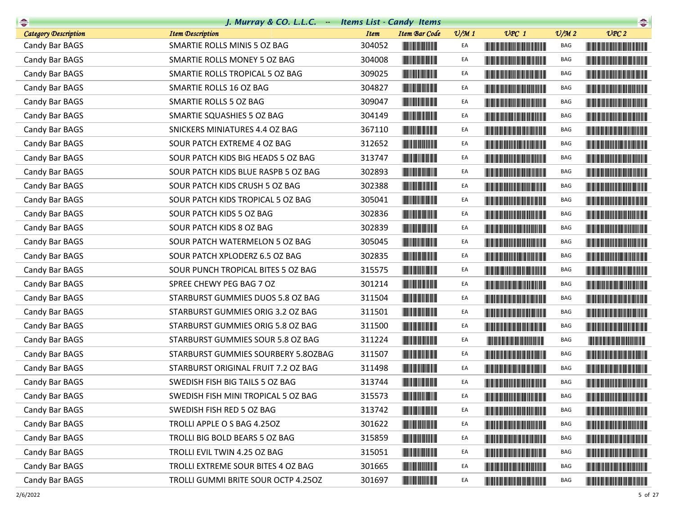| $\begin{picture}(20,10) \put(0,0){\line(1,0){10}} \put(10,0){\line(1,0){10}} \put(10,0){\line(1,0){10}} \put(10,0){\line(1,0){10}} \put(10,0){\line(1,0){10}} \put(10,0){\line(1,0){10}} \put(10,0){\line(1,0){10}} \put(10,0){\line(1,0){10}} \put(10,0){\line(1,0){10}} \put(10,0){\line(1,0){10}} \put(10,0){\line(1,0){10}} \put(10,0){\line(1$ | J. Murray & CO. L.L.C. - Items List - Candy Items |             |                                                                                                                       |                 |                                                                                                                                                                                                                                      |                             |                                                                                                                                                                                                                                      |
|-----------------------------------------------------------------------------------------------------------------------------------------------------------------------------------------------------------------------------------------------------------------------------------------------------------------------------------------------------|---------------------------------------------------|-------------|-----------------------------------------------------------------------------------------------------------------------|-----------------|--------------------------------------------------------------------------------------------------------------------------------------------------------------------------------------------------------------------------------------|-----------------------------|--------------------------------------------------------------------------------------------------------------------------------------------------------------------------------------------------------------------------------------|
| <b>Category Description</b>                                                                                                                                                                                                                                                                                                                         | <b>Item Description</b>                           | <b>Item</b> | <b>Item Bar Code</b>                                                                                                  | $\frac{v}{M}$ 1 | $UPC$ 1                                                                                                                                                                                                                              | $\mathcal{O}/\mathcal{M}$ 2 | UPC2                                                                                                                                                                                                                                 |
| Candy Bar BAGS                                                                                                                                                                                                                                                                                                                                      | SMARTIE ROLLS MINIS 5 OZ BAG                      | 304052      |                                                                                                                       | EA              | <u> Harat Barat Barat Barat Barat Barat Barat Barat Barat Barat Barat Barat Barat Barat Barat Barat Barat Barat Barat Barat Barat Barat Barat Barat Barat Barat Barat Barat Barat Barat Barat Barat Barat Barat Barat Barat Bara</u> | BAG                         |                                                                                                                                                                                                                                      |
| Candy Bar BAGS                                                                                                                                                                                                                                                                                                                                      | SMARTIE ROLLS MONEY 5 OZ BAG                      | 304008      | <u> Indian Maria San Ba</u>                                                                                           | EA              | <u> Liberal Maria Maria Maria Maria Maria Maria Maria Maria Maria Maria Maria Maria Maria Maria Maria Maria Maria </u>                                                                                                               | BAG                         |                                                                                                                                                                                                                                      |
| Candy Bar BAGS                                                                                                                                                                                                                                                                                                                                      | SMARTIE ROLLS TROPICAL 5 OZ BAG                   | 309025      |                                                                                                                       | EA              |                                                                                                                                                                                                                                      | BAG                         |                                                                                                                                                                                                                                      |
| Candy Bar BAGS                                                                                                                                                                                                                                                                                                                                      | SMARTIE ROLLS 16 OZ BAG                           | 304827      |                                                                                                                       | EA              |                                                                                                                                                                                                                                      | BAG                         |                                                                                                                                                                                                                                      |
| Candy Bar BAGS                                                                                                                                                                                                                                                                                                                                      | SMARTIE ROLLS 5 OZ BAG                            | 309047      | <u> Herman Barbara (</u>                                                                                              | EA              |                                                                                                                                                                                                                                      | BAG                         |                                                                                                                                                                                                                                      |
| Candy Bar BAGS                                                                                                                                                                                                                                                                                                                                      | SMARTIE SQUASHIES 5 OZ BAG                        | 304149      | <u> Indian American Indian Indian Indian Indian Indian Indian Indian Indian Indian Indian Indian Indian Indian In</u> | EA              | <u> The Community of the Community of the Community of the Community of the Community of the Community of the Community of the Community of the Community of the Community of the Community of the Community of the Community of</u> | BAG                         | <u> Harry Harry Harry Harry Harry Harry Harry Harry Harry Harry Harry Harry Harry Harry Harry Harry Harry Harry Harry Harry Harry Harry Harry Harry Harry Harry Harry Harry Harry Harry Harry Harry Harry Harry Harry Harry Harr</u> |
| Candy Bar BAGS                                                                                                                                                                                                                                                                                                                                      | SNICKERS MINIATURES 4.4 OZ BAG                    | 367110      |                                                                                                                       | EA              | <b>The Community of the Community</b>                                                                                                                                                                                                | BAG                         |                                                                                                                                                                                                                                      |
| Candy Bar BAGS                                                                                                                                                                                                                                                                                                                                      | SOUR PATCH EXTREME 4 OZ BAG                       | 312652      |                                                                                                                       | EA              |                                                                                                                                                                                                                                      | BAG                         |                                                                                                                                                                                                                                      |
| Candy Bar BAGS                                                                                                                                                                                                                                                                                                                                      | SOUR PATCH KIDS BIG HEADS 5 OZ BAG                | 313747      |                                                                                                                       | EA              |                                                                                                                                                                                                                                      | BAG                         |                                                                                                                                                                                                                                      |
| Candy Bar BAGS                                                                                                                                                                                                                                                                                                                                      | SOUR PATCH KIDS BLUE RASPB 5 OZ BAG               | 302893      | <u> Indian Andrew Maria I</u>                                                                                         | EA              |                                                                                                                                                                                                                                      | BAG                         | <b>The Community of the Community</b>                                                                                                                                                                                                |
| Candy Bar BAGS                                                                                                                                                                                                                                                                                                                                      | SOUR PATCH KIDS CRUSH 5 OZ BAG                    | 302388      |                                                                                                                       | EA              |                                                                                                                                                                                                                                      | BAG                         |                                                                                                                                                                                                                                      |
| Candy Bar BAGS                                                                                                                                                                                                                                                                                                                                      | SOUR PATCH KIDS TROPICAL 5 OZ BAG                 | 305041      |                                                                                                                       | EA              |                                                                                                                                                                                                                                      | BAG                         |                                                                                                                                                                                                                                      |
| Candy Bar BAGS                                                                                                                                                                                                                                                                                                                                      | SOUR PATCH KIDS 5 OZ BAG                          | 302836      | <b>The Common Service Common</b>                                                                                      | EA              |                                                                                                                                                                                                                                      | BAG                         |                                                                                                                                                                                                                                      |
| Candy Bar BAGS                                                                                                                                                                                                                                                                                                                                      | SOUR PATCH KIDS 8 OZ BAG                          | 302839      |                                                                                                                       | EA              | <u> The Community of the Community of the Community of the Community of the Community of the Community of the Community of the Community of the Community of the Community of the Community of the Community of the Community of</u> | BAG                         |                                                                                                                                                                                                                                      |
| Candy Bar BAGS                                                                                                                                                                                                                                                                                                                                      | SOUR PATCH WATERMELON 5 OZ BAG                    | 305045      |                                                                                                                       | EA              |                                                                                                                                                                                                                                      | BAG                         |                                                                                                                                                                                                                                      |
| Candy Bar BAGS                                                                                                                                                                                                                                                                                                                                      | SOUR PATCH XPLODERZ 6.5 OZ BAG                    | 302835      |                                                                                                                       | EA              |                                                                                                                                                                                                                                      | BAG                         |                                                                                                                                                                                                                                      |
| Candy Bar BAGS                                                                                                                                                                                                                                                                                                                                      | SOUR PUNCH TROPICAL BITES 5 OZ BAG                | 315575      |                                                                                                                       | EA              |                                                                                                                                                                                                                                      | BAG                         | <b>The Community of the Community</b>                                                                                                                                                                                                |
| Candy Bar BAGS                                                                                                                                                                                                                                                                                                                                      | SPREE CHEWY PEG BAG 7 OZ                          | 301214      |                                                                                                                       | EA              |                                                                                                                                                                                                                                      | BAG                         |                                                                                                                                                                                                                                      |
| Candy Bar BAGS                                                                                                                                                                                                                                                                                                                                      | STARBURST GUMMIES DUOS 5.8 OZ BAG                 | 311504      | <u> Indian American Indian Indian Indian Indian Indian Indian Indian Indian Indian Indian Indian Indian Indian In</u> | EA              |                                                                                                                                                                                                                                      | BAG                         |                                                                                                                                                                                                                                      |
| Candy Bar BAGS                                                                                                                                                                                                                                                                                                                                      | STARBURST GUMMIES ORIG 3.2 OZ BAG                 | 311501      |                                                                                                                       | EA              |                                                                                                                                                                                                                                      | BAG                         |                                                                                                                                                                                                                                      |
| Candy Bar BAGS                                                                                                                                                                                                                                                                                                                                      | STARBURST GUMMIES ORIG 5.8 OZ BAG                 | 311500      |                                                                                                                       | EA              |                                                                                                                                                                                                                                      | BAG                         |                                                                                                                                                                                                                                      |
| Candy Bar BAGS                                                                                                                                                                                                                                                                                                                                      | STARBURST GUMMIES SOUR 5.8 OZ BAG                 | 311224      |                                                                                                                       | EA              | <u> The Community of The Community of The Community of The Community of The Community of The Community of The Co</u>                                                                                                                 | BAG                         |                                                                                                                                                                                                                                      |
| Candy Bar BAGS                                                                                                                                                                                                                                                                                                                                      | STARBURST GUMMIES SOURBERY 5.80ZBAG               | 311507      | <b>The Community</b>                                                                                                  | EA              | <b>The Common Section</b>                                                                                                                                                                                                            | BAG                         |                                                                                                                                                                                                                                      |
| Candy Bar BAGS                                                                                                                                                                                                                                                                                                                                      | STARBURST ORIGINAL FRUIT 7.2 OZ BAG               | 311498      |                                                                                                                       | EA              |                                                                                                                                                                                                                                      | BAG                         |                                                                                                                                                                                                                                      |
| Candy Bar BAGS                                                                                                                                                                                                                                                                                                                                      | SWEDISH FISH BIG TAILS 5 OZ BAG                   | 313744      | <u> Indian American Indian Indian Indian Indian Indian Indian Indian Indian Indian Indian Indian Indian Indian In</u> | EA              |                                                                                                                                                                                                                                      | BAG                         |                                                                                                                                                                                                                                      |
| Candy Bar BAGS                                                                                                                                                                                                                                                                                                                                      | SWEDISH FISH MINI TROPICAL 5 OZ BAG               | 315573      |                                                                                                                       | EA              |                                                                                                                                                                                                                                      | BAG                         |                                                                                                                                                                                                                                      |
| Candy Bar BAGS                                                                                                                                                                                                                                                                                                                                      | SWEDISH FISH RED 5 OZ BAG                         | 313742      |                                                                                                                       | EA              | <b>The Common Section</b>                                                                                                                                                                                                            | BAG                         |                                                                                                                                                                                                                                      |
| Candy Bar BAGS                                                                                                                                                                                                                                                                                                                                      | TROLLI APPLE O S BAG 4.250Z                       | 301622      |                                                                                                                       | EA              |                                                                                                                                                                                                                                      | BAG                         |                                                                                                                                                                                                                                      |
| Candy Bar BAGS                                                                                                                                                                                                                                                                                                                                      | TROLLI BIG BOLD BEARS 5 OZ BAG                    | 315859      |                                                                                                                       | EA              | <u> Harry Harry Harry Harry Harry Harry Harry Harry Harry Harry Harry Harry Harry Harry Harry Harry Harry Harry Harry Harry Harry Harry Harry Harry Harry Harry Harry Harry Harry Harry Harry Harry Harry Harry Harry Harry Harr</u> | BAG                         |                                                                                                                                                                                                                                      |
| Candy Bar BAGS                                                                                                                                                                                                                                                                                                                                      | TROLLI EVIL TWIN 4.25 OZ BAG                      | 315051      |                                                                                                                       | EA              | <u> Harry Harry Harry Harry Harry Harry Harry Harry Harry Harry Harry Harry Harry Harry Harry Harry Harry Harry H</u>                                                                                                                | BAG                         |                                                                                                                                                                                                                                      |
| Candy Bar BAGS                                                                                                                                                                                                                                                                                                                                      | TROLLI EXTREME SOUR BITES 4 OZ BAG                | 301665      |                                                                                                                       | EA              | <u> The Community of the Community of the Community of the Community of the Community of the Community of the Community of the Community of the Community of the Community of the Community of the Community of the Community of</u> | BAG                         |                                                                                                                                                                                                                                      |
| Candy Bar BAGS                                                                                                                                                                                                                                                                                                                                      | TROLLI GUMMI BRITE SOUR OCTP 4.250Z               | 301697      |                                                                                                                       | EA              |                                                                                                                                                                                                                                      | BAG                         |                                                                                                                                                                                                                                      |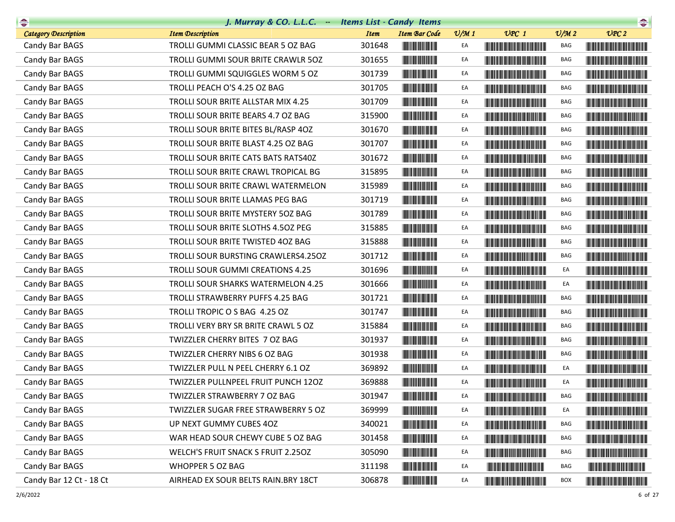| $\begin{picture}(20,10) \put(0,0){\line(1,0){10}} \put(10,0){\line(1,0){10}} \put(10,0){\line(1,0){10}} \put(10,0){\line(1,0){10}} \put(10,0){\line(1,0){10}} \put(10,0){\line(1,0){10}} \put(10,0){\line(1,0){10}} \put(10,0){\line(1,0){10}} \put(10,0){\line(1,0){10}} \put(10,0){\line(1,0){10}} \put(10,0){\line(1,0){10}} \put(10,0){\line(1$ | J. Murray & CO. L.L.C. - Items List - Candy Items |             |                                      |                 |                                                                                                                                                                                                                                      |                             | $\begin{picture}(20,10) \put(0,0){\line(1,0){10}} \put(10,0){\line(1,0){10}} \put(10,0){\line(1,0){10}} \put(10,0){\line(1,0){10}} \put(10,0){\line(1,0){10}} \put(10,0){\line(1,0){10}} \put(10,0){\line(1,0){10}} \put(10,0){\line(1,0){10}} \put(10,0){\line(1,0){10}} \put(10,0){\line(1,0){10}} \put(10,0){\line(1,0){10}} \put(10,0){\line(1$ |
|-----------------------------------------------------------------------------------------------------------------------------------------------------------------------------------------------------------------------------------------------------------------------------------------------------------------------------------------------------|---------------------------------------------------|-------------|--------------------------------------|-----------------|--------------------------------------------------------------------------------------------------------------------------------------------------------------------------------------------------------------------------------------|-----------------------------|-----------------------------------------------------------------------------------------------------------------------------------------------------------------------------------------------------------------------------------------------------------------------------------------------------------------------------------------------------|
| <b>Category Description</b>                                                                                                                                                                                                                                                                                                                         | <b>Item Description</b>                           | <b>Item</b> | <b>Item Bar Code</b>                 | $\frac{v}{M}$ 1 | $UPC$ 1                                                                                                                                                                                                                              | $\mathcal{O}/\mathcal{M}$ 2 | UPC2                                                                                                                                                                                                                                                                                                                                                |
| Candy Bar BAGS                                                                                                                                                                                                                                                                                                                                      | TROLLI GUMMI CLASSIC BEAR 5 OZ BAG                | 301648      |                                      | EA              | <u> Harris Harris Harris Harris Harris Harris Harris Harris Harris Harris Harris Harris Harris Harris Harris Harris Harris Harris Harris Harris Harris Harris Harris Harris Harris Harris Harris Harris Harris Harris Harris Har</u> | BAG                         |                                                                                                                                                                                                                                                                                                                                                     |
| Candy Bar BAGS                                                                                                                                                                                                                                                                                                                                      | TROLLI GUMMI SOUR BRITE CRAWLR 50Z                | 301655      | <u> Indian Andrew Maria II</u>       | EA              |                                                                                                                                                                                                                                      | BAG                         |                                                                                                                                                                                                                                                                                                                                                     |
| Candy Bar BAGS                                                                                                                                                                                                                                                                                                                                      | TROLLI GUMMI SQUIGGLES WORM 5 OZ                  | 301739      |                                      | EA              |                                                                                                                                                                                                                                      | BAG                         |                                                                                                                                                                                                                                                                                                                                                     |
| Candy Bar BAGS                                                                                                                                                                                                                                                                                                                                      | TROLLI PEACH O'S 4.25 OZ BAG                      | 301705      |                                      | EA              | <b>The Committee of the Committee of the Committee</b>                                                                                                                                                                               | BAG                         |                                                                                                                                                                                                                                                                                                                                                     |
| Candy Bar BAGS                                                                                                                                                                                                                                                                                                                                      | TROLLI SOUR BRITE ALLSTAR MIX 4.25                | 301709      |                                      | EA              |                                                                                                                                                                                                                                      | BAG                         |                                                                                                                                                                                                                                                                                                                                                     |
| Candy Bar BAGS                                                                                                                                                                                                                                                                                                                                      | TROLLI SOUR BRITE BEARS 4.7 OZ BAG                | 315900      |                                      | EA              | <b>CONTRACTOR</b>                                                                                                                                                                                                                    | BAG                         |                                                                                                                                                                                                                                                                                                                                                     |
| Candy Bar BAGS                                                                                                                                                                                                                                                                                                                                      | TROLLI SOUR BRITE BITES BL/RASP 4OZ               | 301670      |                                      | EA              | <u> Harry Harry Harry Harry Harry Harry Harry Harry Harry Harry Harry Harry Harry Harry Harry Harry Harry Harry Harry Harry Harry Harry Harry Harry Harry Harry Harry Harry Harry Harry Harry Harry Harry Harry Harry Harry Harr</u> | BAG                         |                                                                                                                                                                                                                                                                                                                                                     |
| Candy Bar BAGS                                                                                                                                                                                                                                                                                                                                      | TROLLI SOUR BRITE BLAST 4.25 OZ BAG               | 301707      | <u> III din ka masa sa ka</u>        | EA              |                                                                                                                                                                                                                                      | BAG                         |                                                                                                                                                                                                                                                                                                                                                     |
| Candy Bar BAGS                                                                                                                                                                                                                                                                                                                                      | TROLLI SOUR BRITE CATS BATS RATS40Z               | 301672      |                                      | EA              | <b>The Common Section</b>                                                                                                                                                                                                            | BAG                         |                                                                                                                                                                                                                                                                                                                                                     |
| Candy Bar BAGS                                                                                                                                                                                                                                                                                                                                      | TROLLI SOUR BRITE CRAWL TROPICAL BG               | 315895      |                                      | EA              |                                                                                                                                                                                                                                      | BAG                         |                                                                                                                                                                                                                                                                                                                                                     |
| Candy Bar BAGS                                                                                                                                                                                                                                                                                                                                      | TROLLI SOUR BRITE CRAWL WATERMELON                | 315989      |                                      | EA              |                                                                                                                                                                                                                                      | BAG                         |                                                                                                                                                                                                                                                                                                                                                     |
| Candy Bar BAGS                                                                                                                                                                                                                                                                                                                                      | TROLLI SOUR BRITE LLAMAS PEG BAG                  | 301719      |                                      | EA              |                                                                                                                                                                                                                                      | BAG                         | <b>The Community of the Community</b>                                                                                                                                                                                                                                                                                                               |
| Candy Bar BAGS                                                                                                                                                                                                                                                                                                                                      | TROLLI SOUR BRITE MYSTERY 50Z BAG                 | 301789      |                                      | EA              |                                                                                                                                                                                                                                      | BAG                         |                                                                                                                                                                                                                                                                                                                                                     |
| Candy Bar BAGS                                                                                                                                                                                                                                                                                                                                      | TROLLI SOUR BRITE SLOTHS 4.50Z PEG                | 315885      |                                      | EA              |                                                                                                                                                                                                                                      | BAG                         |                                                                                                                                                                                                                                                                                                                                                     |
| Candy Bar BAGS                                                                                                                                                                                                                                                                                                                                      | TROLLI SOUR BRITE TWISTED 40Z BAG                 | 315888      |                                      | EA              |                                                                                                                                                                                                                                      | BAG                         |                                                                                                                                                                                                                                                                                                                                                     |
| Candy Bar BAGS                                                                                                                                                                                                                                                                                                                                      | TROLLI SOUR BURSTING CRAWLERS4.25OZ               | 301712      |                                      | EA              |                                                                                                                                                                                                                                      | BAG                         |                                                                                                                                                                                                                                                                                                                                                     |
| Candy Bar BAGS                                                                                                                                                                                                                                                                                                                                      | TROLLI SOUR GUMMI CREATIONS 4.25                  | 301696      | <b>The Common Service Common</b>     | EA              |                                                                                                                                                                                                                                      | EA                          |                                                                                                                                                                                                                                                                                                                                                     |
| Candy Bar BAGS                                                                                                                                                                                                                                                                                                                                      | TROLLI SOUR SHARKS WATERMELON 4.25                | 301666      | <b>The Common Service Common</b>     | EA              |                                                                                                                                                                                                                                      | EA                          |                                                                                                                                                                                                                                                                                                                                                     |
| Candy Bar BAGS                                                                                                                                                                                                                                                                                                                                      | TROLLI STRAWBERRY PUFFS 4.25 BAG                  | 301721      |                                      | EA              |                                                                                                                                                                                                                                      | BAG                         |                                                                                                                                                                                                                                                                                                                                                     |
| Candy Bar BAGS                                                                                                                                                                                                                                                                                                                                      | TROLLI TROPIC O S BAG 4.25 OZ                     | 301747      |                                      | EA              | <b>The Community of the Community</b>                                                                                                                                                                                                | BAG                         |                                                                                                                                                                                                                                                                                                                                                     |
| Candy Bar BAGS                                                                                                                                                                                                                                                                                                                                      | TROLLI VERY BRY SR BRITE CRAWL 5 OZ               | 315884      |                                      | EA              |                                                                                                                                                                                                                                      | BAG                         |                                                                                                                                                                                                                                                                                                                                                     |
| Candy Bar BAGS                                                                                                                                                                                                                                                                                                                                      | TWIZZLER CHERRY BITES 7 OZ BAG                    | 301937      |                                      | EA              |                                                                                                                                                                                                                                      | BAG                         |                                                                                                                                                                                                                                                                                                                                                     |
| Candy Bar BAGS                                                                                                                                                                                                                                                                                                                                      | TWIZZLER CHERRY NIBS 6 OZ BAG                     | 301938      | <u> Indian Andrew Maria II</u>       | EA              |                                                                                                                                                                                                                                      | BAG                         |                                                                                                                                                                                                                                                                                                                                                     |
| Candy Bar BAGS                                                                                                                                                                                                                                                                                                                                      | TWIZZLER PULL N PEEL CHERRY 6.1 OZ                | 369892      | <u> III de la contrada de la con</u> | EA              |                                                                                                                                                                                                                                      | EA                          |                                                                                                                                                                                                                                                                                                                                                     |
| Candy Bar BAGS                                                                                                                                                                                                                                                                                                                                      | TWIZZLER PULLNPEEL FRUIT PUNCH 12OZ               | 369888      | <b>The Common Service Common</b>     | EA              |                                                                                                                                                                                                                                      | EA                          |                                                                                                                                                                                                                                                                                                                                                     |
| Candy Bar BAGS                                                                                                                                                                                                                                                                                                                                      | TWIZZLER STRAWBERRY 7 OZ BAG                      | 301947      | <u> Herman Barnett (</u>             | EA              |                                                                                                                                                                                                                                      | BAG                         |                                                                                                                                                                                                                                                                                                                                                     |
| Candy Bar BAGS                                                                                                                                                                                                                                                                                                                                      | TWIZZLER SUGAR FREE STRAWBERRY 5 OZ               | 369999      |                                      | EA              | <b>The Community of the Community</b>                                                                                                                                                                                                | EA                          | <u> Harry Harry Harry Harry Harry Harry Harry Harry Harry Harry Harry Harry Harry Harry Harry Harry Harry Harry Harry Harry Harry Harry Harry Harry Harry Harry Harry Harry Harry Harry Harry Harry Harry Harry Harry Harry Harr</u>                                                                                                                |
| Candy Bar BAGS                                                                                                                                                                                                                                                                                                                                      | UP NEXT GUMMY CUBES 4OZ                           | 340021      |                                      | EA              | <u> Herbert Herbert in der Erste der Erste der Erste der Erste der Erste der Erste der Erste der Erste der Erste </u>                                                                                                                | BAG                         |                                                                                                                                                                                                                                                                                                                                                     |
| Candy Bar BAGS                                                                                                                                                                                                                                                                                                                                      | WAR HEAD SOUR CHEWY CUBE 5 OZ BAG                 | 301458      | <u> Indian Andrew Maria II</u>       | EA              | <u> Tanzania de la provincia de la provincia de la provincia de la provincia de la provincia de la provincia de l</u>                                                                                                                | BAG                         |                                                                                                                                                                                                                                                                                                                                                     |
| Candy Bar BAGS                                                                                                                                                                                                                                                                                                                                      | WELCH'S FRUIT SNACK S FRUIT 2.250Z                | 305090      |                                      | EA              |                                                                                                                                                                                                                                      | BAG                         | <u> The Community of the Community of the Community of the Community of the Community of the Community of the Community of the Community of the Community of the Community of the Community of the Community of the Community of</u>                                                                                                                |
| Candy Bar BAGS                                                                                                                                                                                                                                                                                                                                      | <b>WHOPPER 5 OZ BAG</b>                           | 311198      |                                      | EA              |                                                                                                                                                                                                                                      | BAG                         |                                                                                                                                                                                                                                                                                                                                                     |
| Candy Bar 12 Ct - 18 Ct                                                                                                                                                                                                                                                                                                                             | AIRHEAD EX SOUR BELTS RAIN.BRY 18CT               | 306878      |                                      | EA              |                                                                                                                                                                                                                                      | BOX                         |                                                                                                                                                                                                                                                                                                                                                     |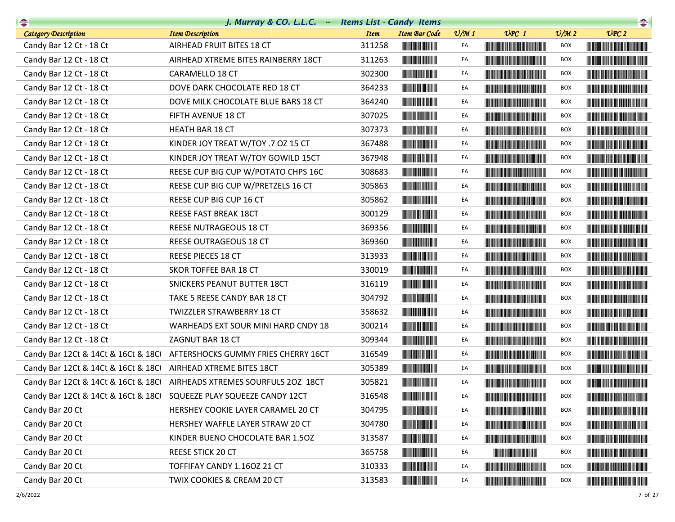| $\begin{picture}(20,10) \put(0,0){\line(1,0){10}} \put(10,0){\line(1,0){10}} \put(10,0){\line(1,0){10}} \put(10,0){\line(1,0){10}} \put(10,0){\line(1,0){10}} \put(10,0){\line(1,0){10}} \put(10,0){\line(1,0){10}} \put(10,0){\line(1,0){10}} \put(10,0){\line(1,0){10}} \put(10,0){\line(1,0){10}} \put(10,0){\line(1,0){10}} \put(10,0){\line(1$ | J. Murray & CO. L.L.C. - Items List - Candy Items                       |             |                                                                                                                       |                 |                                                                                                                                                                                                                                      |                             | $\begin{picture}(20,10) \put(0,0){\line(1,0){10}} \put(10,0){\line(1,0){10}} \put(10,0){\line(1,0){10}} \put(10,0){\line(1,0){10}} \put(10,0){\line(1,0){10}} \put(10,0){\line(1,0){10}} \put(10,0){\line(1,0){10}} \put(10,0){\line(1,0){10}} \put(10,0){\line(1,0){10}} \put(10,0){\line(1,0){10}} \put(10,0){\line(1,0){10}} \put(10,0){\line(1$ |
|-----------------------------------------------------------------------------------------------------------------------------------------------------------------------------------------------------------------------------------------------------------------------------------------------------------------------------------------------------|-------------------------------------------------------------------------|-------------|-----------------------------------------------------------------------------------------------------------------------|-----------------|--------------------------------------------------------------------------------------------------------------------------------------------------------------------------------------------------------------------------------------|-----------------------------|-----------------------------------------------------------------------------------------------------------------------------------------------------------------------------------------------------------------------------------------------------------------------------------------------------------------------------------------------------|
| <b>Category Description</b>                                                                                                                                                                                                                                                                                                                         | <b>Item Description</b>                                                 | <b>Item</b> | Item Bar Code                                                                                                         | $\frac{v}{M}$ 1 | $UPC$ 1                                                                                                                                                                                                                              | $\mathcal{O}/\mathcal{M}$ 2 | $\mathcal{V}$ $\mathcal{P}$ $C$ $2$                                                                                                                                                                                                                                                                                                                 |
| Candy Bar 12 Ct - 18 Ct                                                                                                                                                                                                                                                                                                                             | AIRHEAD FRUIT BITES 18 CT                                               | 311258      | <b>HILLING COMMUNIST</b>                                                                                              | EA              |                                                                                                                                                                                                                                      | BOX                         | <b>The Community of the Community</b>                                                                                                                                                                                                                                                                                                               |
| Candy Bar 12 Ct - 18 Ct                                                                                                                                                                                                                                                                                                                             | AIRHEAD XTREME BITES RAINBERRY 18CT                                     | 311263      |                                                                                                                       | EA              | <b>The Community of the Community</b>                                                                                                                                                                                                | <b>BOX</b>                  | <u> Liberaldo de la contrada de la con</u>                                                                                                                                                                                                                                                                                                          |
| Candy Bar 12 Ct - 18 Ct                                                                                                                                                                                                                                                                                                                             | CARAMELLO 18 CT                                                         | 302300      |                                                                                                                       | EA              |                                                                                                                                                                                                                                      | <b>BOX</b>                  |                                                                                                                                                                                                                                                                                                                                                     |
| Candy Bar 12 Ct - 18 Ct                                                                                                                                                                                                                                                                                                                             | DOVE DARK CHOCOLATE RED 18 CT                                           | 364233      |                                                                                                                       | EA              | <b>The Community of the Community</b>                                                                                                                                                                                                | BOX                         | <u> Harry Harry Harry Harry Harry Harry Harry Harry Harry Harry Harry Harry Harry Harry Harry Harry Harry Harry Harry Harry Harry Harry Harry Harry Harry Harry Harry Harry Harry Harry Harry Harry Harry Harry Harry Harry Harr</u>                                                                                                                |
| Candy Bar 12 Ct - 18 Ct                                                                                                                                                                                                                                                                                                                             | DOVE MILK CHOCOLATE BLUE BARS 18 CT                                     | 364240      | <u> Indian Andrew Maria II</u>                                                                                        | EA              |                                                                                                                                                                                                                                      | BOX                         |                                                                                                                                                                                                                                                                                                                                                     |
| Candy Bar 12 Ct - 18 Ct                                                                                                                                                                                                                                                                                                                             | FIFTH AVENUE 18 CT                                                      | 307025      | <u> Indian Maria San Ind</u>                                                                                          | EA              |                                                                                                                                                                                                                                      | BOX                         |                                                                                                                                                                                                                                                                                                                                                     |
| Candy Bar 12 Ct - 18 Ct                                                                                                                                                                                                                                                                                                                             | <b>HEATH BAR 18 CT</b>                                                  | 307373      |                                                                                                                       | EA              | <u> The Community of the Community of the Community of the Community of the Community of the Community of the Community of the Community of the Community of the Community of the Community of the Community of the Community of</u> | BOX                         |                                                                                                                                                                                                                                                                                                                                                     |
| Candy Bar 12 Ct - 18 Ct                                                                                                                                                                                                                                                                                                                             | KINDER JOY TREAT W/TOY .7 OZ 15 CT                                      | 367488      | <u> Indian Andrew Maria II</u>                                                                                        | EA              | <b>CONTRACTOR</b>                                                                                                                                                                                                                    | BOX                         |                                                                                                                                                                                                                                                                                                                                                     |
| Candy Bar 12 Ct - 18 Ct                                                                                                                                                                                                                                                                                                                             | KINDER JOY TREAT W/TOY GOWILD 15CT                                      | 367948      |                                                                                                                       | EA              | <u> Harry Harry Harry Harry Harry Harry Harry Harry Harry Harry Harry Harry Harry Harry Harry Harry Harry Harry Harry Harry Harry Harry Harry Harry Harry Harry Harry Harry Harry Harry Harry Harry Harry Harry Harry Harry Harr</u> | BOX                         | <b>The Community of the Community</b>                                                                                                                                                                                                                                                                                                               |
| Candy Bar 12 Ct - 18 Ct                                                                                                                                                                                                                                                                                                                             | REESE CUP BIG CUP W/POTATO CHPS 16C                                     | 308683      | <u> Herbert Herbert in der Entschaft</u>                                                                              | EA              | <b>The Committee of the Committee of the Committee</b>                                                                                                                                                                               | BOX                         |                                                                                                                                                                                                                                                                                                                                                     |
| Candy Bar 12 Ct - 18 Ct                                                                                                                                                                                                                                                                                                                             | REESE CUP BIG CUP W/PRETZELS 16 CT                                      | 305863      |                                                                                                                       | EA              |                                                                                                                                                                                                                                      | <b>BOX</b>                  |                                                                                                                                                                                                                                                                                                                                                     |
| Candy Bar 12 Ct - 18 Ct                                                                                                                                                                                                                                                                                                                             | REESE CUP BIG CUP 16 CT                                                 | 305862      | <b>The Common Service Common</b>                                                                                      | EA              | <b>The Committee of the Committee of the Committee</b>                                                                                                                                                                               | BOX                         |                                                                                                                                                                                                                                                                                                                                                     |
| Candy Bar 12 Ct - 18 Ct                                                                                                                                                                                                                                                                                                                             | REESE FAST BREAK 18CT                                                   | 300129      |                                                                                                                       | EA              |                                                                                                                                                                                                                                      | BOX                         |                                                                                                                                                                                                                                                                                                                                                     |
| Candy Bar 12 Ct - 18 Ct                                                                                                                                                                                                                                                                                                                             | REESE NUTRAGEOUS 18 CT                                                  | 369356      |                                                                                                                       | EA              | <b>The Committee of the Committee of the Committee</b>                                                                                                                                                                               | BOX                         | <b>The Community of the Community</b>                                                                                                                                                                                                                                                                                                               |
| Candy Bar 12 Ct - 18 Ct                                                                                                                                                                                                                                                                                                                             | REESE OUTRAGEOUS 18 CT                                                  | 369360      |                                                                                                                       | EA              |                                                                                                                                                                                                                                      | BOX                         |                                                                                                                                                                                                                                                                                                                                                     |
| Candy Bar 12 Ct - 18 Ct                                                                                                                                                                                                                                                                                                                             | REESE PIECES 18 CT                                                      | 313933      |                                                                                                                       | EA              |                                                                                                                                                                                                                                      | BOX                         |                                                                                                                                                                                                                                                                                                                                                     |
| Candy Bar 12 Ct - 18 Ct                                                                                                                                                                                                                                                                                                                             | SKOR TOFFEE BAR 18 CT                                                   | 330019      |                                                                                                                       | EA              |                                                                                                                                                                                                                                      | <b>BOX</b>                  |                                                                                                                                                                                                                                                                                                                                                     |
| Candy Bar 12 Ct - 18 Ct                                                                                                                                                                                                                                                                                                                             | SNICKERS PEANUT BUTTER 18CT                                             | 316119      | <b>The Common Service</b>                                                                                             | EA              | <u> The Community of the Community of the Community of the Community of the Community of the Community of the Co</u>                                                                                                                 | BOX                         |                                                                                                                                                                                                                                                                                                                                                     |
| Candy Bar 12 Ct - 18 Ct                                                                                                                                                                                                                                                                                                                             | TAKE 5 REESE CANDY BAR 18 CT                                            | 304792      |                                                                                                                       | EA              |                                                                                                                                                                                                                                      | <b>BOX</b>                  |                                                                                                                                                                                                                                                                                                                                                     |
| Candy Bar 12 Ct - 18 Ct                                                                                                                                                                                                                                                                                                                             | TWIZZLER STRAWBERRY 18 CT                                               | 358632      |                                                                                                                       | EA              | <b>The Committee of the Committee of the Committee</b>                                                                                                                                                                               | BOX                         |                                                                                                                                                                                                                                                                                                                                                     |
| Candy Bar 12 Ct - 18 Ct                                                                                                                                                                                                                                                                                                                             | WARHEADS EXT SOUR MINI HARD CNDY 18                                     | 300214      |                                                                                                                       | EA              | <u> The Community of the Community of the Community of the Community of the Community of the Community of the Community of the Community of the Community of the Community of the Community of the Community of the Community of</u> | <b>BOX</b>                  | <u> Harry Harry Harry Harry Harry Harry Harry Harry Harry Harry Harry Harry Harry Harry Harry Harry Harry Harry Harry Harry Harry Harry Harry Harry Harry Harry Harry Harry Harry Harry Harry Harry Harry Harry Harry Harry Harr</u>                                                                                                                |
| Candy Bar 12 Ct - 18 Ct                                                                                                                                                                                                                                                                                                                             | ZAGNUT BAR 18 CT                                                        | 309344      |                                                                                                                       | EA              | <u> Die Berger von Die Berger von Die Berger von Die Berger von Die Berger von Die Berger von Die Berger von Die B</u>                                                                                                               | BOX                         | <u> Die Berger von Die Berger von Die Berger von Die Berger von Die Berger von Die Berger von Die Berger von Die B</u>                                                                                                                                                                                                                              |
|                                                                                                                                                                                                                                                                                                                                                     | Candy Bar 12Ct & 14Ct & 16Ct & 18Ct AFTERSHOCKS GUMMY FRIES CHERRY 16CT | 316549      |                                                                                                                       | EA              |                                                                                                                                                                                                                                      | BOX                         |                                                                                                                                                                                                                                                                                                                                                     |
| Candy Bar 12Ct & 14Ct & 16Ct & 18Ct                                                                                                                                                                                                                                                                                                                 | AIRHEAD XTREME BITES 18CT                                               | 305389      |                                                                                                                       | EA              |                                                                                                                                                                                                                                      | BOX                         |                                                                                                                                                                                                                                                                                                                                                     |
|                                                                                                                                                                                                                                                                                                                                                     | Candy Bar 12Ct & 14Ct & 16Ct & 18Ct AIRHEADS XTREMES SOURFULS 2OZ 18CT  | 305821      | <u> Indian American Indian Indian Indian Indian Indian Indian Indian Indian Indian Indian Indian Indian Indian In</u> | EA              |                                                                                                                                                                                                                                      | <b>BOX</b>                  |                                                                                                                                                                                                                                                                                                                                                     |
|                                                                                                                                                                                                                                                                                                                                                     | Candy Bar 12Ct & 14Ct & 16Ct & 18Ct SQUEEZE PLAY SQUEEZE CANDY 12CT     | 316548      | <u> Herman Barnett (</u>                                                                                              | EA              |                                                                                                                                                                                                                                      | <b>BOX</b>                  |                                                                                                                                                                                                                                                                                                                                                     |
| Candy Bar 20 Ct                                                                                                                                                                                                                                                                                                                                     | HERSHEY COOKIE LAYER CARAMEL 20 CT                                      | 304795      |                                                                                                                       | EA              |                                                                                                                                                                                                                                      | BOX                         | <u> Harry Harry Harry Harry Harry Harry Harry Harry Harry Harry Harry Harry Harry Harry Harry Harry Harry Harry Harry Harry Harry Harry Harry Harry Harry Harry Harry Harry Harry Harry Harry Harry Harry Harry Harry Harry Harr</u>                                                                                                                |
| Candy Bar 20 Ct                                                                                                                                                                                                                                                                                                                                     | HERSHEY WAFFLE LAYER STRAW 20 CT                                        | 304780      |                                                                                                                       | EA              |                                                                                                                                                                                                                                      | BOX                         |                                                                                                                                                                                                                                                                                                                                                     |
| Candy Bar 20 Ct                                                                                                                                                                                                                                                                                                                                     | KINDER BUENO CHOCOLATE BAR 1.50Z                                        | 313587      |                                                                                                                       | EA              | <u> Tanzania de la provincia del control de la provincia del control de la provincia del control de la provincia </u>                                                                                                                | BOX                         | <u> Liberal Maria Maria Maria Maria Maria Maria Maria Maria Maria Maria Maria Maria Maria Maria Maria Maria Maria </u>                                                                                                                                                                                                                              |
| Candy Bar 20 Ct                                                                                                                                                                                                                                                                                                                                     | REESE STICK 20 CT                                                       | 365758      |                                                                                                                       | EA              |                                                                                                                                                                                                                                      | <b>BOX</b>                  | <u> Harry Harry Harry Harry Harry Harry Harry Harry Harry Harry Harry Harry Harry Harry Harry Harry Harry Harry Harry Harry Harry Harry Harry Harry Harry Harry Harry Harry Harry Harry Harry Harry Harry Harry Harry Harry Harr</u>                                                                                                                |
| Candy Bar 20 Ct                                                                                                                                                                                                                                                                                                                                     | TOFFIFAY CANDY 1.16OZ 21 CT                                             | 310333      |                                                                                                                       | EA              | <u> Harry Harry Harry Harry Harry Harry Harry Harry Harry Harry Harry Harry Harry Harry Harry Harry Harry Harry H</u>                                                                                                                | BOX                         |                                                                                                                                                                                                                                                                                                                                                     |
| Candy Bar 20 Ct                                                                                                                                                                                                                                                                                                                                     | TWIX COOKIES & CREAM 20 CT                                              | 313583      |                                                                                                                       | EA              | <u> Liberal Maria de la contrada de la contrada de la contrada de la contrada de la contrada de la con</u>                                                                                                                           | <b>BOX</b>                  | <u> Liberal Maria Maria Maria Maria Maria Maria Maria Maria Maria Maria Maria Maria Maria Maria Maria Maria Maria </u>                                                                                                                                                                                                                              |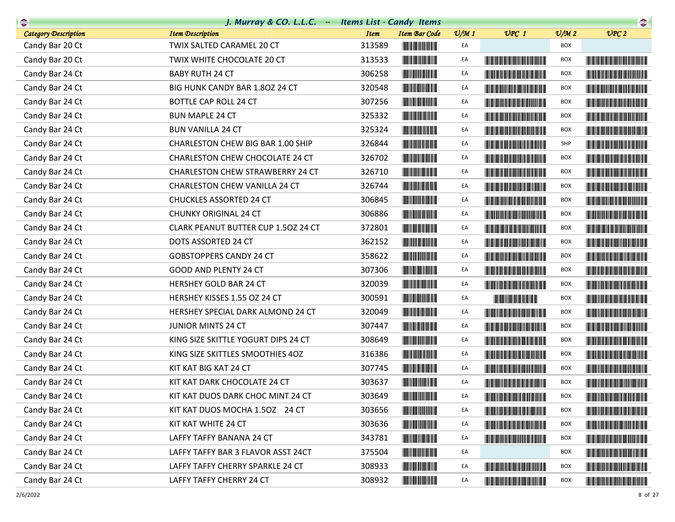| $\begin{picture}(20,10) \put(0,0){\line(1,0){10}} \put(10,0){\line(1,0){10}} \put(10,0){\line(1,0){10}} \put(10,0){\line(1,0){10}} \put(10,0){\line(1,0){10}} \put(10,0){\line(1,0){10}} \put(10,0){\line(1,0){10}} \put(10,0){\line(1,0){10}} \put(10,0){\line(1,0){10}} \put(10,0){\line(1,0){10}} \put(10,0){\line(1,0){10}} \put(10,0){\line(1$ | J. Murray & CO. L.L.C. - Items List - Candy Items |             |                                                                                                                       |                 |                                                                                                                                                                                                                                      |                             | $\begin{picture}(20,10) \put(0,0){\line(1,0){10}} \put(10,0){\line(1,0){10}} \put(10,0){\line(1,0){10}} \put(10,0){\line(1,0){10}} \put(10,0){\line(1,0){10}} \put(10,0){\line(1,0){10}} \put(10,0){\line(1,0){10}} \put(10,0){\line(1,0){10}} \put(10,0){\line(1,0){10}} \put(10,0){\line(1,0){10}} \put(10,0){\line(1,0){10}} \put(10,0){\line(1$ |
|-----------------------------------------------------------------------------------------------------------------------------------------------------------------------------------------------------------------------------------------------------------------------------------------------------------------------------------------------------|---------------------------------------------------|-------------|-----------------------------------------------------------------------------------------------------------------------|-----------------|--------------------------------------------------------------------------------------------------------------------------------------------------------------------------------------------------------------------------------------|-----------------------------|-----------------------------------------------------------------------------------------------------------------------------------------------------------------------------------------------------------------------------------------------------------------------------------------------------------------------------------------------------|
| Category Description                                                                                                                                                                                                                                                                                                                                | <b>Item Description</b>                           | <b>Item</b> | Item Bar Code                                                                                                         | $\frac{v}{M}$ 1 | $UPC$ 1                                                                                                                                                                                                                              | $\mathcal{O}/\mathcal{M}$ 2 | UPC2                                                                                                                                                                                                                                                                                                                                                |
| Candy Bar 20 Ct                                                                                                                                                                                                                                                                                                                                     | TWIX SALTED CARAMEL 20 CT                         | 313589      |                                                                                                                       | EA              |                                                                                                                                                                                                                                      | <b>BOX</b>                  |                                                                                                                                                                                                                                                                                                                                                     |
| Candy Bar 20 Ct                                                                                                                                                                                                                                                                                                                                     | TWIX WHITE CHOCOLATE 20 CT                        | 313533      |                                                                                                                       | EA              |                                                                                                                                                                                                                                      | <b>BOX</b>                  |                                                                                                                                                                                                                                                                                                                                                     |
| Candy Bar 24 Ct                                                                                                                                                                                                                                                                                                                                     | <b>BABY RUTH 24 CT</b>                            | 306258      |                                                                                                                       | EA              |                                                                                                                                                                                                                                      | <b>BOX</b>                  |                                                                                                                                                                                                                                                                                                                                                     |
| Candy Bar 24 Ct                                                                                                                                                                                                                                                                                                                                     | BIG HUNK CANDY BAR 1.80Z 24 CT                    | 320548      |                                                                                                                       | EA              | <b>CONTRACTOR</b>                                                                                                                                                                                                                    | <b>BOX</b>                  |                                                                                                                                                                                                                                                                                                                                                     |
| Candy Bar 24 Ct                                                                                                                                                                                                                                                                                                                                     | <b>BOTTLE CAP ROLL 24 CT</b>                      | 307256      | <u> Indian American Indian Indian Indian Indian Indian Indian Indian Indian Indian Indian Indian Indian Indian In</u> | EA              |                                                                                                                                                                                                                                      | <b>BOX</b>                  |                                                                                                                                                                                                                                                                                                                                                     |
| Candy Bar 24 Ct                                                                                                                                                                                                                                                                                                                                     | <b>BUN MAPLE 24 CT</b>                            | 325332      |                                                                                                                       | EA              | <u> Die Berger von Die Berger von Die Berger von Die Berger von Die Berger von Die Berger von Die Berger von Die B</u>                                                                                                               | <b>BOX</b>                  |                                                                                                                                                                                                                                                                                                                                                     |
| Candy Bar 24 Ct                                                                                                                                                                                                                                                                                                                                     | <b>BUN VANILLA 24 CT</b>                          | 325324      |                                                                                                                       | EA              |                                                                                                                                                                                                                                      | <b>BOX</b>                  |                                                                                                                                                                                                                                                                                                                                                     |
| Candy Bar 24 Ct                                                                                                                                                                                                                                                                                                                                     | CHARLESTON CHEW BIG BAR 1.00 SHIP                 | 326844      |                                                                                                                       | EA              |                                                                                                                                                                                                                                      | SHP                         |                                                                                                                                                                                                                                                                                                                                                     |
| Candy Bar 24 Ct                                                                                                                                                                                                                                                                                                                                     | CHARLESTON CHEW CHOCOLATE 24 CT                   | 326702      |                                                                                                                       | EA              | <u> Harry Harry Harry Harry Harry Harry Harry Harry Harry Harry Harry Harry Harry Harry Harry Harry Harry Harry Harry Harry Harry Harry Harry Harry Harry Harry Harry Harry Harry Harry Harry Harry Harry Harry Harry Harry Harr</u> | <b>BOX</b>                  |                                                                                                                                                                                                                                                                                                                                                     |
| Candy Bar 24 Ct                                                                                                                                                                                                                                                                                                                                     | CHARLESTON CHEW STRAWBERRY 24 CT                  | 326710      | <u> Herbert Herbert in der Entschaft</u>                                                                              | EA              |                                                                                                                                                                                                                                      | <b>BOX</b>                  | <u> Harat Barat Barat Barat Ba</u>                                                                                                                                                                                                                                                                                                                  |
| Candy Bar 24 Ct                                                                                                                                                                                                                                                                                                                                     | CHARLESTON CHEW VANILLA 24 CT                     | 326744      |                                                                                                                       | EA              |                                                                                                                                                                                                                                      | <b>BOX</b>                  |                                                                                                                                                                                                                                                                                                                                                     |
| Candy Bar 24 Ct                                                                                                                                                                                                                                                                                                                                     | CHUCKLES ASSORTED 24 CT                           | 306845      |                                                                                                                       | EA              |                                                                                                                                                                                                                                      | BOX                         |                                                                                                                                                                                                                                                                                                                                                     |
| Candy Bar 24 Ct                                                                                                                                                                                                                                                                                                                                     | <b>CHUNKY ORIGINAL 24 CT</b>                      | 306886      |                                                                                                                       | EA              |                                                                                                                                                                                                                                      | BOX                         |                                                                                                                                                                                                                                                                                                                                                     |
| Candy Bar 24 Ct                                                                                                                                                                                                                                                                                                                                     | CLARK PEANUT BUTTER CUP 1.50Z 24 CT               | 372801      |                                                                                                                       | EA              | <u> Harry Harry Harry Harry Harry Harry Harry Harry Harry Harry Harry Harry Harry Harry Harry Harry Harry Harry Harry Harry Harry Harry Harry Harry Harry Harry Harry Harry Harry Harry Harry Harry Harry Harry Harry Harry Harr</u> | <b>BOX</b>                  |                                                                                                                                                                                                                                                                                                                                                     |
| Candy Bar 24 Ct                                                                                                                                                                                                                                                                                                                                     | DOTS ASSORTED 24 CT                               | 362152      | <b>The Second Contract of Second Second</b>                                                                           | EA              |                                                                                                                                                                                                                                      | BOX                         |                                                                                                                                                                                                                                                                                                                                                     |
| Candy Bar 24 Ct                                                                                                                                                                                                                                                                                                                                     | <b>GOBSTOPPERS CANDY 24 CT</b>                    | 358622      |                                                                                                                       | EA              | <b>The Common Section</b>                                                                                                                                                                                                            | BOX                         |                                                                                                                                                                                                                                                                                                                                                     |
| Candy Bar 24 Ct                                                                                                                                                                                                                                                                                                                                     | GOOD AND PLENTY 24 CT                             | 307306      | <b>The Community</b>                                                                                                  | EA              |                                                                                                                                                                                                                                      | BOX                         |                                                                                                                                                                                                                                                                                                                                                     |
| Candy Bar 24 Ct                                                                                                                                                                                                                                                                                                                                     | HERSHEY GOLD BAR 24 CT                            | 320039      |                                                                                                                       | EA              | <u> Harry Harry Harry Harry Harry Harry Harry Harry Harry Harry Harry Harry Harry Harry Harry Harry Harry Harry H</u>                                                                                                                | <b>BOX</b>                  | <b>The Committee of the Committee of the Committee</b>                                                                                                                                                                                                                                                                                              |
| Candy Bar 24 Ct                                                                                                                                                                                                                                                                                                                                     | HERSHEY KISSES 1.55 OZ 24 CT                      | 300591      |                                                                                                                       | EA              |                                                                                                                                                                                                                                      | BOX                         |                                                                                                                                                                                                                                                                                                                                                     |
| Candy Bar 24 Ct                                                                                                                                                                                                                                                                                                                                     | HERSHEY SPECIAL DARK ALMOND 24 CT                 | 320049      |                                                                                                                       | EA              |                                                                                                                                                                                                                                      | BOX                         |                                                                                                                                                                                                                                                                                                                                                     |
| Candy Bar 24 Ct                                                                                                                                                                                                                                                                                                                                     | <b>JUNIOR MINTS 24 CT</b>                         | 307447      | <u> Herman Maria San Barat </u>                                                                                       | EA              |                                                                                                                                                                                                                                      | BOX                         |                                                                                                                                                                                                                                                                                                                                                     |
| Candy Bar 24 Ct                                                                                                                                                                                                                                                                                                                                     | KING SIZE SKITTLE YOGURT DIPS 24 CT               | 308649      |                                                                                                                       | EA              |                                                                                                                                                                                                                                      | <b>BOX</b>                  |                                                                                                                                                                                                                                                                                                                                                     |
| Candy Bar 24 Ct                                                                                                                                                                                                                                                                                                                                     | KING SIZE SKITTLES SMOOTHIES 4OZ                  | 316386      |                                                                                                                       | EA              |                                                                                                                                                                                                                                      | BOX                         |                                                                                                                                                                                                                                                                                                                                                     |
| Candy Bar 24 Ct                                                                                                                                                                                                                                                                                                                                     | KIT KAT BIG KAT 24 CT                             | 307745      |                                                                                                                       | EA              |                                                                                                                                                                                                                                      | BOX                         |                                                                                                                                                                                                                                                                                                                                                     |
| Candy Bar 24 Ct                                                                                                                                                                                                                                                                                                                                     | KIT KAT DARK CHOCOLATE 24 CT                      | 303637      |                                                                                                                       | EA              | <b>The Community of the Community</b>                                                                                                                                                                                                | <b>BOX</b>                  |                                                                                                                                                                                                                                                                                                                                                     |
| Candy Bar 24 Ct                                                                                                                                                                                                                                                                                                                                     | KIT KAT DUOS DARK CHOC MINT 24 CT                 | 303649      | <b>THE REAL PROPERTY</b>                                                                                              | EA              |                                                                                                                                                                                                                                      | <b>BOX</b>                  |                                                                                                                                                                                                                                                                                                                                                     |
| Candy Bar 24 Ct                                                                                                                                                                                                                                                                                                                                     | KIT KAT DUOS MOCHA 1.50Z 24 CT                    | 303656      |                                                                                                                       | EA              | <b>The Committee of the Committee of the Committee</b>                                                                                                                                                                               | BOX                         | <u> Harry Harry Harry Harry Harry Harry Harry Harry Harry Harry Harry Harry Harry Harry Harry Harry Harry Harry Harry Harry Harry Harry Harry Harry Harry Harry Harry Harry Harry Harry Harry Harry Harry Harry Harry Harry Harr</u>                                                                                                                |
| Candy Bar 24 Ct                                                                                                                                                                                                                                                                                                                                     | KIT KAT WHITE 24 CT                               | 303636      |                                                                                                                       | EA              | <b>CONTRACTOR</b>                                                                                                                                                                                                                    | <b>BOX</b>                  |                                                                                                                                                                                                                                                                                                                                                     |
| Candy Bar 24 Ct                                                                                                                                                                                                                                                                                                                                     | LAFFY TAFFY BANANA 24 CT                          | 343781      |                                                                                                                       | EA              | <u> The Community of the Community of the Community of the Community of the Community of the Community of the Community of the Community of the Community of the Community of the Community of the Community of the Community of</u> | BOX                         | <u> Harry Harry Harry Harry Harry Harry Harry Harry Harry Harry Harry Harry Harry Harry Harry Harry Harry Harry Harry Harry Harry Harry Harry Harry Harry Harry Harry Harry Harry Harry Harry Harry Harry Harry Harry Harry Harr</u>                                                                                                                |
| Candy Bar 24 Ct                                                                                                                                                                                                                                                                                                                                     | LAFFY TAFFY BAR 3 FLAVOR ASST 24CT                | 375504      |                                                                                                                       | EA              |                                                                                                                                                                                                                                      | <b>BOX</b>                  | <u> The Community of the Community of the Community of the Community of the Community of the Community of the Community of the Community of the Community of the Community of the Community of the Community of the Community of</u>                                                                                                                |
| Candy Bar 24 Ct                                                                                                                                                                                                                                                                                                                                     | LAFFY TAFFY CHERRY SPARKLE 24 CT                  | 308933      |                                                                                                                       | EA              | <u> Harry Harry Harry Harry Harry Harry Harry Harry Harry Harry Harry Harry Harry Harry Harry Harry Harry Harry H</u>                                                                                                                | BOX                         |                                                                                                                                                                                                                                                                                                                                                     |
| Candy Bar 24 Ct                                                                                                                                                                                                                                                                                                                                     | LAFFY TAFFY CHERRY 24 CT                          | 308932      | <u> Indian American Indian Indian Indian Indian Indian Indian Indian Indian Indian Indian Indian Indian Indian In</u> | EA              | <u> Linda ka ka matsayin ka sanadi ka sa</u>                                                                                                                                                                                         | BOX                         |                                                                                                                                                                                                                                                                                                                                                     |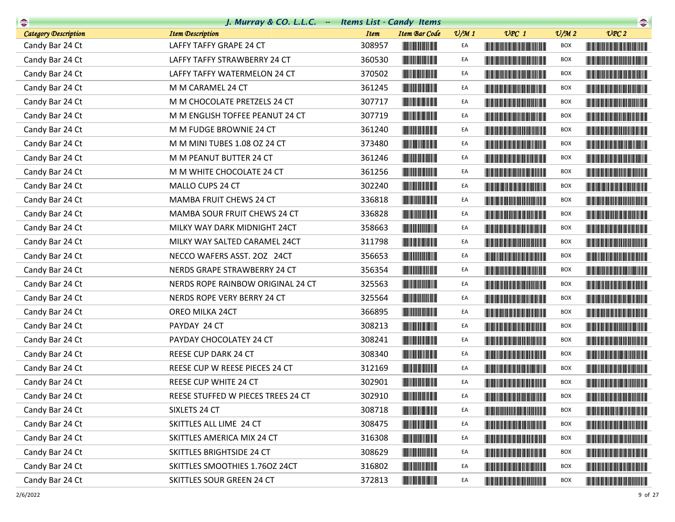| $\begin{picture}(20,10) \put(0,0){\line(1,0){10}} \put(10,0){\line(1,0){10}} \put(10,0){\line(1,0){10}} \put(10,0){\line(1,0){10}} \put(10,0){\line(1,0){10}} \put(10,0){\line(1,0){10}} \put(10,0){\line(1,0){10}} \put(10,0){\line(1,0){10}} \put(10,0){\line(1,0){10}} \put(10,0){\line(1,0){10}} \put(10,0){\line(1,0){10}} \put(10,0){\line(1$ | J. Murray & CO. L.L.C. - Items List - Candy Items |             |                                                        |                 |                                                                                                                                                                                                                                      |                             | $\begin{picture}(20,10) \put(0,0){\line(1,0){10}} \put(10,0){\line(1,0){10}} \put(10,0){\line(1,0){10}} \put(10,0){\line(1,0){10}} \put(10,0){\line(1,0){10}} \put(10,0){\line(1,0){10}} \put(10,0){\line(1,0){10}} \put(10,0){\line(1,0){10}} \put(10,0){\line(1,0){10}} \put(10,0){\line(1,0){10}} \put(10,0){\line(1,0){10}} \put(10,0){\line(1$ |
|-----------------------------------------------------------------------------------------------------------------------------------------------------------------------------------------------------------------------------------------------------------------------------------------------------------------------------------------------------|---------------------------------------------------|-------------|--------------------------------------------------------|-----------------|--------------------------------------------------------------------------------------------------------------------------------------------------------------------------------------------------------------------------------------|-----------------------------|-----------------------------------------------------------------------------------------------------------------------------------------------------------------------------------------------------------------------------------------------------------------------------------------------------------------------------------------------------|
| <b>Category Description</b>                                                                                                                                                                                                                                                                                                                         | <b>Item Description</b>                           | <b>Item</b> | <b>Item Bar Code</b>                                   | $\frac{v}{M}$ 1 | $UPC$ 1                                                                                                                                                                                                                              | $\mathcal{O}/\mathcal{M}$ 2 | UPC2                                                                                                                                                                                                                                                                                                                                                |
| Candy Bar 24 Ct                                                                                                                                                                                                                                                                                                                                     | LAFFY TAFFY GRAPE 24 CT                           | 308957      | <b>THE REAL PROPERTY</b>                               | EA              |                                                                                                                                                                                                                                      | BOX                         | <u> Harris Harris Harris Harris Harris Harris Harris Harris Harris Harris Harris Harris Harris Harris Harris Harris Harris Harris Harris Harris Harris Harris Harris Harris Harris Harris Harris Harris Harris Harris Harris Har</u>                                                                                                                |
| Candy Bar 24 Ct                                                                                                                                                                                                                                                                                                                                     | LAFFY TAFFY STRAWBERRY 24 CT                      | 360530      |                                                        | EA              | <u> Linda ka ka matsayin ka sanadi na sa</u>                                                                                                                                                                                         | BOX                         |                                                                                                                                                                                                                                                                                                                                                     |
| Candy Bar 24 Ct                                                                                                                                                                                                                                                                                                                                     | LAFFY TAFFY WATERMELON 24 CT                      | 370502      |                                                        | EA              |                                                                                                                                                                                                                                      | BOX                         |                                                                                                                                                                                                                                                                                                                                                     |
| Candy Bar 24 Ct                                                                                                                                                                                                                                                                                                                                     | M M CARAMEL 24 CT                                 | 361245      |                                                        | EA              | <u> Timba kasan ing Kabupatèn Ing Kabupatèn Ing Kabupatèn Ing Kabupatèn Ing Kabupatèn Ing Kabupatèn Ing Kabupatèn Ing Kabupatèn Ing Kabupatèn Ing Kabupatèn Ing Kabupatèn Ing Kabupatèn Ing Kabupatèn Ing Kabupatèn Ing Kabupatè</u> | BOX                         |                                                                                                                                                                                                                                                                                                                                                     |
| Candy Bar 24 Ct                                                                                                                                                                                                                                                                                                                                     | M M CHOCOLATE PRETZELS 24 CT                      | 307717      |                                                        | EA              |                                                                                                                                                                                                                                      | BOX                         |                                                                                                                                                                                                                                                                                                                                                     |
| Candy Bar 24 Ct                                                                                                                                                                                                                                                                                                                                     | M M ENGLISH TOFFEE PEANUT 24 CT                   | 307719      | <b>The Community</b>                                   | EA              |                                                                                                                                                                                                                                      | BOX                         |                                                                                                                                                                                                                                                                                                                                                     |
| Candy Bar 24 Ct                                                                                                                                                                                                                                                                                                                                     | M M FUDGE BROWNIE 24 CT                           | 361240      |                                                        | EA              |                                                                                                                                                                                                                                      | BOX                         |                                                                                                                                                                                                                                                                                                                                                     |
| Candy Bar 24 Ct                                                                                                                                                                                                                                                                                                                                     | M M MINI TUBES 1.08 OZ 24 CT                      | 373480      |                                                        | EA              |                                                                                                                                                                                                                                      | BOX                         |                                                                                                                                                                                                                                                                                                                                                     |
| Candy Bar 24 Ct                                                                                                                                                                                                                                                                                                                                     | M M PEANUT BUTTER 24 CT                           | 361246      |                                                        | EA              | <u> Linda ka ka matsayin ka sanadi na sa</u>                                                                                                                                                                                         | BOX                         | <u> Handi ka masa sa mga katalog ng mga katalog ng mga katalog ng mga katalog ng mga katalog ng mga katalog ng mga katalog ng mga katalog ng mga katalog ng mga katalog ng mga katalog ng mga katalog ng mga katalog ng mga kata</u>                                                                                                                |
| Candy Bar 24 Ct                                                                                                                                                                                                                                                                                                                                     | M M WHITE CHOCOLATE 24 CT                         | 361256      | <b>The Community</b>                                   | EA              |                                                                                                                                                                                                                                      | BOX                         |                                                                                                                                                                                                                                                                                                                                                     |
| Candy Bar 24 Ct                                                                                                                                                                                                                                                                                                                                     | MALLO CUPS 24 CT                                  | 302240      |                                                        | EA              |                                                                                                                                                                                                                                      | BOX                         |                                                                                                                                                                                                                                                                                                                                                     |
| Candy Bar 24 Ct                                                                                                                                                                                                                                                                                                                                     | MAMBA FRUIT CHEWS 24 CT                           | 336818      | <b>The Committee of the Committee of the Committee</b> | EA              | <b>The Community of the Community</b>                                                                                                                                                                                                | BOX                         |                                                                                                                                                                                                                                                                                                                                                     |
| Candy Bar 24 Ct                                                                                                                                                                                                                                                                                                                                     | MAMBA SOUR FRUIT CHEWS 24 CT                      | 336828      | <b>The Community</b>                                   | EA              |                                                                                                                                                                                                                                      | BOX                         |                                                                                                                                                                                                                                                                                                                                                     |
| Candy Bar 24 Ct                                                                                                                                                                                                                                                                                                                                     | MILKY WAY DARK MIDNIGHT 24CT                      | 358663      | <b>HERE'S AND THE REAL</b>                             | EA              |                                                                                                                                                                                                                                      | BOX                         |                                                                                                                                                                                                                                                                                                                                                     |
| Candy Bar 24 Ct                                                                                                                                                                                                                                                                                                                                     | MILKY WAY SALTED CARAMEL 24CT                     | 311798      |                                                        | EA              |                                                                                                                                                                                                                                      | BOX                         |                                                                                                                                                                                                                                                                                                                                                     |
| Candy Bar 24 Ct                                                                                                                                                                                                                                                                                                                                     | NECCO WAFERS ASST. 20Z 24CT                       | 356653      | <b>CONTRACTOR</b>                                      | EA              |                                                                                                                                                                                                                                      | BOX                         |                                                                                                                                                                                                                                                                                                                                                     |
| Candy Bar 24 Ct                                                                                                                                                                                                                                                                                                                                     | NERDS GRAPE STRAWBERRY 24 CT                      | 356354      | <b>HERE'S AND THE REAL</b>                             | EA              |                                                                                                                                                                                                                                      | BOX                         |                                                                                                                                                                                                                                                                                                                                                     |
| Candy Bar 24 Ct                                                                                                                                                                                                                                                                                                                                     | NERDS ROPE RAINBOW ORIGINAL 24 CT                 | 325563      |                                                        | EA              |                                                                                                                                                                                                                                      | BOX                         |                                                                                                                                                                                                                                                                                                                                                     |
| Candy Bar 24 Ct                                                                                                                                                                                                                                                                                                                                     | NERDS ROPE VERY BERRY 24 CT                       | 325564      |                                                        | EA              |                                                                                                                                                                                                                                      | BOX                         |                                                                                                                                                                                                                                                                                                                                                     |
| Candy Bar 24 Ct                                                                                                                                                                                                                                                                                                                                     | OREO MILKA 24CT                                   | 366895      |                                                        | EA              |                                                                                                                                                                                                                                      | BOX                         |                                                                                                                                                                                                                                                                                                                                                     |
| Candy Bar 24 Ct                                                                                                                                                                                                                                                                                                                                     | PAYDAY 24 CT                                      | 308213      | <b>The Common Service</b>                              | EA              |                                                                                                                                                                                                                                      | BOX                         |                                                                                                                                                                                                                                                                                                                                                     |
| Candy Bar 24 Ct                                                                                                                                                                                                                                                                                                                                     | PAYDAY CHOCOLATEY 24 CT                           | 308241      |                                                        | EA              |                                                                                                                                                                                                                                      | BOX                         |                                                                                                                                                                                                                                                                                                                                                     |
| Candy Bar 24 Ct                                                                                                                                                                                                                                                                                                                                     | REESE CUP DARK 24 CT                              | 308340      |                                                        | EA              | <b>The Committee of the Committee of the Committee</b>                                                                                                                                                                               | BOX                         |                                                                                                                                                                                                                                                                                                                                                     |
| Candy Bar 24 Ct                                                                                                                                                                                                                                                                                                                                     | REESE CUP W REESE PIECES 24 CT                    | 312169      |                                                        | EA              |                                                                                                                                                                                                                                      | BOX                         |                                                                                                                                                                                                                                                                                                                                                     |
| Candy Bar 24 Ct                                                                                                                                                                                                                                                                                                                                     | REESE CUP WHITE 24 CT                             | 302901      |                                                        | EA              |                                                                                                                                                                                                                                      | BOX                         |                                                                                                                                                                                                                                                                                                                                                     |
| Candy Bar 24 Ct                                                                                                                                                                                                                                                                                                                                     | REESE STUFFED W PIECES TREES 24 CT                | 302910      | <b>THE REAL PROPERTY</b>                               | EA              | <u> Harry Harry Harry Harry Harry Harry Harry Harry Harry Harry Harry Harry Harry Harry Harry Harry Harry Harry Harry Harry Harry Harry Harry Harry Harry Harry Harry Harry Harry Harry Harry Harry Harry Harry Harry Harry Harr</u> | <b>BOX</b>                  |                                                                                                                                                                                                                                                                                                                                                     |
| Candy Bar 24 Ct                                                                                                                                                                                                                                                                                                                                     | SIXLETS 24 CT                                     | 308718      |                                                        | EA              | <u> Liberal Maria Maria San Barat III a Shekara ta 1989 da kasas na shekara ta 1989 da kasas na shekara ta 1981 da kasas na shekara ta 1981 da kasas na shekara ta 1981 da kasas na shekara ta 1981 da kasas na shekara ta 1981 </u> | BOX                         |                                                                                                                                                                                                                                                                                                                                                     |
| Candy Bar 24 Ct                                                                                                                                                                                                                                                                                                                                     | SKITTLES ALL LIME 24 CT                           | 308475      |                                                        | EA              | <u> Literatura de la contrada de la con</u>                                                                                                                                                                                          | <b>BOX</b>                  |                                                                                                                                                                                                                                                                                                                                                     |
| Candy Bar 24 Ct                                                                                                                                                                                                                                                                                                                                     | SKITTLES AMERICA MIX 24 CT                        | 316308      |                                                        | EA              | <u> Harry Harry Harry Harry Harry Harry Harry Harry Harry Harry Harry Harry Harry Harry Harry Harry Harry Harry H</u>                                                                                                                | BOX                         | <u> The Common Section of the Common Section of the Common Section of the Common Section of the Common Section of the Common Section of the Common Section of the Common Section of the Common Section of the Common Section of </u>                                                                                                                |
| Candy Bar 24 Ct                                                                                                                                                                                                                                                                                                                                     | SKITTLES BRIGHTSIDE 24 CT                         | 308629      |                                                        | EA              |                                                                                                                                                                                                                                      | BOX                         |                                                                                                                                                                                                                                                                                                                                                     |
| Candy Bar 24 Ct                                                                                                                                                                                                                                                                                                                                     | SKITTLES SMOOTHIES 1.760Z 24CT                    | 316802      |                                                        | EA              |                                                                                                                                                                                                                                      | BOX                         | <u> The Community of the Community of the Community of the Community of the Community of the Community of the Community of the Community of the Community of the Community of the Community of the Community of the Community of</u>                                                                                                                |
| Candy Bar 24 Ct                                                                                                                                                                                                                                                                                                                                     | SKITTLES SOUR GREEN 24 CT                         | 372813      |                                                        | EA              |                                                                                                                                                                                                                                      | <b>BOX</b>                  |                                                                                                                                                                                                                                                                                                                                                     |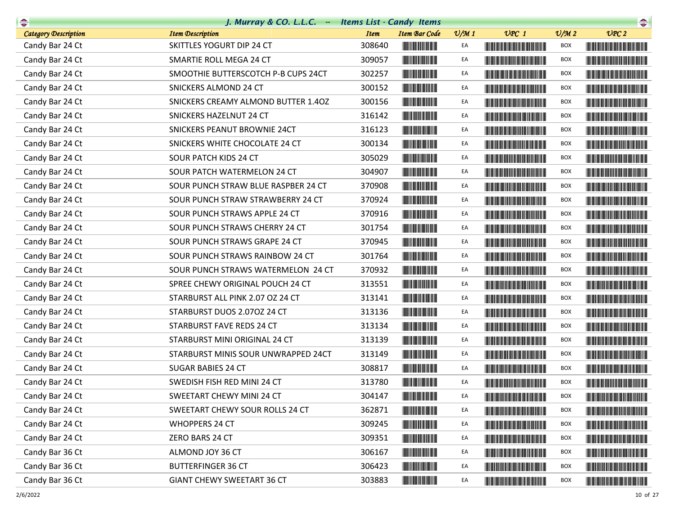|                             | J. Murray & CO. L.L.C. - Items List - Candy Items |             |                                                                                                                       |                 |                                                                                                                                                                                                                                      |                             | $\begin{picture}(20,20) \put(0,0){\line(1,0){10}} \put(15,0){\line(1,0){10}} \put(15,0){\line(1,0){10}} \put(15,0){\line(1,0){10}} \put(15,0){\line(1,0){10}} \put(15,0){\line(1,0){10}} \put(15,0){\line(1,0){10}} \put(15,0){\line(1,0){10}} \put(15,0){\line(1,0){10}} \put(15,0){\line(1,0){10}} \put(15,0){\line(1,0){10}} \put(15,0){\line(1$ |
|-----------------------------|---------------------------------------------------|-------------|-----------------------------------------------------------------------------------------------------------------------|-----------------|--------------------------------------------------------------------------------------------------------------------------------------------------------------------------------------------------------------------------------------|-----------------------------|-----------------------------------------------------------------------------------------------------------------------------------------------------------------------------------------------------------------------------------------------------------------------------------------------------------------------------------------------------|
| <b>Category Description</b> | <b>Item Description</b>                           | <b>Item</b> | <b>Item Bar Code</b>                                                                                                  | $\frac{v}{M}$ 1 | $UPC$ 1                                                                                                                                                                                                                              | $\mathcal{O}/\mathcal{M}$ 2 | UPC2                                                                                                                                                                                                                                                                                                                                                |
| Candy Bar 24 Ct             | SKITTLES YOGURT DIP 24 CT                         | 308640      |                                                                                                                       | EA              |                                                                                                                                                                                                                                      | <b>BOX</b>                  |                                                                                                                                                                                                                                                                                                                                                     |
| Candy Bar 24 Ct             | SMARTIE ROLL MEGA 24 CT                           | 309057      |                                                                                                                       | EA              |                                                                                                                                                                                                                                      | BOX                         |                                                                                                                                                                                                                                                                                                                                                     |
| Candy Bar 24 Ct             | SMOOTHIE BUTTERSCOTCH P-B CUPS 24CT               | 302257      |                                                                                                                       | EA              |                                                                                                                                                                                                                                      | <b>BOX</b>                  |                                                                                                                                                                                                                                                                                                                                                     |
| Candy Bar 24 Ct             | SNICKERS ALMOND 24 CT                             | 300152      |                                                                                                                       | EA              |                                                                                                                                                                                                                                      | BOX                         | <u> Timba ka masa sa kasang mga kalendari ng mga kalendari ng mga kalendari ng mga kalendari ng mga kalendari ng </u>                                                                                                                                                                                                                               |
| Candy Bar 24 Ct             | SNICKERS CREAMY ALMOND BUTTER 1.40Z               | 300156      |                                                                                                                       | EA              |                                                                                                                                                                                                                                      | BOX                         | <u> Harris Harris Harris Harris Harris Harris Harris Harris Harris Harris Harris Harris Harris Harris Harris Harris Harris Harris Harris Harris Harris Harris Harris Harris Harris Harris Harris Harris Harris Harris Harris Har</u>                                                                                                                |
| Candy Bar 24 Ct             | SNICKERS HAZELNUT 24 CT                           | 316142      |                                                                                                                       | EA              | <u> The Community of the Community of the Community of the Community of the Community of the Community of the Community of the Community of the Community of the Community of the Community of the Community of the Community of</u> | <b>BOX</b>                  |                                                                                                                                                                                                                                                                                                                                                     |
| Candy Bar 24 Ct             | SNICKERS PEANUT BROWNIE 24CT                      | 316123      |                                                                                                                       | EA              |                                                                                                                                                                                                                                      | BOX                         |                                                                                                                                                                                                                                                                                                                                                     |
| Candy Bar 24 Ct             | SNICKERS WHITE CHOCOLATE 24 CT                    | 300134      |                                                                                                                       | EA              | <b>The Community of the Community</b>                                                                                                                                                                                                | BOX                         |                                                                                                                                                                                                                                                                                                                                                     |
| Candy Bar 24 Ct             | SOUR PATCH KIDS 24 CT                             | 305029      |                                                                                                                       | EA              |                                                                                                                                                                                                                                      | BOX                         |                                                                                                                                                                                                                                                                                                                                                     |
| Candy Bar 24 Ct             | SOUR PATCH WATERMELON 24 CT                       | 304907      | <u> III de la provincia de la provincia de la provincia de la provincia de la provincia de la provincia de la pro</u> | EA              | <u> Harry Harry Harry Harry Harry Harry Harry Harry Harry Harry Harry Harry Harry Harry Harry Harry Harry Harry Harry Harry Harry Harry Harry Harry Harry Harry Harry Harry Harry Harry Harry Harry Harry Harry Harry Harry Harr</u> | <b>BOX</b>                  |                                                                                                                                                                                                                                                                                                                                                     |
| Candy Bar 24 Ct             | SOUR PUNCH STRAW BLUE RASPBER 24 CT               | 370908      |                                                                                                                       | EA              |                                                                                                                                                                                                                                      | <b>BOX</b>                  |                                                                                                                                                                                                                                                                                                                                                     |
| Candy Bar 24 Ct             | SOUR PUNCH STRAW STRAWBERRY 24 CT                 | 370924      | <u> III de la provincia de la provincia de la provincia de la provincia de la provincia de la provincia de la pr</u>  | EA              | <b>The Committee of the Committee of the Committee</b>                                                                                                                                                                               | BOX                         |                                                                                                                                                                                                                                                                                                                                                     |
| Candy Bar 24 Ct             | SOUR PUNCH STRAWS APPLE 24 CT                     | 370916      | <u> Indian Andrew Maria II</u>                                                                                        | EA              |                                                                                                                                                                                                                                      | BOX                         |                                                                                                                                                                                                                                                                                                                                                     |
| Candy Bar 24 Ct             | SOUR PUNCH STRAWS CHERRY 24 CT                    | 301754      | <u> Indian Andrew Maria II</u>                                                                                        | EA              |                                                                                                                                                                                                                                      | <b>BOX</b>                  |                                                                                                                                                                                                                                                                                                                                                     |
| Candy Bar 24 Ct             | SOUR PUNCH STRAWS GRAPE 24 CT                     | 370945      |                                                                                                                       | EA              |                                                                                                                                                                                                                                      | BOX                         |                                                                                                                                                                                                                                                                                                                                                     |
| Candy Bar 24 Ct             | SOUR PUNCH STRAWS RAINBOW 24 CT                   | 301764      |                                                                                                                       | EA              |                                                                                                                                                                                                                                      | BOX                         |                                                                                                                                                                                                                                                                                                                                                     |
| Candy Bar 24 Ct             | SOUR PUNCH STRAWS WATERMELON 24 CT                | 370932      |                                                                                                                       | EA              | <b>The Community of the Community</b>                                                                                                                                                                                                | <b>BOX</b>                  |                                                                                                                                                                                                                                                                                                                                                     |
| Candy Bar 24 Ct             | SPREE CHEWY ORIGINAL POUCH 24 CT                  | 313551      |                                                                                                                       | EA              |                                                                                                                                                                                                                                      | <b>BOX</b>                  |                                                                                                                                                                                                                                                                                                                                                     |
| Candy Bar 24 Ct             | STARBURST ALL PINK 2.07 OZ 24 CT                  | 313141      |                                                                                                                       | EA              |                                                                                                                                                                                                                                      | BOX                         |                                                                                                                                                                                                                                                                                                                                                     |
| Candy Bar 24 Ct             | STARBURST DUOS 2.070Z 24 CT                       | 313136      |                                                                                                                       | EA              |                                                                                                                                                                                                                                      | BOX                         |                                                                                                                                                                                                                                                                                                                                                     |
| Candy Bar 24 Ct             | STARBURST FAVE REDS 24 CT                         | 313134      |                                                                                                                       | EA              |                                                                                                                                                                                                                                      | <b>BOX</b>                  |                                                                                                                                                                                                                                                                                                                                                     |
| Candy Bar 24 Ct             | STARBURST MINI ORIGINAL 24 CT                     | 313139      |                                                                                                                       | EA              |                                                                                                                                                                                                                                      | <b>BOX</b>                  |                                                                                                                                                                                                                                                                                                                                                     |
| Candy Bar 24 Ct             | STARBURST MINIS SOUR UNWRAPPED 24CT               | 313149      |                                                                                                                       | EA              | <u> Harris Barbara (Barbara) </u>                                                                                                                                                                                                    | BOX                         |                                                                                                                                                                                                                                                                                                                                                     |
| Candy Bar 24 Ct             | SUGAR BABIES 24 CT                                | 308817      |                                                                                                                       | EA              |                                                                                                                                                                                                                                      | BOX                         |                                                                                                                                                                                                                                                                                                                                                     |
| Candy Bar 24 Ct             | SWEDISH FISH RED MINI 24 CT                       | 313780      | <u> Lithagan ann an 197</u>                                                                                           | EA              |                                                                                                                                                                                                                                      | <b>BOX</b>                  |                                                                                                                                                                                                                                                                                                                                                     |
| Candy Bar 24 Ct             | SWEETART CHEWY MINI 24 CT                         | 304147      | <b>THE REAL PROPERTY</b>                                                                                              | EA              |                                                                                                                                                                                                                                      | <b>BOX</b>                  |                                                                                                                                                                                                                                                                                                                                                     |
| Candy Bar 24 Ct             | SWEETART CHEWY SOUR ROLLS 24 CT                   | 362871      |                                                                                                                       | EA              | <u> The Community of the Community of the Community of the Community of the Community of the Community of the Community of the Community of the Community of the Community of the Community of the Community of the Community of</u> | BOX                         | <b>The Committee of the Committee of the Committee of the Committee of the Committee</b>                                                                                                                                                                                                                                                            |
| Candy Bar 24 Ct             | <b>WHOPPERS 24 CT</b>                             | 309245      |                                                                                                                       | EA              |                                                                                                                                                                                                                                      | BOX                         |                                                                                                                                                                                                                                                                                                                                                     |
| Candy Bar 24 Ct             | ZERO BARS 24 CT                                   | 309351      | <u> Herbert Herbert in der Entschaft</u>                                                                              | EA              |                                                                                                                                                                                                                                      | BOX                         |                                                                                                                                                                                                                                                                                                                                                     |
| Candy Bar 36 Ct             | ALMOND JOY 36 CT                                  | 306167      |                                                                                                                       | EA              | <u> Harry Harry Harry Harry Harry Harry Harry Harry Harry Harry Harry Harry Harry Harry Harry Harry Harry Harry H</u>                                                                                                                | <b>BOX</b>                  |                                                                                                                                                                                                                                                                                                                                                     |
| Candy Bar 36 Ct             | <b>BUTTERFINGER 36 CT</b>                         | 306423      |                                                                                                                       | EA              |                                                                                                                                                                                                                                      | BOX                         |                                                                                                                                                                                                                                                                                                                                                     |
| Candy Bar 36 Ct             | <b>GIANT CHEWY SWEETART 36 CT</b>                 | 303883      |                                                                                                                       | EA              | <b>The Committee of the Committee of the Committee</b>                                                                                                                                                                               | <b>BOX</b>                  |                                                                                                                                                                                                                                                                                                                                                     |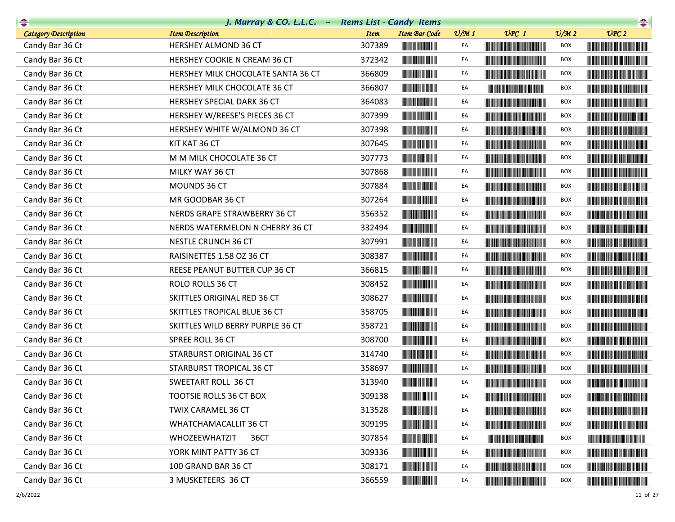| $\begin{picture}(20,10) \put(0,0){\line(1,0){10}} \put(10,0){\line(1,0){10}} \put(10,0){\line(1,0){10}} \put(10,0){\line(1,0){10}} \put(10,0){\line(1,0){10}} \put(10,0){\line(1,0){10}} \put(10,0){\line(1,0){10}} \put(10,0){\line(1,0){10}} \put(10,0){\line(1,0){10}} \put(10,0){\line(1,0){10}} \put(10,0){\line(1,0){10}} \put(10,0){\line(1$ | J. Murray & CO. L.L.C. - Items List - Candy Items |             |                                       |                 |                                                                                                                                                                                                                                      |                             | $\begin{picture}(20,10) \put(0,0){\line(1,0){10}} \put(10,0){\line(1,0){10}} \put(10,0){\line(1,0){10}} \put(10,0){\line(1,0){10}} \put(10,0){\line(1,0){10}} \put(10,0){\line(1,0){10}} \put(10,0){\line(1,0){10}} \put(10,0){\line(1,0){10}} \put(10,0){\line(1,0){10}} \put(10,0){\line(1,0){10}} \put(10,0){\line(1,0){10}} \put(10,0){\line(1$ |
|-----------------------------------------------------------------------------------------------------------------------------------------------------------------------------------------------------------------------------------------------------------------------------------------------------------------------------------------------------|---------------------------------------------------|-------------|---------------------------------------|-----------------|--------------------------------------------------------------------------------------------------------------------------------------------------------------------------------------------------------------------------------------|-----------------------------|-----------------------------------------------------------------------------------------------------------------------------------------------------------------------------------------------------------------------------------------------------------------------------------------------------------------------------------------------------|
| Category Description                                                                                                                                                                                                                                                                                                                                | <b>Item Description</b>                           | <b>Item</b> | <b>Item Bar Code</b>                  | $\frac{v}{M}$ 1 | $UPC$ 1                                                                                                                                                                                                                              | $\mathcal{O}/\mathcal{M}$ 2 | UPC2                                                                                                                                                                                                                                                                                                                                                |
| Candy Bar 36 Ct                                                                                                                                                                                                                                                                                                                                     | HERSHEY ALMOND 36 CT                              | 307389      |                                       | EA              |                                                                                                                                                                                                                                      | <b>BOX</b>                  |                                                                                                                                                                                                                                                                                                                                                     |
| Candy Bar 36 Ct                                                                                                                                                                                                                                                                                                                                     | HERSHEY COOKIE N CREAM 36 CT                      | 372342      |                                       | EA              |                                                                                                                                                                                                                                      | <b>BOX</b>                  |                                                                                                                                                                                                                                                                                                                                                     |
| Candy Bar 36 Ct                                                                                                                                                                                                                                                                                                                                     | HERSHEY MILK CHOCOLATE SANTA 36 CT                | 366809      |                                       | EA              |                                                                                                                                                                                                                                      | <b>BOX</b>                  |                                                                                                                                                                                                                                                                                                                                                     |
| Candy Bar 36 Ct                                                                                                                                                                                                                                                                                                                                     | HERSHEY MILK CHOCOLATE 36 CT                      | 366807      |                                       | EA              | <u> Liberal Maria de la contra</u>                                                                                                                                                                                                   | BOX                         |                                                                                                                                                                                                                                                                                                                                                     |
| Candy Bar 36 Ct                                                                                                                                                                                                                                                                                                                                     | HERSHEY SPECIAL DARK 36 CT                        | 364083      |                                       | EA              |                                                                                                                                                                                                                                      | <b>BOX</b>                  |                                                                                                                                                                                                                                                                                                                                                     |
| Candy Bar 36 Ct                                                                                                                                                                                                                                                                                                                                     | HERSHEY W/REESE'S PIECES 36 CT                    | 307399      |                                       | EA              | <u> Timba ka masa sa mga kasang ng mga kalendari ng mga kasang ng mga kalendari ng mga kasang ng mga kalendari ng </u>                                                                                                               | <b>BOX</b>                  | <u> Liberal Maria Maria Maria Maria Maria Maria Maria Maria Maria Maria Maria Maria Maria Maria Maria Maria Maria </u>                                                                                                                                                                                                                              |
| Candy Bar 36 Ct                                                                                                                                                                                                                                                                                                                                     | HERSHEY WHITE W/ALMOND 36 CT                      | 307398      |                                       | EA              |                                                                                                                                                                                                                                      | <b>BOX</b>                  |                                                                                                                                                                                                                                                                                                                                                     |
| Candy Bar 36 Ct                                                                                                                                                                                                                                                                                                                                     | KIT KAT 36 CT                                     | 307645      |                                       | EA              |                                                                                                                                                                                                                                      | <b>BOX</b>                  | <b>The Community of the Community</b>                                                                                                                                                                                                                                                                                                               |
| Candy Bar 36 Ct                                                                                                                                                                                                                                                                                                                                     | M M MILK CHOCOLATE 36 CT                          | 307773      |                                       | EA              | <b>The Community of the Community</b>                                                                                                                                                                                                | <b>BOX</b>                  |                                                                                                                                                                                                                                                                                                                                                     |
| Candy Bar 36 Ct                                                                                                                                                                                                                                                                                                                                     | MILKY WAY 36 CT                                   | 307868      | <b>The Common Service Common</b>      | EA              | <b>The Common Section</b>                                                                                                                                                                                                            | <b>BOX</b>                  |                                                                                                                                                                                                                                                                                                                                                     |
| Candy Bar 36 Ct                                                                                                                                                                                                                                                                                                                                     | MOUNDS 36 CT                                      | 307884      |                                       | EA              |                                                                                                                                                                                                                                      | <b>BOX</b>                  |                                                                                                                                                                                                                                                                                                                                                     |
| Candy Bar 36 Ct                                                                                                                                                                                                                                                                                                                                     | MR GOODBAR 36 CT                                  | 307264      |                                       | EA              |                                                                                                                                                                                                                                      | <b>BOX</b>                  | <u> Harry Harry Harry Harry Harry Harry Harry Harry Harry Harry Harry Harry Harry Harry Harry Harry Harry Harry Harry Harry Harry Harry Harry Harry Harry Harry Harry Harry Harry Harry Harry Harry Harry Harry Harry Harry Harr</u>                                                                                                                |
| Candy Bar 36 Ct                                                                                                                                                                                                                                                                                                                                     | NERDS GRAPE STRAWBERRY 36 CT                      | 356352      |                                       | EA              | <b>Contract Contract Contract Contract Contract Contract Contract Contract Contract Contract Contract Contract Co</b>                                                                                                                | <b>BOX</b>                  |                                                                                                                                                                                                                                                                                                                                                     |
| Candy Bar 36 Ct                                                                                                                                                                                                                                                                                                                                     | NERDS WATERMELON N CHERRY 36 CT                   | 332494      |                                       | EA              | <u> Die Berger von Die Berger von Die Berger von Die Berger von Die Berger von Die Berger von Die Berger von Die B</u>                                                                                                               | <b>BOX</b>                  |                                                                                                                                                                                                                                                                                                                                                     |
| Candy Bar 36 Ct                                                                                                                                                                                                                                                                                                                                     | NESTLE CRUNCH 36 CT                               | 307991      |                                       | EA              |                                                                                                                                                                                                                                      | BOX                         |                                                                                                                                                                                                                                                                                                                                                     |
| Candy Bar 36 Ct                                                                                                                                                                                                                                                                                                                                     | RAISINETTES 1.58 OZ 36 CT                         | 308387      |                                       | EA              | <u> Harry Harry Harry Harry Harry Harry Harry Harry Harry Harry Harry Harry Harry Harry Harry Harry Harry Harry Harry Harry Harry Harry Harry Harry Harry Harry Harry Harry Harry Harry Harry Harry Harry Harry Harry Harry Harr</u> | <b>BOX</b>                  |                                                                                                                                                                                                                                                                                                                                                     |
| Candy Bar 36 Ct                                                                                                                                                                                                                                                                                                                                     | REESE PEANUT BUTTER CUP 36 CT                     | 366815      | <u> Indian Andrew Maria II</u>        | EA              |                                                                                                                                                                                                                                      | <b>BOX</b>                  |                                                                                                                                                                                                                                                                                                                                                     |
| Candy Bar 36 Ct                                                                                                                                                                                                                                                                                                                                     | ROLO ROLLS 36 CT                                  | 308452      | <b>The Common Service</b>             | EA              |                                                                                                                                                                                                                                      | <b>BOX</b>                  |                                                                                                                                                                                                                                                                                                                                                     |
| Candy Bar 36 Ct                                                                                                                                                                                                                                                                                                                                     | SKITTLES ORIGINAL RED 36 CT                       | 308627      | <u> Indian Andrew Maria II</u>        | EA              |                                                                                                                                                                                                                                      | BOX                         |                                                                                                                                                                                                                                                                                                                                                     |
| Candy Bar 36 Ct                                                                                                                                                                                                                                                                                                                                     | SKITTLES TROPICAL BLUE 36 CT                      | 358705      |                                       | EA              |                                                                                                                                                                                                                                      | <b>BOX</b>                  |                                                                                                                                                                                                                                                                                                                                                     |
| Candy Bar 36 Ct                                                                                                                                                                                                                                                                                                                                     | SKITTLES WILD BERRY PURPLE 36 CT                  | 358721      |                                       | EA              |                                                                                                                                                                                                                                      | <b>BOX</b>                  |                                                                                                                                                                                                                                                                                                                                                     |
| Candy Bar 36 Ct                                                                                                                                                                                                                                                                                                                                     | SPREE ROLL 36 CT                                  | 308700      |                                       | EA              | <u> Liberal Maria San Angelin (</u>                                                                                                                                                                                                  | BOX                         | <u> The Community of the Community of the Community of the Community of the Community of the Community of the Community of the Community of the Community of the Community of the Community of the Community of the Community of</u>                                                                                                                |
| Candy Bar 36 Ct                                                                                                                                                                                                                                                                                                                                     | STARBURST ORIGINAL 36 CT                          | 314740      | <b>The Committee of the Committee</b> | EA              | <b>The Community of the Community</b>                                                                                                                                                                                                | BOX                         | <u> Timba ka matsayin ka matsayin ka matsayin ka matsayin ka matsayin ka matsayin ka matsayin ka matsayin ka matsayin ka matsayin ka matsayin ka matsayin ka matsayin ka matsayin ka matsayin ka matsayin ka matsayin ka matsayi</u>                                                                                                                |
| Candy Bar 36 Ct                                                                                                                                                                                                                                                                                                                                     | STARBURST TROPICAL 36 CT                          | 358697      |                                       | EA              |                                                                                                                                                                                                                                      | BOX                         |                                                                                                                                                                                                                                                                                                                                                     |
| Candy Bar 36 Ct                                                                                                                                                                                                                                                                                                                                     | SWEETART ROLL 36 CT                               | 313940      |                                       | EA              |                                                                                                                                                                                                                                      | <b>BOX</b>                  |                                                                                                                                                                                                                                                                                                                                                     |
| Candy Bar 36 Ct                                                                                                                                                                                                                                                                                                                                     | TOOTSIE ROLLS 36 CT BOX                           | 309138      | <b>The Community</b>                  | EA              |                                                                                                                                                                                                                                      | <b>BOX</b>                  |                                                                                                                                                                                                                                                                                                                                                     |
| Candy Bar 36 Ct                                                                                                                                                                                                                                                                                                                                     | TWIX CARAMEL 36 CT                                | 313528      |                                       | EA              | <b>The Community of the Community</b>                                                                                                                                                                                                | BOX                         | <u> Harry Harry Harry Harry Harry Harry Harry Harry Harry Harry Harry Harry Harry Harry Harry Harry Harry Harry Harry Harry Harry Harry Harry Harry Harry Harry Harry Harry Harry Harry Harry Harry Harry Harry Harry Harry Harr</u>                                                                                                                |
| Candy Bar 36 Ct                                                                                                                                                                                                                                                                                                                                     | WHATCHAMACALLIT 36 CT                             | 309195      |                                       | EA              |                                                                                                                                                                                                                                      | <b>BOX</b>                  |                                                                                                                                                                                                                                                                                                                                                     |
| Candy Bar 36 Ct                                                                                                                                                                                                                                                                                                                                     | WHOZEEWHATZIT<br>36CT                             | 307854      | <u> Indian American Ind</u>           | EA              | <u> Herbert Herbert in der Erste der Erste der Erste der Erste der Erste der Erste der Erste der Erste der Erste </u>                                                                                                                | BOX                         |                                                                                                                                                                                                                                                                                                                                                     |
| Candy Bar 36 Ct                                                                                                                                                                                                                                                                                                                                     | YORK MINT PATTY 36 CT                             | 309336      |                                       | EA              | <u> Timba ka matsayin ka matsayin ka matsayin ka matsayin ka matsayin ka matsayin ka matsayin ka matsayin ka matsayin ka matsayin ka matsayin ka matsayin ka matsayin ka matsayin ka matsayin ka matsayin ka matsayin ka matsayi</u> | BOX                         |                                                                                                                                                                                                                                                                                                                                                     |
| Candy Bar 36 Ct                                                                                                                                                                                                                                                                                                                                     | 100 GRAND BAR 36 CT                               | 308171      |                                       | EA              | <u> Timba ka matsayin ka matsayin ka matsayin ka matsayin ka matsayin ka matsayin ka matsayin ka matsayin ka matsayin ka matsayin ka matsayin ka matsayin ka matsayin ka matsayin ka matsayin ka matsayin ka matsayin ka matsayi</u> | BOX                         | <u> Harry Harry Harry Harry Harry Harry Harry Harry Harry Harry Harry Harry Harry Harry Harry Harry Harry Harry H</u>                                                                                                                                                                                                                               |
| Candy Bar 36 Ct                                                                                                                                                                                                                                                                                                                                     | 3 MUSKETEERS 36 CT                                | 366559      |                                       | EA              |                                                                                                                                                                                                                                      | BOX                         | <b>The Community of the Community</b>                                                                                                                                                                                                                                                                                                               |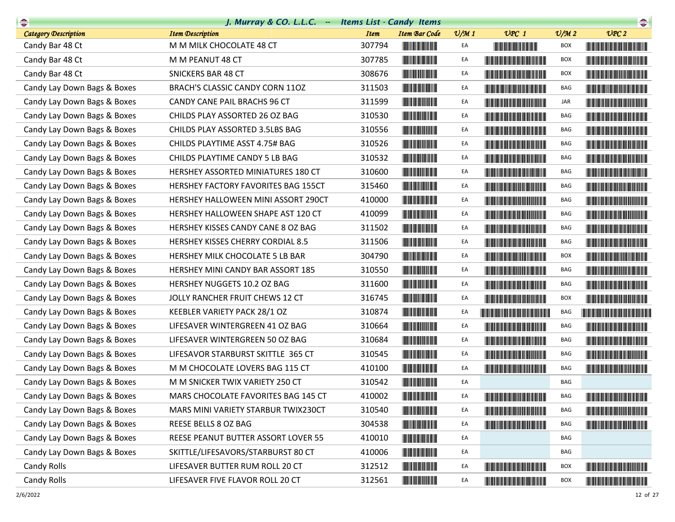| $\frac{1}{2}$               | J. Murray & CO. L.L.C. - Items List - Candy Items |             |                                                        |                 |                                                                                                                                                                                                                                      |                             | $\begin{picture}(20,10) \put(0,0){\line(1,0){10}} \put(10,0){\line(1,0){10}} \put(10,0){\line(1,0){10}} \put(10,0){\line(1,0){10}} \put(10,0){\line(1,0){10}} \put(10,0){\line(1,0){10}} \put(10,0){\line(1,0){10}} \put(10,0){\line(1,0){10}} \put(10,0){\line(1,0){10}} \put(10,0){\line(1,0){10}} \put(10,0){\line(1,0){10}} \put(10,0){\line(1$ |
|-----------------------------|---------------------------------------------------|-------------|--------------------------------------------------------|-----------------|--------------------------------------------------------------------------------------------------------------------------------------------------------------------------------------------------------------------------------------|-----------------------------|-----------------------------------------------------------------------------------------------------------------------------------------------------------------------------------------------------------------------------------------------------------------------------------------------------------------------------------------------------|
| <b>Category Description</b> | <b>Item Description</b>                           | <b>Item</b> | <b>Item Bar Code</b>                                   | $\frac{v}{M}$ 1 | $UPC$ 1                                                                                                                                                                                                                              | $\mathcal{O}/\mathcal{M}$ 2 | UPC2                                                                                                                                                                                                                                                                                                                                                |
| Candy Bar 48 Ct             | M M MILK CHOCOLATE 48 CT                          | 307794      | <b>The Committee of the Committee of the Committee</b> | EA              |                                                                                                                                                                                                                                      | BOX                         | <b>The Community of the Community</b>                                                                                                                                                                                                                                                                                                               |
| Candy Bar 48 Ct             | M M PEANUT 48 CT                                  | 307785      | <b>CONTRACTOR</b>                                      | EA              |                                                                                                                                                                                                                                      | <b>BOX</b>                  |                                                                                                                                                                                                                                                                                                                                                     |
| Candy Bar 48 Ct             | <b>SNICKERS BAR 48 CT</b>                         | 308676      |                                                        | EA              |                                                                                                                                                                                                                                      | <b>BOX</b>                  |                                                                                                                                                                                                                                                                                                                                                     |
| Candy Lay Down Bags & Boxes | BRACH'S CLASSIC CANDY CORN 11OZ                   | 311503      |                                                        | EA              | <u> Liberal Maria de la contrada de la con</u>                                                                                                                                                                                       | BAG                         |                                                                                                                                                                                                                                                                                                                                                     |
| Candy Lay Down Bags & Boxes | CANDY CANE PAIL BRACHS 96 CT                      | 311599      |                                                        | EA              |                                                                                                                                                                                                                                      | JAR                         |                                                                                                                                                                                                                                                                                                                                                     |
| Candy Lay Down Bags & Boxes | CHILDS PLAY ASSORTED 26 OZ BAG                    | 310530      |                                                        | EA              | <u> Harry Harry Harry Harry Harry Harry Harry Harry Harry Harry Harry Harry Harry Harry Harry Harry Harry Harry Harry Harry Harry Harry Harry Harry Harry Harry Harry Harry Harry Harry Harry Harry Harry Harry Harry Harry Harr</u> | BAG                         |                                                                                                                                                                                                                                                                                                                                                     |
| Candy Lay Down Bags & Boxes | CHILDS PLAY ASSORTED 3.5LBS BAG                   | 310556      |                                                        | EA              |                                                                                                                                                                                                                                      | BAG                         |                                                                                                                                                                                                                                                                                                                                                     |
| Candy Lay Down Bags & Boxes | CHILDS PLAYTIME ASST 4.75# BAG                    | 310526      |                                                        | EA              |                                                                                                                                                                                                                                      | BAG                         | <b>The Community of the Community</b>                                                                                                                                                                                                                                                                                                               |
| Candy Lay Down Bags & Boxes | CHILDS PLAYTIME CANDY 5 LB BAG                    | 310532      |                                                        | EA              | <b>The Common Section</b>                                                                                                                                                                                                            | BAG                         |                                                                                                                                                                                                                                                                                                                                                     |
| Candy Lay Down Bags & Boxes | HERSHEY ASSORTED MINIATURES 180 CT                | 310600      | <b>The Committee of the Committee of the Committee</b> | EA              | <u> Liberal Maria Maria Maria Maria Maria Maria Maria Maria Maria Maria Maria Maria Maria Maria Maria Maria Maria </u>                                                                                                               | BAG                         | <u> Timba ka masa sa kasang mga kalendari ng mga kasang mga kalendari ng mga kasang mga kasang mga kasang mga kasang mga kasang mga kasang mga kasang mga kasang mga kasang mga kasang mga kasang mga kasang mga kasang mga kasa</u>                                                                                                                |
| Candy Lay Down Bags & Boxes | HERSHEY FACTORY FAVORITES BAG 155CT               | 315460      |                                                        | EA              |                                                                                                                                                                                                                                      | BAG                         |                                                                                                                                                                                                                                                                                                                                                     |
| Candy Lay Down Bags & Boxes | HERSHEY HALLOWEEN MINI ASSORT 290CT               | 410000      |                                                        | EA              |                                                                                                                                                                                                                                      | BAG                         |                                                                                                                                                                                                                                                                                                                                                     |
| Candy Lay Down Bags & Boxes | HERSHEY HALLOWEEN SHAPE AST 120 CT                | 410099      |                                                        | EA              |                                                                                                                                                                                                                                      | BAG                         |                                                                                                                                                                                                                                                                                                                                                     |
| Candy Lay Down Bags & Boxes | HERSHEY KISSES CANDY CANE 8 OZ BAG                | 311502      |                                                        | EA              |                                                                                                                                                                                                                                      | BAG                         |                                                                                                                                                                                                                                                                                                                                                     |
| Candy Lay Down Bags & Boxes | HERSHEY KISSES CHERRY CORDIAL 8.5                 | 311506      |                                                        | EA              |                                                                                                                                                                                                                                      | BAG                         |                                                                                                                                                                                                                                                                                                                                                     |
| Candy Lay Down Bags & Boxes | HERSHEY MILK CHOCOLATE 5 LB BAR                   | 304790      |                                                        | EA              |                                                                                                                                                                                                                                      | BOX                         | <b>The Community of the Community</b>                                                                                                                                                                                                                                                                                                               |
| Candy Lay Down Bags & Boxes | HERSHEY MINI CANDY BAR ASSORT 185                 | 310550      |                                                        | EA              |                                                                                                                                                                                                                                      | BAG                         |                                                                                                                                                                                                                                                                                                                                                     |
| Candy Lay Down Bags & Boxes | HERSHEY NUGGETS 10.2 OZ BAG                       | 311600      |                                                        | EA              | <b>The Community of the Community</b>                                                                                                                                                                                                | BAG                         |                                                                                                                                                                                                                                                                                                                                                     |
| Candy Lay Down Bags & Boxes | JOLLY RANCHER FRUIT CHEWS 12 CT                   | 316745      |                                                        | EA              |                                                                                                                                                                                                                                      | BOX                         |                                                                                                                                                                                                                                                                                                                                                     |
| Candy Lay Down Bags & Boxes | KEEBLER VARIETY PACK 28/1 OZ                      | 310874      |                                                        | EA              | <u> Liberaldo de la contrada de la con</u>                                                                                                                                                                                           | BAG                         | <u> Liberal Maria Maria San Barat III a Shekara ta 1989 da kasas na shekara ta 1989 da kasas na shekara ta 1981 da </u>                                                                                                                                                                                                                             |
| Candy Lay Down Bags & Boxes | LIFESAVER WINTERGREEN 41 OZ BAG                   | 310664      |                                                        | EA              |                                                                                                                                                                                                                                      | BAG                         |                                                                                                                                                                                                                                                                                                                                                     |
| Candy Lay Down Bags & Boxes | LIFESAVER WINTERGREEN 50 OZ BAG                   | 310684      |                                                        | EA              |                                                                                                                                                                                                                                      | BAG                         |                                                                                                                                                                                                                                                                                                                                                     |
| Candy Lay Down Bags & Boxes | LIFESAVOR STARBURST SKITTLE 365 CT                | 310545      |                                                        | EA              |                                                                                                                                                                                                                                      | BAG                         |                                                                                                                                                                                                                                                                                                                                                     |
| Candy Lay Down Bags & Boxes | M M CHOCOLATE LOVERS BAG 115 CT                   | 410100      |                                                        | EA              |                                                                                                                                                                                                                                      | BAG                         |                                                                                                                                                                                                                                                                                                                                                     |
| Candy Lay Down Bags & Boxes | M M SNICKER TWIX VARIETY 250 CT                   | 310542      |                                                        | EA              |                                                                                                                                                                                                                                      | BAG                         |                                                                                                                                                                                                                                                                                                                                                     |
| Candy Lay Down Bags & Boxes | MARS CHOCOLATE FAVORITES BAG 145 CT               | 410002      | <u> Hill Hill Hill</u>                                 | EA              |                                                                                                                                                                                                                                      | BAG                         |                                                                                                                                                                                                                                                                                                                                                     |
| Candy Lay Down Bags & Boxes | MARS MINI VARIETY STARBUR TWIX230CT               | 310540      |                                                        | EA              | <b>The Common Section</b>                                                                                                                                                                                                            | BAG                         |                                                                                                                                                                                                                                                                                                                                                     |
| Candy Lay Down Bags & Boxes | REESE BELLS 8 OZ BAG                              | 304538      |                                                        | EA              | <u> Timba ka masa sa kasang mga kasang mga kasang mga kasang mga kasang mga kasang mga kasang mga kasang mga kasang mga kasang mga kasang mga kasang mga kasang mga kasang mga kasang mga kasang mga kasang mga kasang mga kasan</u> | BAG                         | <u> Harry Harry Harry Harry Harry Harry Harry Harry Harry Harry Harry Harry Harry Harry Harry Harry Harry Harry H</u>                                                                                                                                                                                                                               |
| Candy Lay Down Bags & Boxes | REESE PEANUT BUTTER ASSORT LOVER 55               | 410010      | <u> III wa mwaka wa 1999 k</u>                         | EA              |                                                                                                                                                                                                                                      | <b>BAG</b>                  |                                                                                                                                                                                                                                                                                                                                                     |
| Candy Lay Down Bags & Boxes | SKITTLE/LIFESAVORS/STARBURST 80 CT                | 410006      |                                                        | EA              |                                                                                                                                                                                                                                      | BAG                         |                                                                                                                                                                                                                                                                                                                                                     |
| Candy Rolls                 | LIFESAVER BUTTER RUM ROLL 20 CT                   | 312512      | <b>The Community of Science</b>                        | EA              | <u> Liberal Maria Maria Maria Maria Maria Maria Maria Maria Maria Maria Maria Maria Maria Maria Maria Maria Maria </u>                                                                                                               | <b>BOX</b>                  | <u> Harris Albert Harris Schwaltzeit der Berger der Berger der Berger der Berger der Berger der Berger der Berger</u>                                                                                                                                                                                                                               |
| Candy Rolls                 | LIFESAVER FIVE FLAVOR ROLL 20 CT                  | 312561      | <b>The Common Service Common</b>                       | EA              | <u> Tanzania de la provincia de la provincia de la provincia de la provincia de la provincia de la provincia de</u>                                                                                                                  | BOX                         | <u> Harry Harry Harry Harry Harry Harry Harry Harry Harry Harry Harry Harry Harry Harry Harry Harry Harry Harry H</u>                                                                                                                                                                                                                               |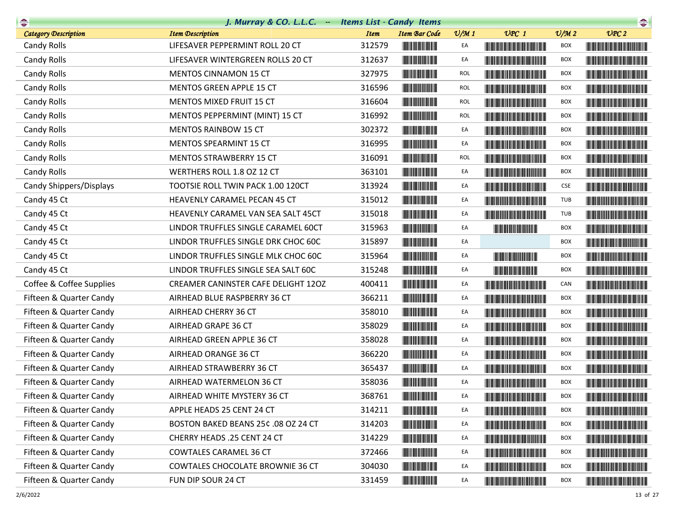| <b>Change</b>            | J. Murray & CO. L.L.C. - Items List - Candy Items |             |                                                                                                                       |                 |                                                                                                                                                                                                                                      |                             | $\begin{picture}(20,10) \put(0,0){\line(1,0){10}} \put(0,0){\line(1,0){10}} \put(0,0){\line(1,0){10}} \put(0,0){\line(1,0){10}} \put(0,0){\line(1,0){10}} \put(0,0){\line(1,0){10}} \put(0,0){\line(1,0){10}} \put(0,0){\line(1,0){10}} \put(0,0){\line(1,0){10}} \put(0,0){\line(1,0){10}} \put(0,0){\line(1,0){10}} \put(0,0){\line(1,0){10}} \put(0,$ |
|--------------------------|---------------------------------------------------|-------------|-----------------------------------------------------------------------------------------------------------------------|-----------------|--------------------------------------------------------------------------------------------------------------------------------------------------------------------------------------------------------------------------------------|-----------------------------|----------------------------------------------------------------------------------------------------------------------------------------------------------------------------------------------------------------------------------------------------------------------------------------------------------------------------------------------------------|
| Category Description     | <b>Item Description</b>                           | <b>Item</b> | <b>Item Bar Code</b>                                                                                                  | $\frac{v}{M}$ 1 | $UPC$ 1                                                                                                                                                                                                                              | $\mathcal{O}/\mathcal{M}$ 2 | UPC2                                                                                                                                                                                                                                                                                                                                                     |
| Candy Rolls              | LIFESAVER PEPPERMINT ROLL 20 CT                   | 312579      |                                                                                                                       | EA              |                                                                                                                                                                                                                                      | <b>BOX</b>                  |                                                                                                                                                                                                                                                                                                                                                          |
| Candy Rolls              | LIFESAVER WINTERGREEN ROLLS 20 CT                 | 312637      | <b>The Committee of the Committee of the Committee</b>                                                                | EA              | <u> The Community of the Community of the Community of the Community of the Community of the Community of the Co</u>                                                                                                                 | <b>BOX</b>                  |                                                                                                                                                                                                                                                                                                                                                          |
| Candy Rolls              | MENTOS CINNAMON 15 CT                             | 327975      |                                                                                                                       | <b>ROL</b>      |                                                                                                                                                                                                                                      | <b>BOX</b>                  |                                                                                                                                                                                                                                                                                                                                                          |
| Candy Rolls              | MENTOS GREEN APPLE 15 CT                          | 316596      |                                                                                                                       | <b>ROL</b>      |                                                                                                                                                                                                                                      | BOX                         |                                                                                                                                                                                                                                                                                                                                                          |
| Candy Rolls              | <b>MENTOS MIXED FRUIT 15 CT</b>                   | 316604      | <b>The Common Service Common</b>                                                                                      | <b>ROL</b>      |                                                                                                                                                                                                                                      | <b>BOX</b>                  | <u> Harat Barat Barat Barat Barat Barat Barat Barat Barat Barat Barat Barat Barat Barat Barat Barat Barat Barat Barat Barat Barat Barat Barat Barat Barat Barat Barat Barat Barat Barat Barat Barat Barat Barat Barat Barat Bara</u>                                                                                                                     |
| Candy Rolls              | MENTOS PEPPERMINT (MINT) 15 CT                    | 316992      |                                                                                                                       | <b>ROL</b>      |                                                                                                                                                                                                                                      | BOX                         |                                                                                                                                                                                                                                                                                                                                                          |
| Candy Rolls              | <b>MENTOS RAINBOW 15 CT</b>                       | 302372      |                                                                                                                       | EA              | <u> Harry Harry Harry Harry Harry Harry Harry Harry Harry Harry Harry Harry Harry Harry Harry Harry Harry Harry Harry Harry Harry Harry Harry Harry Harry Harry Harry Harry Harry Harry Harry Harry Harry Harry Harry Harry Harr</u> | <b>BOX</b>                  | <u> Harry Harry Harry Harry Harry Harry Harry Harry Harry Harry Harry Harry Harry Harry Harry Harry Harry Harry Harry Harry Harry Harry Harry Harry Harry Harry Harry Harry Harry Harry Harry Harry Harry Harry Harry Harry Harr</u>                                                                                                                     |
| Candy Rolls              | MENTOS SPEARMINT 15 CT                            | 316995      |                                                                                                                       | EA              |                                                                                                                                                                                                                                      | <b>BOX</b>                  |                                                                                                                                                                                                                                                                                                                                                          |
| Candy Rolls              | MENTOS STRAWBERRY 15 CT                           | 316091      |                                                                                                                       | <b>ROL</b>      |                                                                                                                                                                                                                                      | <b>BOX</b>                  |                                                                                                                                                                                                                                                                                                                                                          |
| Candy Rolls              | WERTHERS ROLL 1.8 OZ 12 CT                        | 363101      |                                                                                                                       | EA              |                                                                                                                                                                                                                                      | <b>BOX</b>                  |                                                                                                                                                                                                                                                                                                                                                          |
| Candy Shippers/Displays  | TOOTSIE ROLL TWIN PACK 1.00 120CT                 | 313924      | <b>The Community</b>                                                                                                  | EA              |                                                                                                                                                                                                                                      | CSE                         |                                                                                                                                                                                                                                                                                                                                                          |
| Candy 45 Ct              | HEAVENLY CARAMEL PECAN 45 CT                      | 315012      |                                                                                                                       | EA              |                                                                                                                                                                                                                                      | TUB                         |                                                                                                                                                                                                                                                                                                                                                          |
| Candy 45 Ct              | HEAVENLY CARAMEL VAN SEA SALT 45CT                | 315018      |                                                                                                                       | EA              |                                                                                                                                                                                                                                      | TUB                         |                                                                                                                                                                                                                                                                                                                                                          |
| Candy 45 Ct              | LINDOR TRUFFLES SINGLE CARAMEL 60CT               | 315963      | <b>The Community</b>                                                                                                  | EA              | <b>The Common Service Common</b>                                                                                                                                                                                                     | <b>BOX</b>                  | <u> Timba ka matsayin ka matsayin ka matsayin ka matsayin ka matsayin ka matsayin ka matsayin ka matsayin ka matsayin ka matsayin ka matsayin ka matsayin ka matsayin ka matsayin ka matsayin ka matsayin ka matsayin ka matsayi</u>                                                                                                                     |
| Candy 45 Ct              | LINDOR TRUFFLES SINGLE DRK CHOC 60C               | 315897      |                                                                                                                       | EA              |                                                                                                                                                                                                                                      | <b>BOX</b>                  |                                                                                                                                                                                                                                                                                                                                                          |
| Candy 45 Ct              | LINDOR TRUFFLES SINGLE MLK CHOC 60C               | 315964      |                                                                                                                       | EA              | <b>The Community</b>                                                                                                                                                                                                                 | <b>BOX</b>                  |                                                                                                                                                                                                                                                                                                                                                          |
| Candy 45 Ct              | LINDOR TRUFFLES SINGLE SEA SALT 60C               | 315248      |                                                                                                                       | EA              |                                                                                                                                                                                                                                      | BOX                         |                                                                                                                                                                                                                                                                                                                                                          |
| Coffee & Coffee Supplies | CREAMER CANINSTER CAFE DELIGHT 120Z               | 400411      | <b>The Committee of the Committee of the Committee</b>                                                                | EA              | <u> Harry Harry Harry Harry Harry Harry Harry Harry Harry Harry Harry Harry Harry Harry Harry Harry Harry Harry H</u>                                                                                                                | CAN                         |                                                                                                                                                                                                                                                                                                                                                          |
| Fifteen & Quarter Candy  | AIRHEAD BLUE RASPBERRY 36 CT                      | 366211      |                                                                                                                       | EA              |                                                                                                                                                                                                                                      | <b>BOX</b>                  |                                                                                                                                                                                                                                                                                                                                                          |
| Fifteen & Quarter Candy  | AIRHEAD CHERRY 36 CT                              | 358010      |                                                                                                                       | EA              |                                                                                                                                                                                                                                      | BOX                         |                                                                                                                                                                                                                                                                                                                                                          |
| Fifteen & Quarter Candy  | AIRHEAD GRAPE 36 CT                               | 358029      | <b>The Community of Second</b>                                                                                        | EA              | <b>The Committee of the Committee of the Committee</b>                                                                                                                                                                               | BOX                         |                                                                                                                                                                                                                                                                                                                                                          |
| Fifteen & Quarter Candy  | AIRHEAD GREEN APPLE 36 CT                         | 358028      |                                                                                                                       | EA              |                                                                                                                                                                                                                                      | <b>BOX</b>                  |                                                                                                                                                                                                                                                                                                                                                          |
| Fifteen & Quarter Candy  | AIRHEAD ORANGE 36 CT                              | 366220      |                                                                                                                       | EA              |                                                                                                                                                                                                                                      | <b>BOX</b>                  | <b>The Community of the Community</b>                                                                                                                                                                                                                                                                                                                    |
| Fifteen & Quarter Candy  | AIRHEAD STRAWBERRY 36 CT                          | 365437      |                                                                                                                       | EA              |                                                                                                                                                                                                                                      | BOX                         |                                                                                                                                                                                                                                                                                                                                                          |
| Fifteen & Quarter Candy  | AIRHEAD WATERMELON 36 CT                          | 358036      |                                                                                                                       | EA              |                                                                                                                                                                                                                                      | <b>BOX</b>                  |                                                                                                                                                                                                                                                                                                                                                          |
| Fifteen & Quarter Candy  | AIRHEAD WHITE MYSTERY 36 CT                       | 368761      |                                                                                                                       | EA              |                                                                                                                                                                                                                                      | BOX                         |                                                                                                                                                                                                                                                                                                                                                          |
| Fifteen & Quarter Candy  | APPLE HEADS 25 CENT 24 CT                         | 314211      |                                                                                                                       | EA              |                                                                                                                                                                                                                                      | BOX                         | <b>The Community of the Community</b>                                                                                                                                                                                                                                                                                                                    |
| Fifteen & Quarter Candy  | BOSTON BAKED BEANS 25¢ .08 OZ 24 CT               | 314203      | <u> Indian American Indian Indian Indian Indian Indian Indian Indian Indian Indian Indian Indian Indian Indian In</u> | EA              |                                                                                                                                                                                                                                      | BOX                         |                                                                                                                                                                                                                                                                                                                                                          |
| Fifteen & Quarter Candy  | CHERRY HEADS .25 CENT 24 CT                       | 314229      | <u> III de la provincia de la pro</u>                                                                                 | EA              |                                                                                                                                                                                                                                      | BOX                         |                                                                                                                                                                                                                                                                                                                                                          |
| Fifteen & Quarter Candy  | COWTALES CARAMEL 36 CT                            | 372466      |                                                                                                                       | EA              | <u> Harry Harry Harry Harry Harry Harry Harry Harry Harry Harry Harry Harry Harry Harry Harry Harry Harry Harry Harry Harry Harry Harry Harry Harry Harry Harry Harry Harry Harry Harry Harry Harry Harry Harry Harry Harry Harr</u> | BOX                         |                                                                                                                                                                                                                                                                                                                                                          |
| Fifteen & Quarter Candy  | <b>COWTALES CHOCOLATE BROWNIE 36 CT</b>           | 304030      | <b>The Community</b>                                                                                                  | EA              | <u> Harry Harry Harry Harry Harry Harry Harry Harry Harry Harry Harry Harry Harry Harry Harry Harry Harry Harry H</u>                                                                                                                | BOX                         |                                                                                                                                                                                                                                                                                                                                                          |
| Fifteen & Quarter Candy  | FUN DIP SOUR 24 CT                                | 331459      | <u> Maria Maria A</u>                                                                                                 | EA              | <b>The Committee of the Committee of the Committee</b>                                                                                                                                                                               | <b>BOX</b>                  | <b>The Common Section Common Section</b>                                                                                                                                                                                                                                                                                                                 |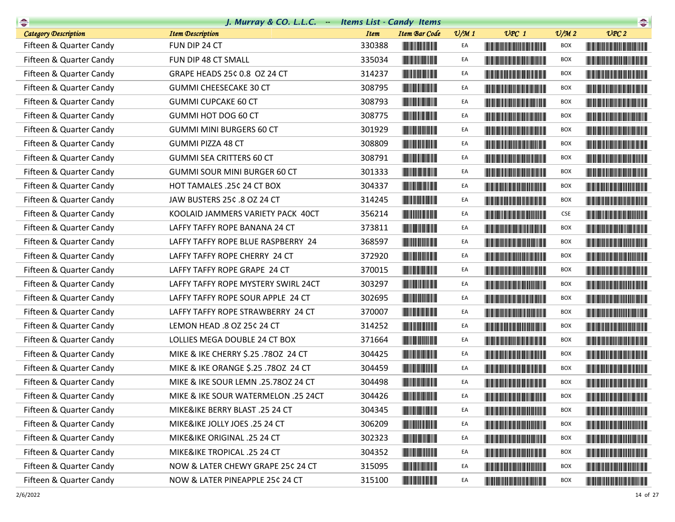| $\begin{picture}(20,10) \put(0,0){\line(1,0){10}} \put(10,0){\line(1,0){10}} \put(10,0){\line(1,0){10}} \put(10,0){\line(1,0){10}} \put(10,0){\line(1,0){10}} \put(10,0){\line(1,0){10}} \put(10,0){\line(1,0){10}} \put(10,0){\line(1,0){10}} \put(10,0){\line(1,0){10}} \put(10,0){\line(1,0){10}} \put(10,0){\line(1,0){10}} \put(10,0){\line(1$ | J. Murray & CO. L.L.C. - Items List - Candy Items |             |                                                                                                                        |                 |                                                                                                                                                                                                                                      |                             | $\begin{picture}(20,20) \put(0,0){\line(1,0){10}} \put(15,0){\line(1,0){10}} \put(15,0){\line(1,0){10}} \put(15,0){\line(1,0){10}} \put(15,0){\line(1,0){10}} \put(15,0){\line(1,0){10}} \put(15,0){\line(1,0){10}} \put(15,0){\line(1,0){10}} \put(15,0){\line(1,0){10}} \put(15,0){\line(1,0){10}} \put(15,0){\line(1,0){10}} \put(15,0){\line(1$ |
|-----------------------------------------------------------------------------------------------------------------------------------------------------------------------------------------------------------------------------------------------------------------------------------------------------------------------------------------------------|---------------------------------------------------|-------------|------------------------------------------------------------------------------------------------------------------------|-----------------|--------------------------------------------------------------------------------------------------------------------------------------------------------------------------------------------------------------------------------------|-----------------------------|-----------------------------------------------------------------------------------------------------------------------------------------------------------------------------------------------------------------------------------------------------------------------------------------------------------------------------------------------------|
| <b>Category Description</b>                                                                                                                                                                                                                                                                                                                         | <b>Item Description</b>                           | <b>Item</b> | <b>Item Bar Code</b>                                                                                                   | $\frac{v}{M}$ 1 | $UPC$ 1                                                                                                                                                                                                                              | $\mathcal{O}/\mathcal{M}$ 2 | UPC2                                                                                                                                                                                                                                                                                                                                                |
| Fifteen & Quarter Candy                                                                                                                                                                                                                                                                                                                             | FUN DIP 24 CT                                     | 330388      |                                                                                                                        | EA              | <u> Harry Harry Harry Harry Harry Harry Harry Harry Harry Harry Harry Harry Harry Harry Harry Harry Harry Harry Harry Harry Harry Harry Harry Harry Harry Harry Harry Harry Harry Harry Harry Harry Harry Harry Harry Harry Harr</u> | <b>BOX</b>                  |                                                                                                                                                                                                                                                                                                                                                     |
| Fifteen & Quarter Candy                                                                                                                                                                                                                                                                                                                             | FUN DIP 48 CT SMALL                               | 335034      |                                                                                                                        | EA              | <u> Harry Harry Harry Harry Harry Harry Harry Harry Harry Harry Harry Harry Harry Harry Harry Harry Harry Harry Harry Harry Harry Harry Harry Harry Harry Harry Harry Harry Harry Harry Harry Harry Harry Harry Harry Harry Harr</u> | BOX                         | <b>The Community of the Community</b>                                                                                                                                                                                                                                                                                                               |
| Fifteen & Quarter Candy                                                                                                                                                                                                                                                                                                                             | GRAPE HEADS 25¢ 0.8 OZ 24 CT                      | 314237      |                                                                                                                        | EA              | <b>The Committee of the Committee of the Committee</b>                                                                                                                                                                               | <b>BOX</b>                  |                                                                                                                                                                                                                                                                                                                                                     |
| Fifteen & Quarter Candy                                                                                                                                                                                                                                                                                                                             | <b>GUMMI CHEESECAKE 30 CT</b>                     | 308795      |                                                                                                                        | EA              | <u> Literatura de la contrada de la con</u>                                                                                                                                                                                          | BOX                         |                                                                                                                                                                                                                                                                                                                                                     |
| Fifteen & Quarter Candy                                                                                                                                                                                                                                                                                                                             | <b>GUMMI CUPCAKE 60 CT</b>                        | 308793      |                                                                                                                        | EA              |                                                                                                                                                                                                                                      | BOX                         |                                                                                                                                                                                                                                                                                                                                                     |
| Fifteen & Quarter Candy                                                                                                                                                                                                                                                                                                                             | GUMMI HOT DOG 60 CT                               | 308775      |                                                                                                                        | EA              | <u> Harry Harry Harry Harry Harry Harry Harry Harry Harry Harry Harry Harry Harry Harry Harry Harry Harry Harry Harry Harry Harry Harry Harry Harry Harry Harry Harry Harry Harry Harry Harry Harry Harry Harry Harry Harry Harr</u> | <b>BOX</b>                  | <u> Harry Harry Harry Harry Harry Harry Harry Harry Harry Harry Harry Harry Harry Harry Harry Harry Harry Harry Harry Harry Harry Harry Harry Harry Harry Harry Harry Harry Harry Harry Harry Harry Harry Harry Harry Harry Harr</u>                                                                                                                |
| Fifteen & Quarter Candy                                                                                                                                                                                                                                                                                                                             | <b>GUMMI MINI BURGERS 60 CT</b>                   | 301929      |                                                                                                                        | EA              | <u> Harry Harry Harry Harry Harry Harry Harry Harry Harry Harry Harry Harry Harry Harry Harry Harry Harry Harry Harry Harry Harry Harry Harry Harry Harry Harry Harry Harry Harry Harry Harry Harry Harry Harry Harry Harry Harr</u> | BOX                         |                                                                                                                                                                                                                                                                                                                                                     |
| Fifteen & Quarter Candy                                                                                                                                                                                                                                                                                                                             | GUMMI PIZZA 48 CT                                 | 308809      |                                                                                                                        | EA              |                                                                                                                                                                                                                                      | BOX                         |                                                                                                                                                                                                                                                                                                                                                     |
| Fifteen & Quarter Candy                                                                                                                                                                                                                                                                                                                             | <b>GUMMI SEA CRITTERS 60 CT</b>                   | 308791      |                                                                                                                        | EA              | <u> Harry Harry Harry Harry Harry Harry Harry Harry Harry Harry Harry Harry Harry Harry Harry Harry Harry Harry Harry Harry Harry Harry Harry Harry Harry Harry Harry Harry Harry Harry Harry Harry Harry Harry Harry Harry Harr</u> | <b>BOX</b>                  |                                                                                                                                                                                                                                                                                                                                                     |
| Fifteen & Quarter Candy                                                                                                                                                                                                                                                                                                                             | GUMMI SOUR MINI BURGER 60 CT                      | 301333      | <b>The Community of the Community</b>                                                                                  | EA              | <u> Harry Harry Harry Harry Harry Harry Harry Harry Harry Harry Harry Harry Harry Harry Harry Harry Harry Harry Harry Harry Harry Harry Harry Harry Harry Harry Harry Harry Harry Harry Harry Harry Harry Harry Harry Harry Harr</u> | <b>BOX</b>                  |                                                                                                                                                                                                                                                                                                                                                     |
| Fifteen & Quarter Candy                                                                                                                                                                                                                                                                                                                             | HOT TAMALES .25¢ 24 CT BOX                        | 304337      |                                                                                                                        | EA              | <b>The Community of the Community</b>                                                                                                                                                                                                | <b>BOX</b>                  |                                                                                                                                                                                                                                                                                                                                                     |
| Fifteen & Quarter Candy                                                                                                                                                                                                                                                                                                                             | JAW BUSTERS 25¢ .8 OZ 24 CT                       | 314245      |                                                                                                                        | EA              |                                                                                                                                                                                                                                      | BOX                         |                                                                                                                                                                                                                                                                                                                                                     |
| Fifteen & Quarter Candy                                                                                                                                                                                                                                                                                                                             | KOOLAID JAMMERS VARIETY PACK 40CT                 | 356214      | <b>The Common Service</b>                                                                                              | EA              | <b>The Community of the Community</b>                                                                                                                                                                                                | <b>CSE</b>                  |                                                                                                                                                                                                                                                                                                                                                     |
| Fifteen & Quarter Candy                                                                                                                                                                                                                                                                                                                             | LAFFY TAFFY ROPE BANANA 24 CT                     | 373811      |                                                                                                                        | EA              | <u> Harry Harry Harry Harry Harry Harry Harry Harry Harry Harry Harry Harry Harry Harry Harry Harry Harry Harry Harry Harry Harry Harry Harry Harry Harry Harry Harry Harry Harry Harry Harry Harry Harry Harry Harry Harry Harr</u> | <b>BOX</b>                  |                                                                                                                                                                                                                                                                                                                                                     |
| Fifteen & Quarter Candy                                                                                                                                                                                                                                                                                                                             | LAFFY TAFFY ROPE BLUE RASPBERRY 24                | 368597      |                                                                                                                        | EA              |                                                                                                                                                                                                                                      | <b>BOX</b>                  | <u> Harry Harry Harry Harry Harry Harry Harry Harry Harry Harry Harry Harry Harry Harry Harry Harry Harry Harry Harry Harry Harry Harry Harry Harry Harry Harry Harry Harry Harry Harry Harry Harry Harry Harry Harry Harry Harr</u>                                                                                                                |
| Fifteen & Quarter Candy                                                                                                                                                                                                                                                                                                                             | LAFFY TAFFY ROPE CHERRY 24 CT                     | 372920      |                                                                                                                        | EA              | <u> III de la provincia del m</u>                                                                                                                                                                                                    | <b>BOX</b>                  |                                                                                                                                                                                                                                                                                                                                                     |
| Fifteen & Quarter Candy                                                                                                                                                                                                                                                                                                                             | LAFFY TAFFY ROPE GRAPE 24 CT                      | 370015      | <u> Hill Miller van de Bronne van de Bronne van de Bronne van de Bronne van de Bronne van de Bronne van de Bronne </u> | EA              |                                                                                                                                                                                                                                      | <b>BOX</b>                  |                                                                                                                                                                                                                                                                                                                                                     |
| Fifteen & Quarter Candy                                                                                                                                                                                                                                                                                                                             | LAFFY TAFFY ROPE MYSTERY SWIRL 24CT               | 303297      |                                                                                                                        | EA              |                                                                                                                                                                                                                                      | <b>BOX</b>                  |                                                                                                                                                                                                                                                                                                                                                     |
| Fifteen & Quarter Candy                                                                                                                                                                                                                                                                                                                             | LAFFY TAFFY ROPE SOUR APPLE 24 CT                 | 302695      |                                                                                                                        | EA              |                                                                                                                                                                                                                                      | BOX                         |                                                                                                                                                                                                                                                                                                                                                     |
| Fifteen & Quarter Candy                                                                                                                                                                                                                                                                                                                             | LAFFY TAFFY ROPE STRAWBERRY 24 CT                 | 370007      |                                                                                                                        | EA              | <u> The Community of the Community of the Community of the Community of the Community of the Community of the Community of the Community of the Community of the Community of the Community of the Community of the Community of</u> | <b>BOX</b>                  | <u> Harry Harry Harry Harry Harry Harry Harry Harry Harry Harry Harry Harry Harry Harry Harry Harry Harry Harry Harry Harry Harry Harry Harry Harry Harry Harry Harry Harry Harry Harry Harry Harry Harry Harry Harry Harry Harr</u>                                                                                                                |
| Fifteen & Quarter Candy                                                                                                                                                                                                                                                                                                                             | LEMON HEAD .8 OZ 25¢ 24 CT                        | 314252      | <b>The Committee of the Committee of the Committee</b>                                                                 | EA              |                                                                                                                                                                                                                                      | <b>BOX</b>                  |                                                                                                                                                                                                                                                                                                                                                     |
| Fifteen & Quarter Candy                                                                                                                                                                                                                                                                                                                             | LOLLIES MEGA DOUBLE 24 CT BOX                     | 371664      | <u> Indian Maria San Ind</u>                                                                                           | EA              | <u> Liberal Maria Maria Maria Maria Maria Maria Maria Maria Maria Maria Maria Maria Maria Maria Maria Maria Mari</u>                                                                                                                 | <b>BOX</b>                  |                                                                                                                                                                                                                                                                                                                                                     |
| Fifteen & Quarter Candy                                                                                                                                                                                                                                                                                                                             | MIKE & IKE CHERRY \$.25 .780Z 24 CT               | 304425      |                                                                                                                        | EA              | <b>The Common Section</b>                                                                                                                                                                                                            | <b>BOX</b>                  | <u> Harajan kalendari ya Kat</u>                                                                                                                                                                                                                                                                                                                    |
| Fifteen & Quarter Candy                                                                                                                                                                                                                                                                                                                             | MIKE & IKE ORANGE \$.25 .780Z 24 CT               | 304459      | <b>The Committee of the Committee of the Committee</b>                                                                 | EA              | <b>The Community of the Community</b>                                                                                                                                                                                                | <b>BOX</b>                  |                                                                                                                                                                                                                                                                                                                                                     |
| Fifteen & Quarter Candy                                                                                                                                                                                                                                                                                                                             | MIKE & IKE SOUR LEMN .25.780Z 24 CT               | 304498      |                                                                                                                        | EA              | <u> Liberal Maria de la contrada de la con</u>                                                                                                                                                                                       | <b>BOX</b>                  | <u> Harry Harry Harry Harry Harry Harry Harry Harry Harry Harry Harry Harry Harry Harry Harry Harry Harry Harry Harry Harry Harry Harry Harry Harry Harry Harry Harry Harry Harry Harry Harry Harry Harry Harry Harry Harry Harr</u>                                                                                                                |
| Fifteen & Quarter Candy                                                                                                                                                                                                                                                                                                                             | MIKE & IKE SOUR WATERMELON .25 24CT               | 304426      |                                                                                                                        | EA              |                                                                                                                                                                                                                                      | <b>BOX</b>                  |                                                                                                                                                                                                                                                                                                                                                     |
| Fifteen & Quarter Candy                                                                                                                                                                                                                                                                                                                             | MIKE&IKE BERRY BLAST .25 24 CT                    | 304345      |                                                                                                                        | EA              | <b>The Community of the Community</b>                                                                                                                                                                                                | <b>BOX</b>                  |                                                                                                                                                                                                                                                                                                                                                     |
| Fifteen & Quarter Candy                                                                                                                                                                                                                                                                                                                             | MIKE&IKE JOLLY JOES .25 24 CT                     | 306209      |                                                                                                                        | EA              | <u> The Community of the Community of the Community of the Community of the Community of the Community of the Community of the Community of the Community of the Community of the Community of the Community of the Community of</u> | BOX                         |                                                                                                                                                                                                                                                                                                                                                     |
| Fifteen & Quarter Candy                                                                                                                                                                                                                                                                                                                             | MIKE&IKE ORIGINAL .25 24 CT                       | 302323      | <b>The Common Service Common</b>                                                                                       | EA              | <u> Timba ka matsayin ka matsayin ka matsayin ka matsayin ka matsayin ka matsayin ka matsayin ka matsayin ka matsayin ka matsayin ka matsayin ka matsayin ka matsayin ka matsayin ka matsayin ka matsayin ka matsayin ka matsayi</u> | <b>BOX</b>                  |                                                                                                                                                                                                                                                                                                                                                     |
| Fifteen & Quarter Candy                                                                                                                                                                                                                                                                                                                             | MIKE&IKE TROPICAL .25 24 CT                       | 304352      |                                                                                                                        | EA              | <u> Die Berger von Die Berger von Die Berger von Die Berger von Die Berger von Die Berger von Die Berger von Die B</u>                                                                                                               | <b>BOX</b>                  |                                                                                                                                                                                                                                                                                                                                                     |
| Fifteen & Quarter Candy                                                                                                                                                                                                                                                                                                                             | NOW & LATER CHEWY GRAPE 25¢ 24 CT                 | 315095      |                                                                                                                        | EA              | <u> Harry Harry Harry Harry Harry Harry Harry Harry Harry Harry Harry Harry Harry Harry Harry Harry Harry Harry H</u>                                                                                                                | BOX                         | <b>The Committee of the Committee of the Committee of the Committee</b>                                                                                                                                                                                                                                                                             |
| Fifteen & Quarter Candy                                                                                                                                                                                                                                                                                                                             | NOW & LATER PINEAPPLE 25¢ 24 CT                   | 315100      |                                                                                                                        | EA              | <b>The Committee of the Committee of the Committee</b>                                                                                                                                                                               | <b>BOX</b>                  | <u> The Community of the Community of the Community of the Community of the Community of the Community of the Community of the Community of the Community of the Community of the Community of the Community of the Community of</u>                                                                                                                |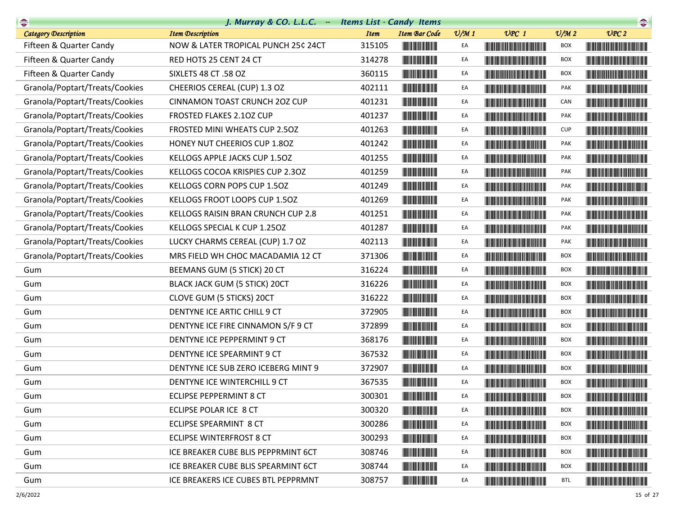|                                | J. Murray & CO. L.L.C. - Items List - Candy Items |             |                                                                       |                 |                                                                                                                                                                                                                                      |                             | $\begin{picture}(20,20) \put(0,0){\line(1,0){10}} \put(15,0){\line(1,0){10}} \put(15,0){\line(1,0){10}} \put(15,0){\line(1,0){10}} \put(15,0){\line(1,0){10}} \put(15,0){\line(1,0){10}} \put(15,0){\line(1,0){10}} \put(15,0){\line(1,0){10}} \put(15,0){\line(1,0){10}} \put(15,0){\line(1,0){10}} \put(15,0){\line(1,0){10}} \put(15,0){\line(1$ |
|--------------------------------|---------------------------------------------------|-------------|-----------------------------------------------------------------------|-----------------|--------------------------------------------------------------------------------------------------------------------------------------------------------------------------------------------------------------------------------------|-----------------------------|-----------------------------------------------------------------------------------------------------------------------------------------------------------------------------------------------------------------------------------------------------------------------------------------------------------------------------------------------------|
| Category Description           | <b>Item Description</b>                           | <b>Item</b> | <b>Item Bar Code</b>                                                  | $\frac{v}{M}$ 1 | $UPC$ 1                                                                                                                                                                                                                              | $\mathcal{O}/\mathcal{M}$ 2 | UPC2                                                                                                                                                                                                                                                                                                                                                |
| Fifteen & Quarter Candy        | NOW & LATER TROPICAL PUNCH 25¢ 24CT               | 315105      |                                                                       | EA              | <u> Liberal Maria Maria Maria Maria Maria Maria Maria Maria Maria Maria Maria Maria Maria Maria Maria Maria Maria </u>                                                                                                               | <b>BOX</b>                  | <b>The Committee of the Committee of the Committee</b>                                                                                                                                                                                                                                                                                              |
| Fifteen & Quarter Candy        | RED HOTS 25 CENT 24 CT                            | 314278      |                                                                       | EA              | <u> Harry Harry Harry Harry Harry Harry Harry Harry Harry Harry Harry Harry Harry Harry Harry Harry Harry Harry H</u>                                                                                                                | <b>BOX</b>                  |                                                                                                                                                                                                                                                                                                                                                     |
| Fifteen & Quarter Candy        | SIXLETS 48 CT .58 OZ                              | 360115      | <u> Maria Maria III di Ba</u>                                         | EA              |                                                                                                                                                                                                                                      | <b>BOX</b>                  |                                                                                                                                                                                                                                                                                                                                                     |
| Granola/Poptart/Treats/Cookies | CHEERIOS CEREAL (CUP) 1.3 OZ                      | 402111      |                                                                       | EA              |                                                                                                                                                                                                                                      | PAK                         |                                                                                                                                                                                                                                                                                                                                                     |
| Granola/Poptart/Treats/Cookies | <b>CINNAMON TOAST CRUNCH 2OZ CUP</b>              | 401231      |                                                                       | EA              |                                                                                                                                                                                                                                      | CAN                         |                                                                                                                                                                                                                                                                                                                                                     |
| Granola/Poptart/Treats/Cookies | FROSTED FLAKES 2.10Z CUP                          | 401237      | <u> Liberal Maria San Ba</u>                                          | EA              | <u> Harry Harry Harry Harry Harry Harry Harry Harry Harry Harry Harry Harry Harry Harry Harry Harry Harry Harry H</u>                                                                                                                | PAK                         |                                                                                                                                                                                                                                                                                                                                                     |
| Granola/Poptart/Treats/Cookies | FROSTED MINI WHEATS CUP 2.50Z                     | 401263      |                                                                       | EA              |                                                                                                                                                                                                                                      | <b>CUP</b>                  | <u> HII DI BI DI BI DI BI DI BI DI BI DI BI DI BI DI BI DI BI DI BI DI BI DI BI DI BI DI BI DI BI DI BI DI BI DI </u>                                                                                                                                                                                                                               |
| Granola/Poptart/Treats/Cookies | HONEY NUT CHEERIOS CUP 1.80Z                      | 401242      |                                                                       | EA              |                                                                                                                                                                                                                                      | PAK                         | <u> Harry Harry Harry Harry Harry Harry Harry Harry Harry Harry Harry Harry Harry Harry Harry Harry Harry Harry Harry Harry Harry Harry Harry Harry Harry Harry Harry Harry Harry Harry Harry Harry Harry Harry Harry Harry Harr</u>                                                                                                                |
| Granola/Poptart/Treats/Cookies | KELLOGS APPLE JACKS CUP 1.50Z                     | 401255      |                                                                       | EA              |                                                                                                                                                                                                                                      | PAK                         |                                                                                                                                                                                                                                                                                                                                                     |
| Granola/Poptart/Treats/Cookies | KELLOGS COCOA KRISPIES CUP 2.30Z                  | 401259      | <u> Liberal Maria San Barat III a Shekara ta 1989 da kasar Ing Pa</u> | EA              |                                                                                                                                                                                                                                      | PAK                         |                                                                                                                                                                                                                                                                                                                                                     |
| Granola/Poptart/Treats/Cookies | KELLOGS CORN POPS CUP 1.50Z                       | 401249      |                                                                       | EA              |                                                                                                                                                                                                                                      | PAK                         |                                                                                                                                                                                                                                                                                                                                                     |
| Granola/Poptart/Treats/Cookies | KELLOGS FROOT LOOPS CUP 1.50Z                     | 401269      |                                                                       | EA              | <u> The Community of the Community of the Community of the Community of the Community of the Community of the Community of the Community of the Community of the Community of the Community of the Community of the Community of</u> | PAK                         |                                                                                                                                                                                                                                                                                                                                                     |
| Granola/Poptart/Treats/Cookies | KELLOGS RAISIN BRAN CRUNCH CUP 2.8                | 401251      |                                                                       | EA              |                                                                                                                                                                                                                                      | PAK                         |                                                                                                                                                                                                                                                                                                                                                     |
| Granola/Poptart/Treats/Cookies | KELLOGS SPECIAL K CUP 1.250Z                      | 401287      |                                                                       | EA              | <u> Harry Harry Harry Harry Harry Harry Harry Harry Harry Harry Harry Harry Harry Harry Harry Harry Harry Harry H</u>                                                                                                                | <b>PAK</b>                  |                                                                                                                                                                                                                                                                                                                                                     |
| Granola/Poptart/Treats/Cookies | LUCKY CHARMS CEREAL (CUP) 1.7 OZ                  | 402113      | <b>The Community</b>                                                  | EA              |                                                                                                                                                                                                                                      | PAK                         |                                                                                                                                                                                                                                                                                                                                                     |
| Granola/Poptart/Treats/Cookies | MRS FIELD WH CHOC MACADAMIA 12 CT                 | 371306      |                                                                       | EA              | <u> Hill in de Berger van de Berger van de Berger van de Berger van de Berger van de Berger van de Berger van de</u>                                                                                                                 | <b>BOX</b>                  |                                                                                                                                                                                                                                                                                                                                                     |
| Gum                            | BEEMANS GUM (5 STICK) 20 CT                       | 316224      |                                                                       | EA              | <u> Harris Harris Harris Harris Harris Harris Harris Harris Harris Harris Harris Harris Harris Harris Harris Harris Harris Harris Harris Harris Harris Harris Harris Harris Harris Harris Harris Harris Harris Harris Harris Har</u> | <b>BOX</b>                  |                                                                                                                                                                                                                                                                                                                                                     |
| Gum                            | <b>BLACK JACK GUM (5 STICK) 20CT</b>              | 316226      |                                                                       | EA              |                                                                                                                                                                                                                                      | <b>BOX</b>                  |                                                                                                                                                                                                                                                                                                                                                     |
| Gum                            | CLOVE GUM (5 STICKS) 20CT                         | 316222      |                                                                       | EA              |                                                                                                                                                                                                                                      | <b>BOX</b>                  |                                                                                                                                                                                                                                                                                                                                                     |
| Gum                            | DENTYNE ICE ARTIC CHILL 9 CT                      | 372905      |                                                                       | EA              |                                                                                                                                                                                                                                      | <b>BOX</b>                  |                                                                                                                                                                                                                                                                                                                                                     |
| Gum                            | DENTYNE ICE FIRE CINNAMON S/F 9 CT                | 372899      | <b>The Common Service</b>                                             | EA              |                                                                                                                                                                                                                                      | <b>BOX</b>                  |                                                                                                                                                                                                                                                                                                                                                     |
| Gum                            | DENTYNE ICE PEPPERMINT 9 CT                       | 368176      |                                                                       | EA              |                                                                                                                                                                                                                                      | <b>BOX</b>                  |                                                                                                                                                                                                                                                                                                                                                     |
| Gum                            | DENTYNE ICE SPEARMINT 9 CT                        | 367532      | <b>The Community</b>                                                  | EA              |                                                                                                                                                                                                                                      | BOX                         |                                                                                                                                                                                                                                                                                                                                                     |
| Gum                            | DENTYNE ICE SUB ZERO ICEBERG MINT 9               | 372907      |                                                                       | EA              |                                                                                                                                                                                                                                      | <b>BOX</b>                  |                                                                                                                                                                                                                                                                                                                                                     |
| Gum                            | DENTYNE ICE WINTERCHILL 9 CT                      | 367535      |                                                                       | EA              |                                                                                                                                                                                                                                      | <b>BOX</b>                  |                                                                                                                                                                                                                                                                                                                                                     |
| Gum                            | ECLIPSE PEPPERMINT 8 CT                           | 300301      |                                                                       | EA              |                                                                                                                                                                                                                                      | <b>BOX</b>                  |                                                                                                                                                                                                                                                                                                                                                     |
| Gum                            | ECLIPSE POLAR ICE 8 CT                            | 300320      | <b>The Committee of the Committee</b>                                 | EA              | <u> Liberal Maria de la contrada de la con</u>                                                                                                                                                                                       | BOX                         | <u> Liberal Maria Maria Maria Maria Maria Maria Maria Maria Maria Maria Maria Maria Maria Maria Maria Maria Maria </u>                                                                                                                                                                                                                              |
| Gum                            | ECLIPSE SPEARMINT 8 CT                            | 300286      |                                                                       | EA              |                                                                                                                                                                                                                                      | BOX                         | <u> Literature de la construcción de la construcción de la construcción de la construcción de la construcción de </u>                                                                                                                                                                                                                               |
| Gum                            | ECLIPSE WINTERFROST 8 CT                          | 300293      | <b>The Committee of the Committee of the Committee</b>                | EA              |                                                                                                                                                                                                                                      | <b>BOX</b>                  | <u> Liberal Maria Albert III (1989)</u>                                                                                                                                                                                                                                                                                                             |
| Gum                            | ICE BREAKER CUBE BLIS PEPPRMINT 6CT               | 308746      | <b>The Committee of the Committee</b>                                 | EA              |                                                                                                                                                                                                                                      | <b>BOX</b>                  | <u> Liberal Maria Maria Maria Maria Maria Maria Maria Maria Maria Maria Maria Maria Maria Maria Maria Maria Maria </u>                                                                                                                                                                                                                              |
| Gum                            | ICE BREAKER CUBE BLIS SPEARMINT 6CT               | 308744      |                                                                       | EA              | <u> Liberal Maria de la contrada de la con</u>                                                                                                                                                                                       | BOX                         | <u> Harry Harry Harry Harry Harry Harry Harry Harry Harry Harry Harry Harry Harry Harry Harry Harry Harry Harry H</u>                                                                                                                                                                                                                               |
| Gum                            | ICE BREAKERS ICE CUBES BTL PEPPRMNT               | 308757      |                                                                       | EA              | <b>CONTRACTOR</b>                                                                                                                                                                                                                    | <b>BTL</b>                  |                                                                                                                                                                                                                                                                                                                                                     |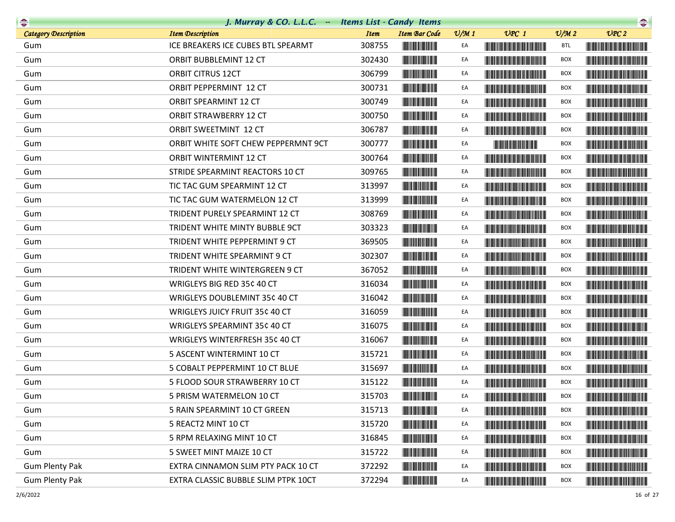|                             | J. Murray & CO. L.L.C. - Items List - Candy Items |             |                                                        |                 |                                                                                                                                                                                                                                      |                             | $\begin{picture}(20,10) \put(0,0){\line(1,0){10}} \put(10,0){\line(1,0){10}} \put(10,0){\line(1,0){10}} \put(10,0){\line(1,0){10}} \put(10,0){\line(1,0){10}} \put(10,0){\line(1,0){10}} \put(10,0){\line(1,0){10}} \put(10,0){\line(1,0){10}} \put(10,0){\line(1,0){10}} \put(10,0){\line(1,0){10}} \put(10,0){\line(1,0){10}} \put(10,0){\line(1$ |
|-----------------------------|---------------------------------------------------|-------------|--------------------------------------------------------|-----------------|--------------------------------------------------------------------------------------------------------------------------------------------------------------------------------------------------------------------------------------|-----------------------------|-----------------------------------------------------------------------------------------------------------------------------------------------------------------------------------------------------------------------------------------------------------------------------------------------------------------------------------------------------|
| <b>Category Description</b> | <b>Item Description</b>                           | <b>Item</b> | <b>Item Bar Code</b>                                   | $\frac{v}{M}$ 1 | $UPC$ 1                                                                                                                                                                                                                              | $\mathcal{O}/\mathcal{M}$ 2 | UPC2                                                                                                                                                                                                                                                                                                                                                |
| Gum                         | ICE BREAKERS ICE CUBES BTL SPEARMT                | 308755      |                                                        | EA              | <b>The Community of the Community</b>                                                                                                                                                                                                | <b>BTL</b>                  |                                                                                                                                                                                                                                                                                                                                                     |
| Gum                         | ORBIT BUBBLEMINT 12 CT                            | 302430      |                                                        | EA              | <u> Liberal Maria Maria Maria Maria Maria Maria Maria Maria Maria Maria Maria Maria Maria Maria Maria Maria Maria </u>                                                                                                               | <b>BOX</b>                  |                                                                                                                                                                                                                                                                                                                                                     |
| Gum                         | <b>ORBIT CITRUS 12CT</b>                          | 306799      |                                                        | EA              | <u> Harris Harris Harris Harris Harris Harris Harris Harris Harris Harris Harris Harris Harris Harris Harris Harris Harris Harris Harris Harris Harris Harris Harris Harris Harris Harris Harris Harris Harris Harris Harris Har</u> | <b>BOX</b>                  |                                                                                                                                                                                                                                                                                                                                                     |
| Gum                         | ORBIT PEPPERMINT 12 CT                            | 300731      |                                                        | EA              | <u> Liberal Maria Maria Maria Maria Maria Maria Maria Maria Maria Maria Maria Maria Maria Maria Maria Maria Maria </u>                                                                                                               | <b>BOX</b>                  | <u> Handi ka masa sa masa sa m</u>                                                                                                                                                                                                                                                                                                                  |
| Gum                         | ORBIT SPEARMINT 12 CT                             | 300749      | <b>The Community</b>                                   | EA              |                                                                                                                                                                                                                                      | <b>BOX</b>                  | <b>The Community of the Community</b>                                                                                                                                                                                                                                                                                                               |
| Gum                         | ORBIT STRAWBERRY 12 CT                            | 300750      |                                                        | EA              | <u> Liberal Maria Maria Maria Maria Maria Maria Maria Maria Maria Maria Maria Maria Maria Maria Maria Maria Maria </u>                                                                                                               | <b>BOX</b>                  |                                                                                                                                                                                                                                                                                                                                                     |
| Gum                         | <b>ORBIT SWEETMINT 12 CT</b>                      | 306787      | <b>The Community of the Community</b>                  | EA              |                                                                                                                                                                                                                                      | BOX                         |                                                                                                                                                                                                                                                                                                                                                     |
| Gum                         | ORBIT WHITE SOFT CHEW PEPPERMNT 9CT               | 300777      |                                                        | EA              | <b>The Committee of the Committee of the Committee</b>                                                                                                                                                                               | <b>BOX</b>                  | <b>The Community of the Community</b>                                                                                                                                                                                                                                                                                                               |
| Gum                         | <b>ORBIT WINTERMINT 12 CT</b>                     | 300764      |                                                        | EA              |                                                                                                                                                                                                                                      | <b>BOX</b>                  |                                                                                                                                                                                                                                                                                                                                                     |
| Gum                         | STRIDE SPEARMINT REACTORS 10 CT                   | 309765      |                                                        | EA              | <b>The Community of the Community</b>                                                                                                                                                                                                | <b>BOX</b>                  |                                                                                                                                                                                                                                                                                                                                                     |
| Gum                         | TIC TAC GUM SPEARMINT 12 CT                       | 313997      |                                                        | EA              |                                                                                                                                                                                                                                      | BOX                         |                                                                                                                                                                                                                                                                                                                                                     |
| Gum                         | TIC TAC GUM WATERMELON 12 CT                      | 313999      |                                                        | EA              | <b>The Common Service Common Service</b>                                                                                                                                                                                             | BOX                         |                                                                                                                                                                                                                                                                                                                                                     |
| Gum                         | TRIDENT PURELY SPEARMINT 12 CT                    | 308769      |                                                        | EA              |                                                                                                                                                                                                                                      | <b>BOX</b>                  |                                                                                                                                                                                                                                                                                                                                                     |
| Gum                         | TRIDENT WHITE MINTY BUBBLE 9CT                    | 303323      | <b>The Community</b>                                   | EA              | <u> Harry Harry Harry Harry Harry Harry Harry Harry Harry Harry Harry Harry Harry Harry Harry Harry Harry Harry H</u>                                                                                                                | <b>BOX</b>                  | <u> Harry Harry Harry Harry Harry Harry Harry Harry Harry Harry Harry Harry Harry Harry Harry Harry Harry Harry H</u>                                                                                                                                                                                                                               |
| Gum                         | TRIDENT WHITE PEPPERMINT 9 CT                     | 369505      |                                                        | EA              |                                                                                                                                                                                                                                      | BOX                         |                                                                                                                                                                                                                                                                                                                                                     |
| Gum                         | TRIDENT WHITE SPEARMINT 9 CT                      | 302307      |                                                        | EA              | <u> III de la provincia del control del control de la provincia del control de la provincia del control de la pro</u>                                                                                                                | <b>BOX</b>                  |                                                                                                                                                                                                                                                                                                                                                     |
| Gum                         | TRIDENT WHITE WINTERGREEN 9 CT                    | 367052      | <b>CONTRACTOR</b>                                      | EA              | <u> Liberal Maria Maria Maria Maria Maria Maria Maria Maria Maria Maria Maria Maria Maria Maria Maria Maria Maria </u>                                                                                                               | <b>BOX</b>                  |                                                                                                                                                                                                                                                                                                                                                     |
| Gum                         | WRIGLEYS BIG RED 35¢ 40 CT                        | 316034      |                                                        | EA              | <b>The Community of the Community</b>                                                                                                                                                                                                | <b>BOX</b>                  |                                                                                                                                                                                                                                                                                                                                                     |
| Gum                         | WRIGLEYS DOUBLEMINT 35¢ 40 CT                     | 316042      |                                                        | EA              |                                                                                                                                                                                                                                      | BOX                         |                                                                                                                                                                                                                                                                                                                                                     |
| Gum                         | WRIGLEYS JUICY FRUIT 35¢ 40 CT                    | 316059      |                                                        | EA              | <u> Liberal Maria Maria San Barat III a Shekara ta 1989 da kasas na san A</u>                                                                                                                                                        | BOX                         |                                                                                                                                                                                                                                                                                                                                                     |
| Gum                         | WRIGLEYS SPEARMINT 35¢ 40 CT                      | 316075      |                                                        | EA              | <u> Liberal Maria Maria Maria Maria Maria Maria Maria Maria Maria Maria Maria Maria Maria Maria Maria Maria Maria </u>                                                                                                               | <b>BOX</b>                  |                                                                                                                                                                                                                                                                                                                                                     |
| Gum                         | WRIGLEYS WINTERFRESH 35¢ 40 CT                    | 316067      |                                                        | EA              |                                                                                                                                                                                                                                      | <b>BOX</b>                  |                                                                                                                                                                                                                                                                                                                                                     |
| Gum                         | 5 ASCENT WINTERMINT 10 CT                         | 315721      |                                                        | EA              | <u> III din kacamatan Indonesia III din kacamatan Indonesia III din kacamatan Indonesia III din kacamatan Indonesi</u>                                                                                                               | BOX                         | <u> Harris Harris Barns Harris Harris Harris Harris Harris Harris Harris Harris Harris Harris Harris Harris Harris</u>                                                                                                                                                                                                                              |
| Gum                         | 5 COBALT PEPPERMINT 10 CT BLUE                    | 315697      |                                                        | EA              | <b>The Community of the Community</b>                                                                                                                                                                                                | <b>BOX</b>                  |                                                                                                                                                                                                                                                                                                                                                     |
| Gum                         | 5 FLOOD SOUR STRAWBERRY 10 CT                     | 315122      |                                                        | EA              |                                                                                                                                                                                                                                      | <b>BOX</b>                  | <u> Harry Harry Harry Harry Harry Harry Harry Harry Harry Harry Harry Harry Harry Harry Harry Harry Harry Harry Harry Harry Harry Harry Harry Harry Harry Harry Harry Harry Harry Harry Harry Harry Harry Harry Harry Harry Harr</u>                                                                                                                |
| Gum                         | 5 PRISM WATERMELON 10 CT                          | 315703      |                                                        | EA              |                                                                                                                                                                                                                                      | <b>BOX</b>                  |                                                                                                                                                                                                                                                                                                                                                     |
| Gum                         | 5 RAIN SPEARMINT 10 CT GREEN                      | 315713      |                                                        | EA              | <u> Liberal Maria de la contrada de la con</u>                                                                                                                                                                                       | BOX                         | <u> Harris Harris Harris Harris Harris Harris Harris Harris Harris Harris Harris Harris Harris Harris Harris Harris Harris Harris Harris Harris Harris Harris Harris Harris Harris Harris Harris Harris Harris Harris Harris Har</u>                                                                                                                |
| Gum                         | 5 REACT2 MINT 10 CT                               | 315720      |                                                        | EA              | <u> Liberal Maria Maria Maria Maria Maria Maria Maria Maria Maria Maria Maria Maria Maria Maria Maria Maria Maria </u>                                                                                                               | <b>BOX</b>                  |                                                                                                                                                                                                                                                                                                                                                     |
| Gum                         | 5 RPM RELAXING MINT 10 CT                         | 316845      |                                                        | EA              | <u> Liberal Maria Maria Maria Maria Maria Maria Maria Maria Maria Maria Maria Maria Maria Maria Maria Maria Maria </u>                                                                                                               | <b>BOX</b>                  | <b>The Community of the Community</b>                                                                                                                                                                                                                                                                                                               |
| Gum                         | 5 SWEET MINT MAIZE 10 CT                          | 315722      |                                                        | EA              | <b>The Community of the Community</b>                                                                                                                                                                                                | BOX                         | <b>CONTRACTOR</b>                                                                                                                                                                                                                                                                                                                                   |
| <b>Gum Plenty Pak</b>       | EXTRA CINNAMON SLIM PTY PACK 10 CT                | 372292      | <b>The Committee of the Committee of the Committee</b> | EA              | <u> Liberal Maria Maria Maria Maria Maria Maria Maria Maria Maria Maria Maria Maria Maria Maria Maria Maria Maria </u>                                                                                                               | BOX                         |                                                                                                                                                                                                                                                                                                                                                     |
| <b>Gum Plenty Pak</b>       | EXTRA CLASSIC BUBBLE SLIM PTPK 10CT               | 372294      |                                                        | EA              |                                                                                                                                                                                                                                      | BOX                         |                                                                                                                                                                                                                                                                                                                                                     |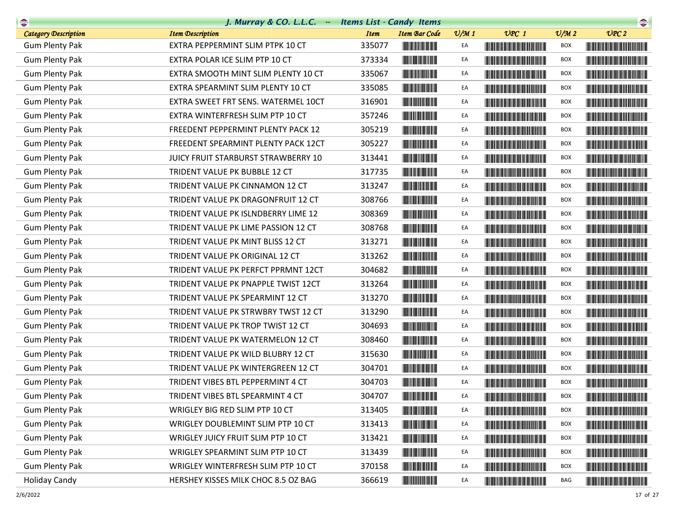| $\rightarrow$               | J. Murray & CO. L.L.C. Items List - Candy Items |             |                                                                                                                        |                 |                                                                                                                                                                                                                                      |                             | $\begin{picture}(20,10) \put(0,0){\line(1,0){10}} \put(10,0){\line(1,0){10}} \put(10,0){\line(1,0){10}} \put(10,0){\line(1,0){10}} \put(10,0){\line(1,0){10}} \put(10,0){\line(1,0){10}} \put(10,0){\line(1,0){10}} \put(10,0){\line(1,0){10}} \put(10,0){\line(1,0){10}} \put(10,0){\line(1,0){10}} \put(10,0){\line(1,0){10}} \put(10,0){\line(1$ |
|-----------------------------|-------------------------------------------------|-------------|------------------------------------------------------------------------------------------------------------------------|-----------------|--------------------------------------------------------------------------------------------------------------------------------------------------------------------------------------------------------------------------------------|-----------------------------|-----------------------------------------------------------------------------------------------------------------------------------------------------------------------------------------------------------------------------------------------------------------------------------------------------------------------------------------------------|
| <b>Category Description</b> | <b>Item Description</b>                         | <b>Item</b> | <b>Item Bar Code</b>                                                                                                   | $\frac{v}{M}$ 1 | $UPC$ 1                                                                                                                                                                                                                              | $\mathcal{O}/\mathcal{M}$ 2 | UPC2                                                                                                                                                                                                                                                                                                                                                |
| <b>Gum Plenty Pak</b>       | EXTRA PEPPERMINT SLIM PTPK 10 CT                | 335077      |                                                                                                                        | EA              |                                                                                                                                                                                                                                      | <b>BOX</b>                  | <u> Harat Barat Barat Barat Barat Barat Barat Barat Barat Barat Barat Barat Barat Barat Barat Barat Barat Barat Barat Barat Barat Barat Barat Barat Barat Barat Barat Barat Barat Barat Barat Barat Barat Barat Barat Barat Bara</u>                                                                                                                |
| <b>Gum Plenty Pak</b>       | EXTRA POLAR ICE SLIM PTP 10 CT                  | 373334      | <b>The Community</b>                                                                                                   | EA              | <u> Herbert Herbert i Start i Start i Start i Start i Start i Start i Start i Start i Start i Start i Start i Sta</u>                                                                                                                | <b>BOX</b>                  |                                                                                                                                                                                                                                                                                                                                                     |
| <b>Gum Plenty Pak</b>       | EXTRA SMOOTH MINT SLIM PLENTY 10 CT             | 335067      | <b>The Committee of the Committee</b>                                                                                  | EA              |                                                                                                                                                                                                                                      | <b>BOX</b>                  |                                                                                                                                                                                                                                                                                                                                                     |
| <b>Gum Plenty Pak</b>       | EXTRA SPEARMINT SLIM PLENTY 10 CT               | 335085      |                                                                                                                        | EA              |                                                                                                                                                                                                                                      | BOX                         |                                                                                                                                                                                                                                                                                                                                                     |
| <b>Gum Plenty Pak</b>       | EXTRA SWEET FRT SENS. WATERMEL 10CT             | 316901      | <b>The Committee of the Committee of the Committee</b>                                                                 | EA              |                                                                                                                                                                                                                                      | <b>BOX</b>                  |                                                                                                                                                                                                                                                                                                                                                     |
| <b>Gum Plenty Pak</b>       | EXTRA WINTERFRESH SLIM PTP 10 CT                | 357246      |                                                                                                                        | EA              |                                                                                                                                                                                                                                      | <b>BOX</b>                  |                                                                                                                                                                                                                                                                                                                                                     |
| <b>Gum Plenty Pak</b>       | FREEDENT PEPPERMINT PLENTY PACK 12              | 305219      |                                                                                                                        | EA              |                                                                                                                                                                                                                                      | <b>BOX</b>                  |                                                                                                                                                                                                                                                                                                                                                     |
| <b>Gum Plenty Pak</b>       | FREEDENT SPEARMINT PLENTY PACK 12CT             | 305227      |                                                                                                                        | EA              |                                                                                                                                                                                                                                      | <b>BOX</b>                  |                                                                                                                                                                                                                                                                                                                                                     |
| <b>Gum Plenty Pak</b>       | JUICY FRUIT STARBURST STRAWBERRY 10             | 313441      | <b>CONTRACTOR</b>                                                                                                      | EA              |                                                                                                                                                                                                                                      | <b>BOX</b>                  |                                                                                                                                                                                                                                                                                                                                                     |
| <b>Gum Plenty Pak</b>       | TRIDENT VALUE PK BUBBLE 12 CT                   | 317735      | <b>The Committee of the Committee of the Committee</b>                                                                 | EA              |                                                                                                                                                                                                                                      | <b>BOX</b>                  |                                                                                                                                                                                                                                                                                                                                                     |
| <b>Gum Plenty Pak</b>       | TRIDENT VALUE PK CINNAMON 12 CT                 | 313247      |                                                                                                                        | EA              |                                                                                                                                                                                                                                      | <b>BOX</b>                  |                                                                                                                                                                                                                                                                                                                                                     |
| <b>Gum Plenty Pak</b>       | TRIDENT VALUE PK DRAGONFRUIT 12 CT              | 308766      | <b>The Committee of the Committee</b>                                                                                  | EA              | <u> Harry Harry Harry Harry Harry Harry Harry Harry Harry Harry Harry Harry Harry Harry Harry Harry Harry Harry Harry Harry Harry Harry Harry Harry Harry Harry Harry Harry Harry Harry Harry Harry Harry Harry Harry Harry Harr</u> | <b>BOX</b>                  |                                                                                                                                                                                                                                                                                                                                                     |
| <b>Gum Plenty Pak</b>       | TRIDENT VALUE PK ISLNDBERRY LIME 12             | 308369      | <u> Hill Miller van de Bronne van de Bronne van de Bronne van de Bronne van de Bronne van de Bronne van de Bronne </u> | EA              |                                                                                                                                                                                                                                      | <b>BOX</b>                  |                                                                                                                                                                                                                                                                                                                                                     |
| <b>Gum Plenty Pak</b>       | TRIDENT VALUE PK LIME PASSION 12 CT             | 308768      |                                                                                                                        | EA              |                                                                                                                                                                                                                                      | <b>BOX</b>                  |                                                                                                                                                                                                                                                                                                                                                     |
| <b>Gum Plenty Pak</b>       | TRIDENT VALUE PK MINT BLISS 12 CT               | 313271      |                                                                                                                        | EA              |                                                                                                                                                                                                                                      | <b>BOX</b>                  |                                                                                                                                                                                                                                                                                                                                                     |
| <b>Gum Plenty Pak</b>       | TRIDENT VALUE PK ORIGINAL 12 CT                 | 313262      |                                                                                                                        | EA              |                                                                                                                                                                                                                                      | <b>BOX</b>                  |                                                                                                                                                                                                                                                                                                                                                     |
| <b>Gum Plenty Pak</b>       | TRIDENT VALUE PK PERFCT PPRMNT 12CT             | 304682      | <b>The Committee of the Committee of the Committee</b>                                                                 | EA              |                                                                                                                                                                                                                                      | <b>BOX</b>                  |                                                                                                                                                                                                                                                                                                                                                     |
| <b>Gum Plenty Pak</b>       | TRIDENT VALUE PK PNAPPLE TWIST 12CT             | 313264      |                                                                                                                        | EA              | <u> Harry Harry Harry Harry Harry Harry Harry Harry Harry Harry Harry Harry Harry Harry Harry Harry Harry Harry H</u>                                                                                                                | <b>BOX</b>                  |                                                                                                                                                                                                                                                                                                                                                     |
| <b>Gum Plenty Pak</b>       | TRIDENT VALUE PK SPEARMINT 12 CT                | 313270      |                                                                                                                        | EA              |                                                                                                                                                                                                                                      | <b>BOX</b>                  |                                                                                                                                                                                                                                                                                                                                                     |
| <b>Gum Plenty Pak</b>       | TRIDENT VALUE PK STRWBRY TWST 12 CT             | 313290      |                                                                                                                        | EA              |                                                                                                                                                                                                                                      | <b>BOX</b>                  |                                                                                                                                                                                                                                                                                                                                                     |
| <b>Gum Plenty Pak</b>       | TRIDENT VALUE PK TROP TWIST 12 CT               | 304693      | <b>CONTRACTOR</b>                                                                                                      | EA              |                                                                                                                                                                                                                                      | <b>BOX</b>                  |                                                                                                                                                                                                                                                                                                                                                     |
| <b>Gum Plenty Pak</b>       | TRIDENT VALUE PK WATERMELON 12 CT               | 308460      |                                                                                                                        | EA              |                                                                                                                                                                                                                                      | <b>BOX</b>                  |                                                                                                                                                                                                                                                                                                                                                     |
| <b>Gum Plenty Pak</b>       | TRIDENT VALUE PK WILD BLUBRY 12 CT              | 315630      | <b>The Communication</b>                                                                                               | EA              |                                                                                                                                                                                                                                      | BOX                         |                                                                                                                                                                                                                                                                                                                                                     |
| <b>Gum Plenty Pak</b>       | TRIDENT VALUE PK WINTERGREEN 12 CT              | 304701      |                                                                                                                        | EA              |                                                                                                                                                                                                                                      | <b>BOX</b>                  |                                                                                                                                                                                                                                                                                                                                                     |
| <b>Gum Plenty Pak</b>       | TRIDENT VIBES BTL PEPPERMINT 4 CT               | 304703      | <u> Liberal Maria San Ba</u>                                                                                           | EA              |                                                                                                                                                                                                                                      | <b>BOX</b>                  |                                                                                                                                                                                                                                                                                                                                                     |
| <b>Gum Plenty Pak</b>       | TRIDENT VIBES BTL SPEARMINT 4 CT                | 304707      | <u> Timba ka</u>                                                                                                       | EA              |                                                                                                                                                                                                                                      | <b>BOX</b>                  |                                                                                                                                                                                                                                                                                                                                                     |
| <b>Gum Plenty Pak</b>       | WRIGLEY BIG RED SLIM PTP 10 CT                  | 313405      |                                                                                                                        | EA              |                                                                                                                                                                                                                                      | <b>BOX</b>                  |                                                                                                                                                                                                                                                                                                                                                     |
| <b>Gum Plenty Pak</b>       | WRIGLEY DOUBLEMINT SLIM PTP 10 CT               | 313413      |                                                                                                                        | EA              |                                                                                                                                                                                                                                      | BOX                         |                                                                                                                                                                                                                                                                                                                                                     |
| <b>Gum Plenty Pak</b>       | WRIGLEY JUICY FRUIT SLIM PTP 10 CT              | 313421      |                                                                                                                        | EA              |                                                                                                                                                                                                                                      | <b>BOX</b>                  |                                                                                                                                                                                                                                                                                                                                                     |
| <b>Gum Plenty Pak</b>       | WRIGLEY SPEARMINT SLIM PTP 10 CT                | 313439      |                                                                                                                        | EA              |                                                                                                                                                                                                                                      | <b>BOX</b>                  |                                                                                                                                                                                                                                                                                                                                                     |
| <b>Gum Plenty Pak</b>       | WRIGLEY WINTERFRESH SLIM PTP 10 CT              | 370158      |                                                                                                                        | EA              |                                                                                                                                                                                                                                      | <b>BOX</b>                  |                                                                                                                                                                                                                                                                                                                                                     |
| <b>Holiday Candy</b>        | HERSHEY KISSES MILK CHOC 8.5 OZ BAG             | 366619      |                                                                                                                        | EA              | <u> Timba ka masa sa kasang mga kalendari ng mga kasang ng mga kalendari ng mga kasang ng mga kalendari ng mga kasang ng mga kalendari ng mga kasang ng mga kalendari ng mga kalendari ng mga kalendari ng mga kalendari ng mga </u> | BAG                         | <u> Harat Barat Barat Barat Barat Barat Barat Barat Barat Barat Barat Barat Barat Barat Barat Barat Barat Barat Barat Barat Barat Barat Barat Barat Barat Barat Barat Barat Barat Barat Barat Barat Barat Barat Barat Barat Bara</u>                                                                                                                |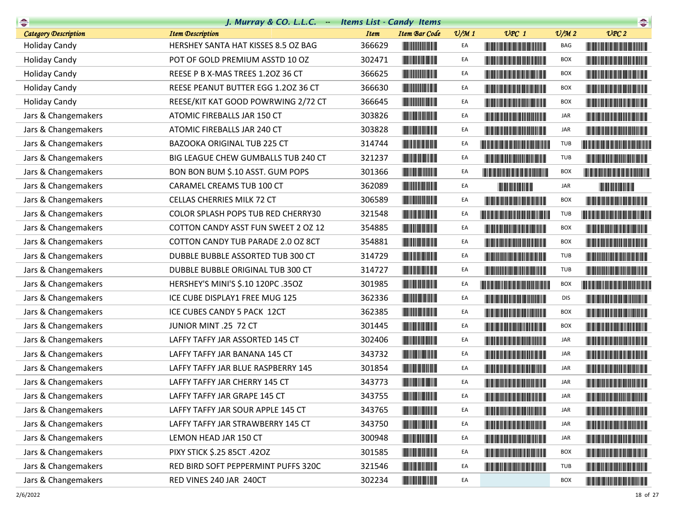| $\begin{picture}(20,10) \put(0,0){\line(1,0){10}} \put(15,0){\line(1,0){10}} \put(15,0){\line(1,0){10}} \put(15,0){\line(1,0){10}} \put(15,0){\line(1,0){10}} \put(15,0){\line(1,0){10}} \put(15,0){\line(1,0){10}} \put(15,0){\line(1,0){10}} \put(15,0){\line(1,0){10}} \put(15,0){\line(1,0){10}} \put(15,0){\line(1,0){10}} \put(15,0){\line(1$ | J. Murray & CO. L.L.C. - Items List - Candy Items |             |                                                        |                 |                                                                                                                                                                                                                                      |                 | $\begin{picture}(20,10) \put(0,0){\line(1,0){10}} \put(15,0){\line(1,0){10}} \put(15,0){\line(1,0){10}} \put(15,0){\line(1,0){10}} \put(15,0){\line(1,0){10}} \put(15,0){\line(1,0){10}} \put(15,0){\line(1,0){10}} \put(15,0){\line(1,0){10}} \put(15,0){\line(1,0){10}} \put(15,0){\line(1,0){10}} \put(15,0){\line(1,0){10}} \put(15,0){\line(1$ |
|-----------------------------------------------------------------------------------------------------------------------------------------------------------------------------------------------------------------------------------------------------------------------------------------------------------------------------------------------------|---------------------------------------------------|-------------|--------------------------------------------------------|-----------------|--------------------------------------------------------------------------------------------------------------------------------------------------------------------------------------------------------------------------------------|-----------------|-----------------------------------------------------------------------------------------------------------------------------------------------------------------------------------------------------------------------------------------------------------------------------------------------------------------------------------------------------|
| <b>Category Description</b>                                                                                                                                                                                                                                                                                                                         | <b>Item Description</b>                           | <b>Item</b> | <b>Item Bar Code</b>                                   | $\frac{v}{M}$ 1 | $UPC$ 1                                                                                                                                                                                                                              | $\frac{V}{M}$ 2 | UPC2                                                                                                                                                                                                                                                                                                                                                |
| <b>Holiday Candy</b>                                                                                                                                                                                                                                                                                                                                | HERSHEY SANTA HAT KISSES 8.5 OZ BAG               | 366629      |                                                        | EA              | <b>CONTRACTOR</b>                                                                                                                                                                                                                    | BAG             |                                                                                                                                                                                                                                                                                                                                                     |
| <b>Holiday Candy</b>                                                                                                                                                                                                                                                                                                                                | POT OF GOLD PREMIUM ASSTD 10 OZ                   | 302471      |                                                        | EA              | <u> Tanzania de la provincia de la provincia de la provincia de la provincia de la provincia de la provincia de</u>                                                                                                                  | <b>BOX</b>      | <u> Liberal Maria San Barat da Ba</u>                                                                                                                                                                                                                                                                                                               |
| <b>Holiday Candy</b>                                                                                                                                                                                                                                                                                                                                | REESE P B X-MAS TREES 1.20Z 36 CT                 | 366625      |                                                        | EA              | <b>The Committee of the Committee of the Committee</b>                                                                                                                                                                               | <b>BOX</b>      | <b>The Committee of the Committee of the Committee</b>                                                                                                                                                                                                                                                                                              |
| <b>Holiday Candy</b>                                                                                                                                                                                                                                                                                                                                | REESE PEANUT BUTTER EGG 1.20Z 36 CT               | 366630      |                                                        | EA              | <b>The Committee of the Committee of the Committee</b>                                                                                                                                                                               | BOX             | <b>The Common Service Common Service</b>                                                                                                                                                                                                                                                                                                            |
| <b>Holiday Candy</b>                                                                                                                                                                                                                                                                                                                                | REESE/KIT KAT GOOD POWRWING 2/72 CT               | 366645      | <b>CONTRACTOR</b>                                      | EA              |                                                                                                                                                                                                                                      | <b>BOX</b>      |                                                                                                                                                                                                                                                                                                                                                     |
| Jars & Changemakers                                                                                                                                                                                                                                                                                                                                 | ATOMIC FIREBALLS JAR 150 CT                       | 303826      |                                                        | EA              | <u> Harry Harry Harry Harry Harry Harry Harry Harry Harry Harry Harry Harry Harry Harry Harry Harry Harry Harry Harry Harry Harry Harry Harry Harry Harry Harry Harry Harry Harry Harry Harry Harry Harry Harry Harry Harry Harr</u> | JAR             | <u> Liberal Maria de la contrada de la contrada de la contrada de la contrada de la contrada de la con</u>                                                                                                                                                                                                                                          |
| Jars & Changemakers                                                                                                                                                                                                                                                                                                                                 | ATOMIC FIREBALLS JAR 240 CT                       | 303828      |                                                        | EA              |                                                                                                                                                                                                                                      | JAR             |                                                                                                                                                                                                                                                                                                                                                     |
| Jars & Changemakers                                                                                                                                                                                                                                                                                                                                 | BAZOOKA ORIGINAL TUB 225 CT                       | 314744      |                                                        | EA              |                                                                                                                                                                                                                                      | TUB             |                                                                                                                                                                                                                                                                                                                                                     |
| Jars & Changemakers                                                                                                                                                                                                                                                                                                                                 | BIG LEAGUE CHEW GUMBALLS TUB 240 CT               | 321237      |                                                        | EA              | <b>The Committee of the Committee of the Committee</b>                                                                                                                                                                               | TUB             |                                                                                                                                                                                                                                                                                                                                                     |
| Jars & Changemakers                                                                                                                                                                                                                                                                                                                                 | BON BON BUM \$.10 ASST. GUM POPS                  | 301366      |                                                        | EA              |                                                                                                                                                                                                                                      | <b>BOX</b>      | <u> The Community of the Community of the Community of the Community of the Community of the Community of the Community of the Community of the Community of the Community of the Community of the Community of the Community of</u>                                                                                                                |
| Jars & Changemakers                                                                                                                                                                                                                                                                                                                                 | CARAMEL CREAMS TUB 100 CT                         | 362089      |                                                        | EA              |                                                                                                                                                                                                                                      | JAR             |                                                                                                                                                                                                                                                                                                                                                     |
| Jars & Changemakers                                                                                                                                                                                                                                                                                                                                 | CELLAS CHERRIES MILK 72 CT                        | 306589      |                                                        | EA              | <u> Liberal Maria Maria Maria Maria Maria Maria Maria Maria Maria Maria Maria Maria Maria Maria Maria Maria Maria </u>                                                                                                               | BOX             |                                                                                                                                                                                                                                                                                                                                                     |
| Jars & Changemakers                                                                                                                                                                                                                                                                                                                                 | COLOR SPLASH POPS TUB RED CHERRY30                | 321548      |                                                        | EA              | <u> Timbu kacamatan ing Kabupatèn Bandaran Ing Kabupatèn Bandaran Ing Kabupatèn Bandaran Ing Kabupatèn Bandaran Ing Kabupatèn Bandaran Ing Kabupatèn Bandaran Ing Kabupatèn Bandaran Ing Kabupatèn Bandaran Ing Kabupatèn Bandar</u> | TUB             |                                                                                                                                                                                                                                                                                                                                                     |
| Jars & Changemakers                                                                                                                                                                                                                                                                                                                                 | COTTON CANDY ASST FUN SWEET 2 OZ 12               | 354885      |                                                        | EA              |                                                                                                                                                                                                                                      | <b>BOX</b>      |                                                                                                                                                                                                                                                                                                                                                     |
| Jars & Changemakers                                                                                                                                                                                                                                                                                                                                 | COTTON CANDY TUB PARADE 2.0 OZ 8CT                | 354881      |                                                        | EA              | <b>The Community of the Community</b>                                                                                                                                                                                                | BOX             |                                                                                                                                                                                                                                                                                                                                                     |
| Jars & Changemakers                                                                                                                                                                                                                                                                                                                                 | DUBBLE BUBBLE ASSORTED TUB 300 CT                 | 314729      |                                                        | EA              | <b>The Community of the Community</b>                                                                                                                                                                                                | TUB             |                                                                                                                                                                                                                                                                                                                                                     |
| Jars & Changemakers                                                                                                                                                                                                                                                                                                                                 | DUBBLE BUBBLE ORIGINAL TUB 300 CT                 | 314727      | <b>The Committee of the Committee</b>                  | EA              | <u> The Community of the Community of the Community of the Community of the Community of the Community of the Community of the Community of the Community of the Community of the Community of the Community of the Community of</u> | TUB             |                                                                                                                                                                                                                                                                                                                                                     |
| Jars & Changemakers                                                                                                                                                                                                                                                                                                                                 | HERSHEY'S MINI'S \$.10 120PC .35OZ                | 301985      | <b>The Committee of the Committee of the Committee</b> | EA              |                                                                                                                                                                                                                                      | <b>BOX</b>      | <u> Timbu ka masa sa kasang mga katalog ng mga kasang ng mga kasang ng mga kasang ng mga kasang ng mga kasang ng mga kasang ng mga kasang ng mga kasang ng mga kasang ng mga kasang ng mga kasang ng mga kasang ng mga kasang ng</u>                                                                                                                |
| Jars & Changemakers                                                                                                                                                                                                                                                                                                                                 | ICE CUBE DISPLAY1 FREE MUG 125                    | 362336      |                                                        | EA              |                                                                                                                                                                                                                                      | <b>DIS</b>      |                                                                                                                                                                                                                                                                                                                                                     |
| Jars & Changemakers                                                                                                                                                                                                                                                                                                                                 | ICE CUBES CANDY 5 PACK 12CT                       | 362385      | <b>The Committee of the Committee of the Committee</b> | EA              |                                                                                                                                                                                                                                      | BOX             |                                                                                                                                                                                                                                                                                                                                                     |
| Jars & Changemakers                                                                                                                                                                                                                                                                                                                                 | JUNIOR MINT .25 72 CT                             | 301445      |                                                        | EA              |                                                                                                                                                                                                                                      | <b>BOX</b>      |                                                                                                                                                                                                                                                                                                                                                     |
| Jars & Changemakers                                                                                                                                                                                                                                                                                                                                 | LAFFY TAFFY JAR ASSORTED 145 CT                   | 302406      |                                                        | EA              |                                                                                                                                                                                                                                      | JAR             |                                                                                                                                                                                                                                                                                                                                                     |
| Jars & Changemakers                                                                                                                                                                                                                                                                                                                                 | LAFFY TAFFY JAR BANANA 145 CT                     | 343732      |                                                        | EA              | <b>The Common Section</b>                                                                                                                                                                                                            | JAR             | <u> Harry Harry Harry Harry Harry Harry Harry Harry Harry Harry Harry Harry Harry Harry Harry Harry Harry Harry Harry Harry Harry Harry Harry Harry Harry Harry Harry Harry Harry Harry Harry Harry Harry Harry Harry Harry Harr</u>                                                                                                                |
| Jars & Changemakers                                                                                                                                                                                                                                                                                                                                 | LAFFY TAFFY JAR BLUE RASPBERRY 145                | 301854      | <b>CONTRACTOR</b>                                      | EA              | <u> Indian American State and The Books and The Books and The Books and The Books and The Books and The Books and The Books and The Books and The Books and The Books and The Books and The Books and The Books and The Books an</u> | JAR             |                                                                                                                                                                                                                                                                                                                                                     |
| Jars & Changemakers                                                                                                                                                                                                                                                                                                                                 | LAFFY TAFFY JAR CHERRY 145 CT                     | 343773      |                                                        | EA              | <u> Harry Harry Harry Harry Harry Harry Harry Harry Harry Harry Harry Harry Harry Harry Harry Harry Harry Harry Harry Harry Harry Harry Harry Harry Harry Harry Harry Harry Harry Harry Harry Harry Harry Harry Harry Harry Harr</u> | <b>JAR</b>      |                                                                                                                                                                                                                                                                                                                                                     |
| Jars & Changemakers                                                                                                                                                                                                                                                                                                                                 | LAFFY TAFFY JAR GRAPE 145 CT                      | 343755      | <b>THE REAL PROPERTY</b>                               | EA              |                                                                                                                                                                                                                                      | JAR             |                                                                                                                                                                                                                                                                                                                                                     |
| Jars & Changemakers                                                                                                                                                                                                                                                                                                                                 | LAFFY TAFFY JAR SOUR APPLE 145 CT                 | 343765      |                                                        | EA              |                                                                                                                                                                                                                                      | JAR             | <u> Linda ka ka matsayin ka sanadi na sala</u>                                                                                                                                                                                                                                                                                                      |
| Jars & Changemakers                                                                                                                                                                                                                                                                                                                                 | LAFFY TAFFY JAR STRAWBERRY 145 CT                 | 343750      |                                                        | EA              |                                                                                                                                                                                                                                      | JAR             |                                                                                                                                                                                                                                                                                                                                                     |
| Jars & Changemakers                                                                                                                                                                                                                                                                                                                                 | LEMON HEAD JAR 150 CT                             | 300948      |                                                        | EA              | <b>The Committee of the Committee of the Committee</b>                                                                                                                                                                               | JAR             | <u> Harry Harry Harry Harry Harry Harry Harry Harry Harry Harry Harry Harry Harry Harry Harry Harry Harry Harry H</u>                                                                                                                                                                                                                               |
| Jars & Changemakers                                                                                                                                                                                                                                                                                                                                 | PIXY STICK \$.25 85CT .42OZ                       | 301585      |                                                        | EA              | <u> The Community of the Community of the Community of the Community of the Community of the Community of the Community of the Community of the Community of the Community of the Community of the Community of the Community of</u> | BOX             | <u> Literatura de la contrada de la con</u>                                                                                                                                                                                                                                                                                                         |
| Jars & Changemakers                                                                                                                                                                                                                                                                                                                                 | RED BIRD SOFT PEPPERMINT PUFFS 320C               | 321546      |                                                        | EA              |                                                                                                                                                                                                                                      | TUB             |                                                                                                                                                                                                                                                                                                                                                     |
| Jars & Changemakers                                                                                                                                                                                                                                                                                                                                 | RED VINES 240 JAR 240CT                           | 302234      |                                                        | EA              |                                                                                                                                                                                                                                      | <b>BOX</b>      | <u> Liberal Maria Maria Maria Maria Maria Maria Maria Maria Maria Maria Maria Maria Maria Maria Maria Maria Maria </u>                                                                                                                                                                                                                              |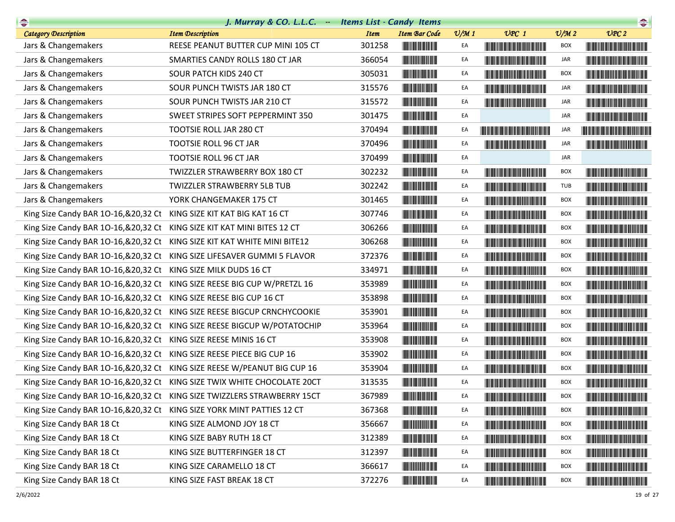| $\rightarrow$                                                            | J. Murray & CO. L.L.C. $-$                                                 | <b>Items List - Candy Items</b> |                                                                                                                       |                 |                                                                                                                                                                                                                                      |                             | $\begin{picture}(20,10) \put(0,0){\line(1,0){10}} \put(0,0){\line(1,0){10}} \put(0,0){\line(1,0){10}} \put(0,0){\line(1,0){10}} \put(0,0){\line(1,0){10}} \put(0,0){\line(1,0){10}} \put(0,0){\line(1,0){10}} \put(0,0){\line(1,0){10}} \put(0,0){\line(1,0){10}} \put(0,0){\line(1,0){10}} \put(0,0){\line(1,0){10}} \put(0,0){\line(1,0){10}} \put(0,$ |
|--------------------------------------------------------------------------|----------------------------------------------------------------------------|---------------------------------|-----------------------------------------------------------------------------------------------------------------------|-----------------|--------------------------------------------------------------------------------------------------------------------------------------------------------------------------------------------------------------------------------------|-----------------------------|----------------------------------------------------------------------------------------------------------------------------------------------------------------------------------------------------------------------------------------------------------------------------------------------------------------------------------------------------------|
| <b>Category Description</b>                                              | <b>Item Description</b>                                                    | <b>Item</b>                     | <b>Item Bar Code</b>                                                                                                  | $\frac{v}{M}$ 1 | $UPC$ 1                                                                                                                                                                                                                              | $\mathcal{O}/\mathcal{M}$ 2 | UPC2                                                                                                                                                                                                                                                                                                                                                     |
| Jars & Changemakers                                                      | REESE PEANUT BUTTER CUP MINI 105 CT                                        | 301258                          |                                                                                                                       | EA              |                                                                                                                                                                                                                                      | BOX                         |                                                                                                                                                                                                                                                                                                                                                          |
| Jars & Changemakers                                                      | SMARTIES CANDY ROLLS 180 CT JAR                                            | 366054                          | <b>The Committee of the Committee of the Committee</b>                                                                | EA              |                                                                                                                                                                                                                                      | JAR                         |                                                                                                                                                                                                                                                                                                                                                          |
| Jars & Changemakers                                                      | SOUR PATCH KIDS 240 CT                                                     | 305031                          |                                                                                                                       | EA              | <u> Harat Barat Barat Barat Barat Barat Barat Barat Barat Barat Barat Barat Barat Barat Barat Barat Barat Barat Barat Barat Barat Barat Barat Barat Barat Barat Barat Barat Barat Barat Barat Barat Barat Barat Barat Barat Bara</u> | <b>BOX</b>                  |                                                                                                                                                                                                                                                                                                                                                          |
| Jars & Changemakers                                                      | SOUR PUNCH TWISTS JAR 180 CT                                               | 315576                          |                                                                                                                       | EA              | <u> Harry Harry Harry Harry Harry Harry Harry Harry Harry Harry Harry Harry Harry Harry Harry Harry Harry Harry Harry Harry Harry Harry Harry Harry Harry Harry Harry Harry Harry Harry Harry Harry Harry Harry Harry Harry Harr</u> | JAR                         | <u> Harry Harry Harry Harry Harry Harry Harry Harry Harry Harry Harry Harry Harry Harry Harry Harry Harry Harry Harry Harry Harry Harry Harry Harry Harry Harry Harry Harry Harry Harry Harry Harry Harry Harry Harry Harry Harr</u>                                                                                                                     |
| Jars & Changemakers                                                      | SOUR PUNCH TWISTS JAR 210 CT                                               | 315572                          |                                                                                                                       | EA              |                                                                                                                                                                                                                                      | JAR                         |                                                                                                                                                                                                                                                                                                                                                          |
| Jars & Changemakers                                                      | SWEET STRIPES SOFT PEPPERMINT 350                                          | 301475                          |                                                                                                                       | EA              |                                                                                                                                                                                                                                      | JAR                         | <b>The Community of the Community</b>                                                                                                                                                                                                                                                                                                                    |
| Jars & Changemakers                                                      | TOOTSIE ROLL JAR 280 CT                                                    | 370494                          |                                                                                                                       | EA              | <u> Harry Harry Harry Harry Harry Harry Harry Harry Harry Harry Harry Harry Harry Harry Harry Harry Harry Harry H</u>                                                                                                                | JAR                         | <b>The Community of the Community</b>                                                                                                                                                                                                                                                                                                                    |
| Jars & Changemakers                                                      | TOOTSIE ROLL 96 CT JAR                                                     | 370496                          | <b>The Community</b>                                                                                                  | EA              |                                                                                                                                                                                                                                      | JAR                         |                                                                                                                                                                                                                                                                                                                                                          |
| Jars & Changemakers                                                      | TOOTSIE ROLL 96 CT JAR                                                     | 370499                          | <b>The Committee of the Committee of the Committee</b>                                                                | EA              |                                                                                                                                                                                                                                      | JAR                         |                                                                                                                                                                                                                                                                                                                                                          |
| Jars & Changemakers                                                      | TWIZZLER STRAWBERRY BOX 180 CT                                             | 302232                          | <b>The Committee of the Committee</b>                                                                                 | EA              | <u> Harry Harry Harry Harry Harry Harry Harry Harry Harry Harry Harry Harry Harry Harry Harry Harry Harry Harry Harry Harry Harry Harry Harry Harry Harry Harry Harry Harry Harry Harry Harry Harry Harry Harry Harry Harry Harr</u> | <b>BOX</b>                  |                                                                                                                                                                                                                                                                                                                                                          |
| Jars & Changemakers                                                      | TWIZZLER STRAWBERRY 5LB TUB                                                | 302242                          |                                                                                                                       | EA              |                                                                                                                                                                                                                                      | TUB                         |                                                                                                                                                                                                                                                                                                                                                          |
| Jars & Changemakers                                                      | YORK CHANGEMAKER 175 CT                                                    | 301465                          | <b>The Community of the Community</b>                                                                                 | EA              | <b>The Committee of the Committee of the Committee</b>                                                                                                                                                                               | BOX                         |                                                                                                                                                                                                                                                                                                                                                          |
| King Size Candy BAR 10-16, & 20, 32 Ct KING SIZE KIT KAT BIG KAT 16 CT   |                                                                            | 307746                          | <b>The Committee of the Committee of the Committee</b>                                                                | EA              |                                                                                                                                                                                                                                      | <b>BOX</b>                  |                                                                                                                                                                                                                                                                                                                                                          |
| King Size Candy BAR 10-16, & 20, 32 Ct                                   | KING SIZE KIT KAT MINI BITES 12 CT                                         | 306266                          |                                                                                                                       | EA              | <u> Harry Harry Harry Harry Harry Harry Harry Harry Harry Harry Harry Harry Harry Harry Harry Harry Harry Harry H</u>                                                                                                                | <b>BOX</b>                  |                                                                                                                                                                                                                                                                                                                                                          |
| King Size Candy BAR 10-16, & 20, 32 Ct                                   | KING SIZE KIT KAT WHITE MINI BITE12                                        | 306268                          |                                                                                                                       | EA              | <b>The Committee of the Committee of the Committee</b>                                                                                                                                                                               | BOX                         |                                                                                                                                                                                                                                                                                                                                                          |
| King Size Candy BAR 10-16, & 20, 32 Ct                                   | KING SIZE LIFESAVER GUMMI 5 FLAVOR                                         | 372376                          |                                                                                                                       | EA              |                                                                                                                                                                                                                                      | BOX                         |                                                                                                                                                                                                                                                                                                                                                          |
| King Size Candy BAR 10-16, & 20, 32 Ct                                   | KING SIZE MILK DUDS 16 CT                                                  | 334971                          |                                                                                                                       | EA              | <u> Timba ka matsayin ka matsayin ka matsayin ka matsayin ka matsayin ka matsayin ka matsayin ka matsayin ka matsayin ka matsayin ka matsayin ka matsayin ka matsayin ka matsayin ka matsayin ka matsayin ka matsayin ka matsayi</u> | <b>BOX</b>                  |                                                                                                                                                                                                                                                                                                                                                          |
| King Size Candy BAR 10-16, & 20, 32 Ct                                   | KING SIZE REESE BIG CUP W/PRETZL 16                                        | 353989                          |                                                                                                                       | EA              | <u> Timba ka masa sa mga katalog ng mga katalog ng mga katalog ng mga katalog ng mga katalog ng mga katalog ng mga katalog ng mga katalog ng mga katalog ng mga katalog ng mga katalog ng mga katalog ng mga katalog ng mga kata</u> | <b>BOX</b>                  |                                                                                                                                                                                                                                                                                                                                                          |
| King Size Candy BAR 10-16, & 20, 32 Ct                                   | KING SIZE REESE BIG CUP 16 CT                                              | 353898                          |                                                                                                                       | EA              | <b>The Committee of the Committee of the Committee</b>                                                                                                                                                                               | <b>BOX</b>                  |                                                                                                                                                                                                                                                                                                                                                          |
| King Size Candy BAR 10-16, & 20, 32 Ct                                   | KING SIZE REESE BIGCUP CRNCHYCOOKIE                                        | 353901                          |                                                                                                                       | EA              | <u> Timber de la provincia de la provincia de la provincia de la provincia de la provincia de la provincia de la </u>                                                                                                                | <b>BOX</b>                  |                                                                                                                                                                                                                                                                                                                                                          |
| King Size Candy BAR 10-16, & 20, 32 Ct                                   | KING SIZE REESE BIGCUP W/POTATOCHIP                                        | 353964                          |                                                                                                                       | EA              | <u> Harry Harry Harry Harry Harry Harry Harry Harry Harry Harry Harry Harry Harry Harry Harry Harry Harry Harry Harry Harry Harry Harry Harry Harry Harry Harry Harry Harry Harry Harry Harry Harry Harry Harry Harry Harry Harr</u> | <b>BOX</b>                  |                                                                                                                                                                                                                                                                                                                                                          |
| King Size Candy BAR 10-16, & 20, 32 Ct                                   | KING SIZE REESE MINIS 16 CT                                                | 353908                          |                                                                                                                       | EA              |                                                                                                                                                                                                                                      | <b>BOX</b>                  |                                                                                                                                                                                                                                                                                                                                                          |
| King Size Candy BAR 10-16, & 20, 32 Ct                                   | KING SIZE REESE PIECE BIG CUP 16                                           | 353902                          |                                                                                                                       | EA              | <b>The Common Service Common</b>                                                                                                                                                                                                     | <b>BOX</b>                  | <u> Harry Harry Harry Harry Harry Harry Harry Harry Harry Harry Harry Harry Harry Harry Harry Harry Harry Harry Harry Harry Harry Harry Harry Harry Harry Harry Harry Harry Harry Harry Harry Harry Harry Harry Harry Harry Harr</u>                                                                                                                     |
| King Size Candy BAR 10-16, & 20, 32 Ct                                   | KING SIZE REESE W/PEANUT BIG CUP 16                                        | 353904                          |                                                                                                                       | EA              |                                                                                                                                                                                                                                      | <b>BOX</b>                  |                                                                                                                                                                                                                                                                                                                                                          |
| King Size Candy BAR 10-16, & 20, 32 Ct                                   | KING SIZE TWIX WHITE CHOCOLATE 20CT                                        | 313535                          |                                                                                                                       | EA              |                                                                                                                                                                                                                                      | <b>BOX</b>                  |                                                                                                                                                                                                                                                                                                                                                          |
|                                                                          | King Size Candy BAR 10-16, & 20, 32 Ct KING SIZE TWIZZLERS STRAWBERRY 15CT | 367989                          |                                                                                                                       | EA              |                                                                                                                                                                                                                                      | <b>BOX</b>                  |                                                                                                                                                                                                                                                                                                                                                          |
| King Size Candy BAR 10-16, & 20, 32 Ct KING SIZE YORK MINT PATTIES 12 CT |                                                                            | 367368                          | <b>The Community</b>                                                                                                  | EA              |                                                                                                                                                                                                                                      | BOX                         | <u> Harry Harry Harry Harry Harry Harry Harry Harry Harry Harry Harry Harry Harry Harry Harry Harry Harry Harry Harry Harry Harry Harry Harry Harry Harry Harry Harry Harry Harry Harry Harry Harry Harry Harry Harry Harry Harr</u>                                                                                                                     |
| King Size Candy BAR 18 Ct                                                | KING SIZE ALMOND JOY 18 CT                                                 | 356667                          | <b>The Community</b>                                                                                                  | EA              |                                                                                                                                                                                                                                      | BOX                         |                                                                                                                                                                                                                                                                                                                                                          |
| King Size Candy BAR 18 Ct                                                | KING SIZE BABY RUTH 18 CT                                                  | 312389                          | <b>The Committee of the Committee of the Committee</b>                                                                | EA              | <u> Liberal Maria de la c</u>                                                                                                                                                                                                        | <b>BOX</b>                  | <u> Harry Harry Harry Harry Harry Harry Harry Harry Harry Harry Harry Harry Harry Harry Harry Harry Harry Harry Harry Harry Harry Harry Harry Harry Harry Harry Harry Harry Harry Harry Harry Harry Harry Harry Harry Harry Harr</u>                                                                                                                     |
| King Size Candy BAR 18 Ct                                                | KING SIZE BUTTERFINGER 18 CT                                               | 312397                          |                                                                                                                       | EA              |                                                                                                                                                                                                                                      | BOX                         |                                                                                                                                                                                                                                                                                                                                                          |
| King Size Candy BAR 18 Ct                                                | KING SIZE CARAMELLO 18 CT                                                  | 366617                          | <u> III de la provincia de la provincia de la provincia de la provincia de la provincia de la provincia de la pro</u> | EA              |                                                                                                                                                                                                                                      | BOX                         |                                                                                                                                                                                                                                                                                                                                                          |
| King Size Candy BAR 18 Ct                                                | KING SIZE FAST BREAK 18 CT                                                 | 372276                          | <b>The Committee of the Committee of the Committee</b>                                                                | EA              |                                                                                                                                                                                                                                      | <b>BOX</b>                  | <b>The Community of the Community</b>                                                                                                                                                                                                                                                                                                                    |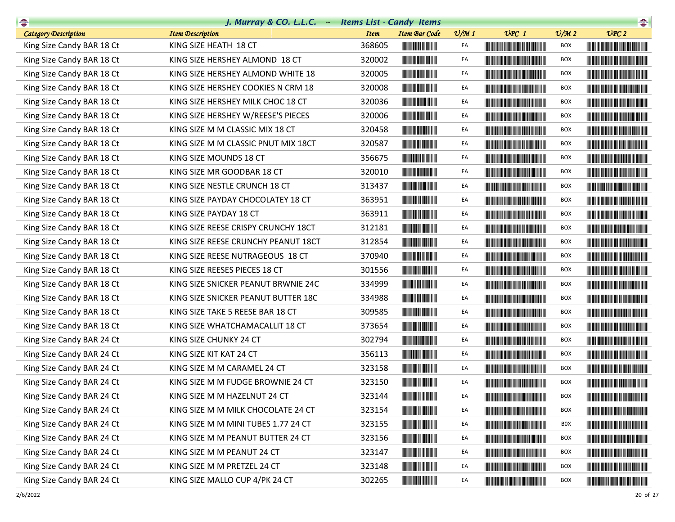| $\begin{picture}(20,10) \put(0,0){\line(1,0){10}} \put(15,0){\line(1,0){10}} \put(15,0){\line(1,0){10}} \put(15,0){\line(1,0){10}} \put(15,0){\line(1,0){10}} \put(15,0){\line(1,0){10}} \put(15,0){\line(1,0){10}} \put(15,0){\line(1,0){10}} \put(15,0){\line(1,0){10}} \put(15,0){\line(1,0){10}} \put(15,0){\line(1,0){10}} \put(15,0){\line(1$ | J. Murray & CO. L.L.C. - Items List - Candy Items |             |                                                                                                                                                                                                                                      |                 |                                                                                                                                                                                                                                      |                 | $\begin{picture}(20,10) \put(0,0){\line(1,0){10}} \put(15,0){\line(1,0){10}} \put(15,0){\line(1,0){10}} \put(15,0){\line(1,0){10}} \put(15,0){\line(1,0){10}} \put(15,0){\line(1,0){10}} \put(15,0){\line(1,0){10}} \put(15,0){\line(1,0){10}} \put(15,0){\line(1,0){10}} \put(15,0){\line(1,0){10}} \put(15,0){\line(1,0){10}} \put(15,0){\line(1$ |
|-----------------------------------------------------------------------------------------------------------------------------------------------------------------------------------------------------------------------------------------------------------------------------------------------------------------------------------------------------|---------------------------------------------------|-------------|--------------------------------------------------------------------------------------------------------------------------------------------------------------------------------------------------------------------------------------|-----------------|--------------------------------------------------------------------------------------------------------------------------------------------------------------------------------------------------------------------------------------|-----------------|-----------------------------------------------------------------------------------------------------------------------------------------------------------------------------------------------------------------------------------------------------------------------------------------------------------------------------------------------------|
| <b>Category Description</b>                                                                                                                                                                                                                                                                                                                         | <b>Item Description</b>                           | <b>Item</b> | <b>Item Bar Code</b>                                                                                                                                                                                                                 | $\frac{v}{M}$ 1 | $UPC$ 1                                                                                                                                                                                                                              | $\frac{v}{M}$ 2 | $\nu$ PC 2                                                                                                                                                                                                                                                                                                                                          |
| King Size Candy BAR 18 Ct                                                                                                                                                                                                                                                                                                                           | KING SIZE HEATH 18 CT                             | 368605      |                                                                                                                                                                                                                                      | EA              | <u> The Community of the Community of the Community of the Community of the Community of the Community of the Community of the Community of the Community of the Community of the Community of the Community of the Community of</u> | <b>BOX</b>      |                                                                                                                                                                                                                                                                                                                                                     |
| King Size Candy BAR 18 Ct                                                                                                                                                                                                                                                                                                                           | KING SIZE HERSHEY ALMOND 18 CT                    | 320002      |                                                                                                                                                                                                                                      | EA              | <u> Tanzania de la provincia de la provincia de la provincia de la provincia de la provincia de la provincia de</u>                                                                                                                  | <b>BOX</b>      |                                                                                                                                                                                                                                                                                                                                                     |
| King Size Candy BAR 18 Ct                                                                                                                                                                                                                                                                                                                           | KING SIZE HERSHEY ALMOND WHITE 18                 | 320005      |                                                                                                                                                                                                                                      | EA              | <u> Harry Harry Harry Harry Harry Harry Harry Harry Harry Harry Harry Harry Harry Harry Harry Harry Harry Harry Harry Harry Harry Harry Harry Harry Harry Harry Harry Harry Harry Harry Harry Harry Harry Harry Harry Harry Harr</u> | <b>BOX</b>      |                                                                                                                                                                                                                                                                                                                                                     |
| King Size Candy BAR 18 Ct                                                                                                                                                                                                                                                                                                                           | KING SIZE HERSHEY COOKIES N CRM 18                | 320008      |                                                                                                                                                                                                                                      | EA              | <b>The Committee of the Committee of the Committee</b>                                                                                                                                                                               | BOX             | <u> Timba ka kasani na matu ma</u>                                                                                                                                                                                                                                                                                                                  |
| King Size Candy BAR 18 Ct                                                                                                                                                                                                                                                                                                                           | KING SIZE HERSHEY MILK CHOC 18 CT                 | 320036      |                                                                                                                                                                                                                                      | EA              |                                                                                                                                                                                                                                      | <b>BOX</b>      |                                                                                                                                                                                                                                                                                                                                                     |
| King Size Candy BAR 18 Ct                                                                                                                                                                                                                                                                                                                           | KING SIZE HERSHEY W/REESE'S PIECES                | 320006      |                                                                                                                                                                                                                                      | EA              | <u> Liberal Maria de la contrada de la c</u>                                                                                                                                                                                         | <b>BOX</b>      |                                                                                                                                                                                                                                                                                                                                                     |
| King Size Candy BAR 18 Ct                                                                                                                                                                                                                                                                                                                           | KING SIZE M M CLASSIC MIX 18 CT                   | 320458      |                                                                                                                                                                                                                                      | EA              | <b>Contract Contract Contract Contract Contract</b>                                                                                                                                                                                  | <b>BOX</b>      | <b>The Committee of the Committee of the Committee</b>                                                                                                                                                                                                                                                                                              |
| King Size Candy BAR 18 Ct                                                                                                                                                                                                                                                                                                                           | KING SIZE M M CLASSIC PNUT MIX 18CT               | 320587      |                                                                                                                                                                                                                                      | EA              | <u> The Community of the Community of the Community of the Community of the Community of the Community of the Community of the Community of the Community of the Community of the Community of the Community of the Community of</u> | BOX             |                                                                                                                                                                                                                                                                                                                                                     |
| King Size Candy BAR 18 Ct                                                                                                                                                                                                                                                                                                                           | KING SIZE MOUNDS 18 CT                            | 356675      |                                                                                                                                                                                                                                      | EA              | <b>The Community of the Community</b>                                                                                                                                                                                                | BOX             | <b>The Community of the Community</b>                                                                                                                                                                                                                                                                                                               |
| King Size Candy BAR 18 Ct                                                                                                                                                                                                                                                                                                                           | KING SIZE MR GOODBAR 18 CT                        | 320010      | <b>The Committee of the Committee of the Committee</b>                                                                                                                                                                               | EA              |                                                                                                                                                                                                                                      | BOX             | <b>The Committee of the Committee of the Committee</b>                                                                                                                                                                                                                                                                                              |
| King Size Candy BAR 18 Ct                                                                                                                                                                                                                                                                                                                           | KING SIZE NESTLE CRUNCH 18 CT                     | 313437      |                                                                                                                                                                                                                                      | EA              |                                                                                                                                                                                                                                      | <b>BOX</b>      |                                                                                                                                                                                                                                                                                                                                                     |
| King Size Candy BAR 18 Ct                                                                                                                                                                                                                                                                                                                           | KING SIZE PAYDAY CHOCOLATEY 18 CT                 | 363951      | <b>The Committee of the Committee of the Committee</b>                                                                                                                                                                               | EA              | <u> Harry Harry Harry Harry Harry Harry Harry Harry Harry Harry Harry Harry Harry Harry Harry Harry Harry Harry Harry Harry Harry Harry Harry Harry Harry Harry Harry Harry Harry Harry Harry Harry Harry Harry Harry Harry Harr</u> | BOX             |                                                                                                                                                                                                                                                                                                                                                     |
| King Size Candy BAR 18 Ct                                                                                                                                                                                                                                                                                                                           | KING SIZE PAYDAY 18 CT                            | 363911      |                                                                                                                                                                                                                                      | EA              |                                                                                                                                                                                                                                      | <b>BOX</b>      |                                                                                                                                                                                                                                                                                                                                                     |
| King Size Candy BAR 18 Ct                                                                                                                                                                                                                                                                                                                           | KING SIZE REESE CRISPY CRUNCHY 18CT               | 312181      | <u> Liberal Maria San Barat III a Shekara ta 1989 da kasar Ing Pangangan sa Barat Ing Pangangan sa Barat Ing Pang</u>                                                                                                                | EA              | <u> The Community of the Community of the Community of the Community of the Community of the Community of the Co</u>                                                                                                                 | BOX             |                                                                                                                                                                                                                                                                                                                                                     |
| King Size Candy BAR 18 Ct                                                                                                                                                                                                                                                                                                                           | KING SIZE REESE CRUNCHY PEANUT 18CT               | 312854      |                                                                                                                                                                                                                                      | EA              |                                                                                                                                                                                                                                      | <b>BOX</b>      |                                                                                                                                                                                                                                                                                                                                                     |
| King Size Candy BAR 18 Ct                                                                                                                                                                                                                                                                                                                           | KING SIZE REESE NUTRAGEOUS 18 CT                  | 370940      |                                                                                                                                                                                                                                      | EA              | <b>The Community of the Community</b>                                                                                                                                                                                                | <b>BOX</b>      | <u> Harry Harry Harry Harry Harry Harry Harry Harry Harry Harry Harry Harry Harry Harry Harry Harry Harry Harry Harry Harry Harry Harry Harry Harry Harry Harry Harry Harry Harry Harry Harry Harry Harry Harry Harry Harry Harr</u>                                                                                                                |
| King Size Candy BAR 18 Ct                                                                                                                                                                                                                                                                                                                           | KING SIZE REESES PIECES 18 CT                     | 301556      |                                                                                                                                                                                                                                      | EA              | <b>The Committee of the Committee of the Committee</b>                                                                                                                                                                               | <b>BOX</b>      |                                                                                                                                                                                                                                                                                                                                                     |
| King Size Candy BAR 18 Ct                                                                                                                                                                                                                                                                                                                           | KING SIZE SNICKER PEANUT BRWNIE 24C               | 334999      |                                                                                                                                                                                                                                      | EA              | <b>The Community of the Community</b>                                                                                                                                                                                                | <b>BOX</b>      |                                                                                                                                                                                                                                                                                                                                                     |
| King Size Candy BAR 18 Ct                                                                                                                                                                                                                                                                                                                           | KING SIZE SNICKER PEANUT BUTTER 18C               | 334988      |                                                                                                                                                                                                                                      | EA              |                                                                                                                                                                                                                                      | <b>BOX</b>      |                                                                                                                                                                                                                                                                                                                                                     |
| King Size Candy BAR 18 Ct                                                                                                                                                                                                                                                                                                                           | KING SIZE TAKE 5 REESE BAR 18 CT                  | 309585      |                                                                                                                                                                                                                                      | EA              | <b>The Committee of the Committee of the Committee</b>                                                                                                                                                                               | BOX             |                                                                                                                                                                                                                                                                                                                                                     |
| King Size Candy BAR 18 Ct                                                                                                                                                                                                                                                                                                                           | KING SIZE WHATCHAMACALLIT 18 CT                   | 373654      |                                                                                                                                                                                                                                      | EA              |                                                                                                                                                                                                                                      | <b>BOX</b>      |                                                                                                                                                                                                                                                                                                                                                     |
| King Size Candy BAR 24 Ct                                                                                                                                                                                                                                                                                                                           | KING SIZE CHUNKY 24 CT                            | 302794      |                                                                                                                                                                                                                                      | EA              |                                                                                                                                                                                                                                      | BOX             |                                                                                                                                                                                                                                                                                                                                                     |
| King Size Candy BAR 24 Ct                                                                                                                                                                                                                                                                                                                           | KING SIZE KIT KAT 24 CT                           | 356113      | <b>The Common Service Common</b>                                                                                                                                                                                                     | EA              | <b>The Community of the Community</b>                                                                                                                                                                                                | BOX             |                                                                                                                                                                                                                                                                                                                                                     |
| King Size Candy BAR 24 Ct                                                                                                                                                                                                                                                                                                                           | KING SIZE M M CARAMEL 24 CT                       | 323158      |                                                                                                                                                                                                                                      | EA              |                                                                                                                                                                                                                                      | BOX             |                                                                                                                                                                                                                                                                                                                                                     |
| King Size Candy BAR 24 Ct                                                                                                                                                                                                                                                                                                                           | KING SIZE M M FUDGE BROWNIE 24 CT                 | 323150      |                                                                                                                                                                                                                                      | EA              | <b>The Community of the Community</b>                                                                                                                                                                                                | <b>BOX</b>      |                                                                                                                                                                                                                                                                                                                                                     |
| King Size Candy BAR 24 Ct                                                                                                                                                                                                                                                                                                                           | KING SIZE M M HAZELNUT 24 CT                      | 323144      | <b>THE REAL PROPERTY</b>                                                                                                                                                                                                             | EA              |                                                                                                                                                                                                                                      | <b>BOX</b>      |                                                                                                                                                                                                                                                                                                                                                     |
| King Size Candy BAR 24 Ct                                                                                                                                                                                                                                                                                                                           | KING SIZE M M MILK CHOCOLATE 24 CT                | 323154      |                                                                                                                                                                                                                                      | EA              |                                                                                                                                                                                                                                      | BOX             |                                                                                                                                                                                                                                                                                                                                                     |
| King Size Candy BAR 24 Ct                                                                                                                                                                                                                                                                                                                           | KING SIZE M M MINI TUBES 1.77 24 CT               | 323155      |                                                                                                                                                                                                                                      | EA              |                                                                                                                                                                                                                                      | BOX             |                                                                                                                                                                                                                                                                                                                                                     |
| King Size Candy BAR 24 Ct                                                                                                                                                                                                                                                                                                                           | KING SIZE M M PEANUT BUTTER 24 CT                 | 323156      |                                                                                                                                                                                                                                      | EA              |                                                                                                                                                                                                                                      | BOX             | <u> Liberal Maria Maria Maria Maria Maria Maria Maria Maria Maria Maria Maria Maria Maria Maria Maria Maria Maria </u>                                                                                                                                                                                                                              |
| King Size Candy BAR 24 Ct                                                                                                                                                                                                                                                                                                                           | KING SIZE M M PEANUT 24 CT                        | 323147      |                                                                                                                                                                                                                                      | EA              | <b>The Community of the Community</b>                                                                                                                                                                                                | BOX             |                                                                                                                                                                                                                                                                                                                                                     |
| King Size Candy BAR 24 Ct                                                                                                                                                                                                                                                                                                                           | KING SIZE M M PRETZEL 24 CT                       | 323148      |                                                                                                                                                                                                                                      | EA              | <b>The Community of the Community</b>                                                                                                                                                                                                | BOX             |                                                                                                                                                                                                                                                                                                                                                     |
| King Size Candy BAR 24 Ct                                                                                                                                                                                                                                                                                                                           | KING SIZE MALLO CUP 4/PK 24 CT                    | 302265      | <u> Indian Andrew Maria Strong Barnett av 1989 ble 1989 ble 1989 ble 1989 ble 1989 ble 1989 ble 1989 ble 1989 ble 1989 ble 1989 ble 1989 ble 1989 ble 1989 ble 1989 ble 1989 ble 1989 ble 1989 ble 1989 ble 1989 ble 1989 ble 19</u> | EA              | <u> Liberal Maria de la contrada de la con</u>                                                                                                                                                                                       | <b>BOX</b>      | <u> Linda ka ka matsayin ka sanadi ka sa</u>                                                                                                                                                                                                                                                                                                        |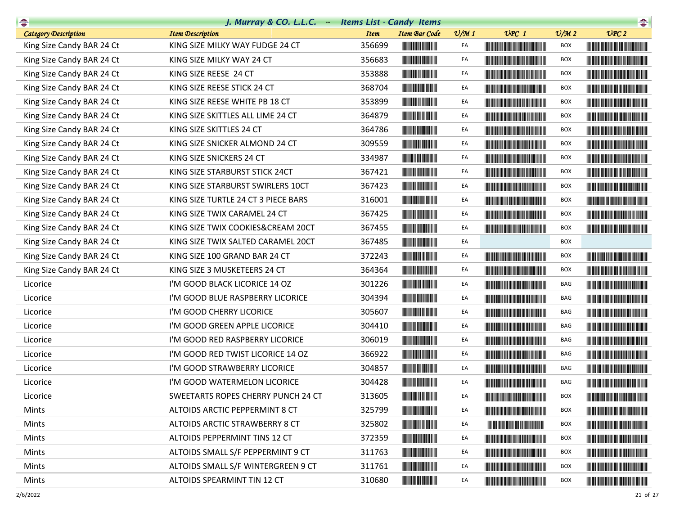| $\begin{picture}(20,10) \put(0,0){\line(1,0){10}} \put(10,0){\line(1,0){10}} \put(10,0){\line(1,0){10}} \put(10,0){\line(1,0){10}} \put(10,0){\line(1,0){10}} \put(10,0){\line(1,0){10}} \put(10,0){\line(1,0){10}} \put(10,0){\line(1,0){10}} \put(10,0){\line(1,0){10}} \put(10,0){\line(1,0){10}} \put(10,0){\line(1,0){10}} \put(10,0){\line(1$ | J. Murray & CO. L.L.C. - Items List - Candy Items |             |                                                                                                                        |                 |                                                                                                                                                                                                                                      |                 | $\begin{picture}(20,20) \put(0,0){\line(1,0){10}} \put(15,0){\line(1,0){10}} \put(15,0){\line(1,0){10}} \put(15,0){\line(1,0){10}} \put(15,0){\line(1,0){10}} \put(15,0){\line(1,0){10}} \put(15,0){\line(1,0){10}} \put(15,0){\line(1,0){10}} \put(15,0){\line(1,0){10}} \put(15,0){\line(1,0){10}} \put(15,0){\line(1,0){10}} \put(15,0){\line(1$ |
|-----------------------------------------------------------------------------------------------------------------------------------------------------------------------------------------------------------------------------------------------------------------------------------------------------------------------------------------------------|---------------------------------------------------|-------------|------------------------------------------------------------------------------------------------------------------------|-----------------|--------------------------------------------------------------------------------------------------------------------------------------------------------------------------------------------------------------------------------------|-----------------|-----------------------------------------------------------------------------------------------------------------------------------------------------------------------------------------------------------------------------------------------------------------------------------------------------------------------------------------------------|
| <b>Category Description</b>                                                                                                                                                                                                                                                                                                                         | <b>Item Description</b>                           | <b>Item</b> | <b>Item Bar Code</b>                                                                                                   | $\frac{v}{M}$ 1 | $UPC$ 1                                                                                                                                                                                                                              | $\frac{V}{M}$ 2 | UPC2                                                                                                                                                                                                                                                                                                                                                |
| King Size Candy BAR 24 Ct                                                                                                                                                                                                                                                                                                                           | KING SIZE MILKY WAY FUDGE 24 CT                   | 356699      |                                                                                                                        | EA              | <u> III di kacamatan ing Kabupatèn III di kacamatan III di kacamatan III di kacamatan III di kacamatan III di kacamatan III di kacamatan III di kacamatan III di kacamatan III di kacamatan III di kacamatan III di kacamatan II</u> | BOX             | <b>The Community of the Community</b>                                                                                                                                                                                                                                                                                                               |
| King Size Candy BAR 24 Ct                                                                                                                                                                                                                                                                                                                           | KING SIZE MILKY WAY 24 CT                         | 356683      |                                                                                                                        | EA              | <u> Tanzania (h. 1888).</u>                                                                                                                                                                                                          | <b>BOX</b>      | <u> Liberal Maria San Barat da Ba</u>                                                                                                                                                                                                                                                                                                               |
| King Size Candy BAR 24 Ct                                                                                                                                                                                                                                                                                                                           | KING SIZE REESE 24 CT                             | 353888      |                                                                                                                        | EA              |                                                                                                                                                                                                                                      | <b>BOX</b>      |                                                                                                                                                                                                                                                                                                                                                     |
| King Size Candy BAR 24 Ct                                                                                                                                                                                                                                                                                                                           | KING SIZE REESE STICK 24 CT                       | 368704      |                                                                                                                        | EA              | <b>The Committee of the Committee of the Committee</b>                                                                                                                                                                               | BOX             |                                                                                                                                                                                                                                                                                                                                                     |
| King Size Candy BAR 24 Ct                                                                                                                                                                                                                                                                                                                           | KING SIZE REESE WHITE PB 18 CT                    | 353899      |                                                                                                                        | EA              |                                                                                                                                                                                                                                      | <b>BOX</b>      |                                                                                                                                                                                                                                                                                                                                                     |
| King Size Candy BAR 24 Ct                                                                                                                                                                                                                                                                                                                           | KING SIZE SKITTLES ALL LIME 24 CT                 | 364879      |                                                                                                                        | EA              | <u> The Community of the Community of the Community of the Community of the Community of the Community of the Community of the Community of the Community of the Community of the Community of the Community of the Community of</u> | <b>BOX</b>      |                                                                                                                                                                                                                                                                                                                                                     |
| King Size Candy BAR 24 Ct                                                                                                                                                                                                                                                                                                                           | KING SIZE SKITTLES 24 CT                          | 364786      |                                                                                                                        | EA              |                                                                                                                                                                                                                                      | <b>BOX</b>      |                                                                                                                                                                                                                                                                                                                                                     |
| King Size Candy BAR 24 Ct                                                                                                                                                                                                                                                                                                                           | KING SIZE SNICKER ALMOND 24 CT                    | 309559      |                                                                                                                        | EA              |                                                                                                                                                                                                                                      | BOX             |                                                                                                                                                                                                                                                                                                                                                     |
| King Size Candy BAR 24 Ct                                                                                                                                                                                                                                                                                                                           | KING SIZE SNICKERS 24 CT                          | 334987      |                                                                                                                        | EA              | <b>The Community of the Community</b>                                                                                                                                                                                                | <b>BOX</b>      |                                                                                                                                                                                                                                                                                                                                                     |
| King Size Candy BAR 24 Ct                                                                                                                                                                                                                                                                                                                           | KING SIZE STARBURST STICK 24CT                    | 367421      | <u> Indian Andrewski koji se postala s predsjednik i predsjednik i predsjednik i predsjednik i predsjednik i pre</u>   | EA              | <u> The Community of the Community of the Community of the Community of the Community of the Community of the Community of the Community of the Community of the Community of the Community of the Community of the Community of</u> | BOX             |                                                                                                                                                                                                                                                                                                                                                     |
| King Size Candy BAR 24 Ct                                                                                                                                                                                                                                                                                                                           | KING SIZE STARBURST SWIRLERS 10CT                 | 367423      |                                                                                                                        | EA              | <u> Harry Harry Harry Harry Harry Harry Harry Harry Harry Harry Harry Harry Harry Harry Harry Harry Harry Harry Harry Harry Harry Harry Harry Harry Harry Harry Harry Harry Harry Harry Harry Harry Harry Harry Harry Harry Harr</u> | BOX             |                                                                                                                                                                                                                                                                                                                                                     |
| King Size Candy BAR 24 Ct                                                                                                                                                                                                                                                                                                                           | KING SIZE TURTLE 24 CT 3 PIECE BARS               | 316001      |                                                                                                                        | EA              |                                                                                                                                                                                                                                      | BOX             |                                                                                                                                                                                                                                                                                                                                                     |
| King Size Candy BAR 24 Ct                                                                                                                                                                                                                                                                                                                           | KING SIZE TWIX CARAMEL 24 CT                      | 367425      | <b>The Committee of the Committee of the Committee</b>                                                                 | EA              |                                                                                                                                                                                                                                      | <b>BOX</b>      | <u> Harris Barbara (Barbara) e de la pro</u>                                                                                                                                                                                                                                                                                                        |
| King Size Candy BAR 24 Ct                                                                                                                                                                                                                                                                                                                           | KING SIZE TWIX COOKIES&CREAM 20CT                 | 367455      | <b>The Committee of the Committee of the Committee</b>                                                                 | EA              | <u> Timba ka matsayin ka matsayin ka matsayin ka matsayin ka matsayin ka matsayin ka matsayin ka matsayin ka matsayin ka matsayin ka matsayin ka matsayin ka matsayin ka matsayin ka matsayin ka matsayin ka matsayin ka matsayi</u> | <b>BOX</b>      |                                                                                                                                                                                                                                                                                                                                                     |
| King Size Candy BAR 24 Ct                                                                                                                                                                                                                                                                                                                           | KING SIZE TWIX SALTED CARAMEL 20CT                | 367485      |                                                                                                                        | EA              |                                                                                                                                                                                                                                      | <b>BOX</b>      |                                                                                                                                                                                                                                                                                                                                                     |
| King Size Candy BAR 24 Ct                                                                                                                                                                                                                                                                                                                           | KING SIZE 100 GRAND BAR 24 CT                     | 372243      | <b>The Community</b>                                                                                                   | EA              |                                                                                                                                                                                                                                      | <b>BOX</b>      |                                                                                                                                                                                                                                                                                                                                                     |
| King Size Candy BAR 24 Ct                                                                                                                                                                                                                                                                                                                           | KING SIZE 3 MUSKETEERS 24 CT                      | 364364      |                                                                                                                        | EA              |                                                                                                                                                                                                                                      | BOX             | <u> Timba ka matsayin ka matsayin ka matsayin ka matsayin ka matsayin ka matsayin ka matsayin ka matsayin ka matsayin ka matsayin ka matsayin ka matsayin ka matsayin ka matsayin ka matsayin ka matsayin ka matsayin ka matsayi</u>                                                                                                                |
| Licorice                                                                                                                                                                                                                                                                                                                                            | I'M GOOD BLACK LICORICE 14 OZ                     | 301226      |                                                                                                                        | EA              |                                                                                                                                                                                                                                      | BAG             |                                                                                                                                                                                                                                                                                                                                                     |
| Licorice                                                                                                                                                                                                                                                                                                                                            | I'M GOOD BLUE RASPBERRY LICORICE                  | 304394      |                                                                                                                        | EA              |                                                                                                                                                                                                                                      | BAG             |                                                                                                                                                                                                                                                                                                                                                     |
| Licorice                                                                                                                                                                                                                                                                                                                                            | I'M GOOD CHERRY LICORICE                          | 305607      |                                                                                                                        | EA              |                                                                                                                                                                                                                                      | BAG             |                                                                                                                                                                                                                                                                                                                                                     |
| Licorice                                                                                                                                                                                                                                                                                                                                            | I'M GOOD GREEN APPLE LICORICE                     | 304410      | <u> Herman Maria San Barat III da ka shekara ta 1989 kuni a shekara ta 1989 kuni a shekara ta 1989 kuni a shekara </u> | EA              |                                                                                                                                                                                                                                      | BAG             |                                                                                                                                                                                                                                                                                                                                                     |
| Licorice                                                                                                                                                                                                                                                                                                                                            | I'M GOOD RED RASPBERRY LICORICE                   | 306019      |                                                                                                                        | EA              |                                                                                                                                                                                                                                      | BAG             |                                                                                                                                                                                                                                                                                                                                                     |
| Licorice                                                                                                                                                                                                                                                                                                                                            | I'M GOOD RED TWIST LICORICE 14 OZ                 | 366922      |                                                                                                                        | EA              |                                                                                                                                                                                                                                      | BAG             |                                                                                                                                                                                                                                                                                                                                                     |
| Licorice                                                                                                                                                                                                                                                                                                                                            | I'M GOOD STRAWBERRY LICORICE                      | 304857      | <u> Herbert Herbert in der Erste der Erste der Erste der Erste der Erste der Erste der Erste der Erste der Erste </u>  | EA              |                                                                                                                                                                                                                                      | BAG             |                                                                                                                                                                                                                                                                                                                                                     |
| Licorice                                                                                                                                                                                                                                                                                                                                            | I'M GOOD WATERMELON LICORICE                      | 304428      |                                                                                                                        | EA              |                                                                                                                                                                                                                                      | BAG             |                                                                                                                                                                                                                                                                                                                                                     |
| Licorice                                                                                                                                                                                                                                                                                                                                            | SWEETARTS ROPES CHERRY PUNCH 24 CT                | 313605      | <b>THE REAL PROPERTY</b>                                                                                               | EA              |                                                                                                                                                                                                                                      | <b>BOX</b>      |                                                                                                                                                                                                                                                                                                                                                     |
| Mints                                                                                                                                                                                                                                                                                                                                               | ALTOIDS ARCTIC PEPPERMINT 8 CT                    | 325799      |                                                                                                                        | EA              | <b>The Committee of the Committee of the Committee</b>                                                                                                                                                                               | BOX             | <u> Harry Harry Harry Harry Harry Harry Harry Harry Harry Harry Harry Harry Harry Harry Harry Harry Harry Harry Harry Harry Harry Harry Harry Harry Harry Harry Harry Harry Harry Harry Harry Harry Harry Harry Harry Harry Harr</u>                                                                                                                |
| Mints                                                                                                                                                                                                                                                                                                                                               | ALTOIDS ARCTIC STRAWBERRY 8 CT                    | 325802      |                                                                                                                        | EA              |                                                                                                                                                                                                                                      | BOX             |                                                                                                                                                                                                                                                                                                                                                     |
| Mints                                                                                                                                                                                                                                                                                                                                               | ALTOIDS PEPPERMINT TINS 12 CT                     | 372359      | <u> Indian American Indian Indian Indian Indian Indian Indian Indian Indian Indian Indian Indian Indian Indian In</u>  | EA              | <u> Liberal Maria de la contrada de la con</u>                                                                                                                                                                                       | <b>BOX</b>      | <u> Harry Harry Harry Harry Harry Harry Harry Harry Harry Harry Harry Harry Harry Harry Harry Harry Harry Harry Harry Harry Harry Harry Harry Harry Harry Harry Harry Harry Harry Harry Harry Harry Harry Harry Harry Harry Harr</u>                                                                                                                |
| Mints                                                                                                                                                                                                                                                                                                                                               | ALTOIDS SMALL S/F PEPPERMINT 9 CT                 | 311763      |                                                                                                                        | EA              | <b>The Committee of the Committee of the Committee</b>                                                                                                                                                                               | BOX             | <b>The Committee of the Committee of the Committee</b>                                                                                                                                                                                                                                                                                              |
| Mints                                                                                                                                                                                                                                                                                                                                               | ALTOIDS SMALL S/F WINTERGREEN 9 CT                | 311761      |                                                                                                                        | EA              | <b>The Committee of the Committee of the Committee</b>                                                                                                                                                                               | BOX             | <u> Harry Harry Harry Harry Harry Harry Harry Harry Harry Harry Harry Harry Harry Harry Harry Harry Harry Harry H</u>                                                                                                                                                                                                                               |
| Mints                                                                                                                                                                                                                                                                                                                                               | ALTOIDS SPEARMINT TIN 12 CT                       | 310680      |                                                                                                                        | EA              |                                                                                                                                                                                                                                      | BOX             |                                                                                                                                                                                                                                                                                                                                                     |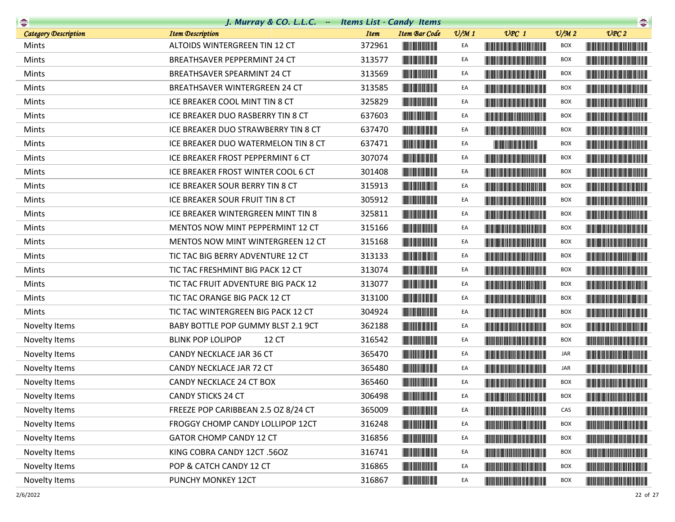|                             | J. Murray & CO. L.L.C. - Items List - Candy Items |                                                                  |                 |                                                                                                                                                                                                                                      |                 | $\begin{picture}(20,10) \put(0,0){\line(1,0){10}} \put(0,0){\line(1,0){10}} \put(0,0){\line(1,0){10}} \put(0,0){\line(1,0){10}} \put(0,0){\line(1,0){10}} \put(0,0){\line(1,0){10}} \put(0,0){\line(1,0){10}} \put(0,0){\line(1,0){10}} \put(0,0){\line(1,0){10}} \put(0,0){\line(1,0){10}} \put(0,0){\line(1,0){10}} \put(0,0){\line(1,0){10}} \put(0,$ |
|-----------------------------|---------------------------------------------------|------------------------------------------------------------------|-----------------|--------------------------------------------------------------------------------------------------------------------------------------------------------------------------------------------------------------------------------------|-----------------|----------------------------------------------------------------------------------------------------------------------------------------------------------------------------------------------------------------------------------------------------------------------------------------------------------------------------------------------------------|
| <b>Category Description</b> | <b>Item Description</b>                           | <b>Item</b><br><b>Item Bar Code</b>                              | $\frac{v}{M}$ 1 | $UPC$ 1                                                                                                                                                                                                                              | $\frac{V}{M}$ 2 | UPC2                                                                                                                                                                                                                                                                                                                                                     |
| Mints                       | ALTOIDS WINTERGREEN TIN 12 CT                     | 372961                                                           | EA              | <u> Harat Barat Barat Barat Barat Barat Barat Barat Barat Barat Barat Barat Barat Barat Barat Barat Barat Barat Barat Barat Barat Barat Barat Barat Barat Barat Barat Barat Barat Barat Barat Barat Barat Barat Barat Barat Bara</u> | BOX             |                                                                                                                                                                                                                                                                                                                                                          |
| Mints                       | <b>BREATHSAVER PEPPERMINT 24 CT</b>               | 313577                                                           | EA              | <b>The Committee of the Committee of the Committee</b>                                                                                                                                                                               | <b>BOX</b>      | <u> Liberal Maria Maria Maria Maria Maria Maria Maria Maria Maria Maria Maria Maria Maria Maria Maria Maria Maria </u>                                                                                                                                                                                                                                   |
| Mints                       | BREATHSAVER SPEARMINT 24 CT                       | 313569                                                           | EA              |                                                                                                                                                                                                                                      | <b>BOX</b>      | <u> Harry Harry Harry Harry Harry Harry Harry Harry Harry Harry Harry Harry Harry Harry Harry Harry Harry Harry Harry Harry Harry Harry Harry Harry Harry Harry Harry Harry Harry Harry Harry Harry Harry Harry Harry Harry Harr</u>                                                                                                                     |
| Mints                       | BREATHSAVER WINTERGREEN 24 CT                     | 313585                                                           | EA              | <b>The Committee of the Committee of the Committee</b>                                                                                                                                                                               | BOX             | <u> Harris Harris Harris Harris Harris Harris Harris Harris Harris Harris Harris Harris Harris Harris Harris Harris Harris Harris Harris Harris Harris Harris Harris Harris Harris Harris Harris Harris Harris Harris Harris Har</u>                                                                                                                     |
| Mints                       | ICE BREAKER COOL MINT TIN 8 CT                    | 325829<br><b>CONTRACTOR</b>                                      | EA              |                                                                                                                                                                                                                                      | <b>BOX</b>      |                                                                                                                                                                                                                                                                                                                                                          |
| Mints                       | ICE BREAKER DUO RASBERRY TIN 8 CT                 | 637603                                                           | EA              |                                                                                                                                                                                                                                      | BOX             |                                                                                                                                                                                                                                                                                                                                                          |
| Mints                       | ICE BREAKER DUO STRAWBERRY TIN 8 CT               | 637470                                                           | EA              |                                                                                                                                                                                                                                      | <b>BOX</b>      |                                                                                                                                                                                                                                                                                                                                                          |
| Mints                       | ICE BREAKER DUO WATERMELON TIN 8 CT               | 637471                                                           | EA              |                                                                                                                                                                                                                                      | <b>BOX</b>      |                                                                                                                                                                                                                                                                                                                                                          |
| Mints                       | ICE BREAKER FROST PEPPERMINT 6 CT                 | 307074                                                           | EA              |                                                                                                                                                                                                                                      | <b>BOX</b>      |                                                                                                                                                                                                                                                                                                                                                          |
| Mints                       | ICE BREAKER FROST WINTER COOL 6 CT                | 301408                                                           | EA              | <b>The Community of the Community</b>                                                                                                                                                                                                | BOX             | <u> Harry Harry Harry Harry Harry Harry Harry Harry Harry Harry Harry Harry Harry Harry Harry Harry Harry Harry Harry Harry Harry Harry Harry Harry Harry Harry Harry Harry Harry Harry Harry Harry Harry Harry Harry Harry Harr</u>                                                                                                                     |
| Mints                       | ICE BREAKER SOUR BERRY TIN 8 CT                   | 315913                                                           | EA              |                                                                                                                                                                                                                                      | <b>BOX</b>      |                                                                                                                                                                                                                                                                                                                                                          |
| Mints                       | ICE BREAKER SOUR FRUIT TIN 8 CT                   | 305912                                                           | EA              | <b>The Committee of the Committee of the Committee of the Committee</b>                                                                                                                                                              | BOX             |                                                                                                                                                                                                                                                                                                                                                          |
| Mints                       | ICE BREAKER WINTERGREEN MINT TIN 8                | 325811                                                           | EA              |                                                                                                                                                                                                                                      | <b>BOX</b>      |                                                                                                                                                                                                                                                                                                                                                          |
| Mints                       | MENTOS NOW MINT PEPPERMINT 12 CT                  | 315166                                                           | EA              |                                                                                                                                                                                                                                      | BOX             |                                                                                                                                                                                                                                                                                                                                                          |
| Mints                       | <b>MENTOS NOW MINT WINTERGREEN 12 CT</b>          | 315168                                                           | EA              |                                                                                                                                                                                                                                      | BOX             |                                                                                                                                                                                                                                                                                                                                                          |
| Mints                       | TIC TAC BIG BERRY ADVENTURE 12 CT                 | <b>THE REAL PROPERTY</b><br>313133                               | EA              |                                                                                                                                                                                                                                      | BOX             |                                                                                                                                                                                                                                                                                                                                                          |
| Mints                       | TIC TAC FRESHMINT BIG PACK 12 CT                  | 313074                                                           | EA              | <b>Contract Contract Contract Contract Contract Contract Contract Contract Contract Contract Contract Contract Co</b>                                                                                                                | BOX             |                                                                                                                                                                                                                                                                                                                                                          |
| Mints                       | TIC TAC FRUIT ADVENTURE BIG PACK 12               | 313077                                                           | EA              | <b>CONTRACTOR</b>                                                                                                                                                                                                                    | <b>BOX</b>      | <u> Liberal Maria Maria San Barat III a Shekara ta 1989 da kasas na shekara ta 1989 da kasas na shekara ta 1981 da k</u>                                                                                                                                                                                                                                 |
| Mints                       | TIC TAC ORANGE BIG PACK 12 CT                     | 313100                                                           | EA              | <u> Harry Harry Harry Harry Harry Harry Harry Harry Harry Harry Harry Harry Harry Harry Harry Harry Harry Harry Harry Harry Harry Harry Harry Harry Harry Harry Harry Harry Harry Harry Harry Harry Harry Harry Harry Harry Harr</u> | <b>BOX</b>      |                                                                                                                                                                                                                                                                                                                                                          |
| Mints                       | TIC TAC WINTERGREEN BIG PACK 12 CT                | 304924                                                           | EA              | <b>The Community of the Community</b>                                                                                                                                                                                                | BOX             |                                                                                                                                                                                                                                                                                                                                                          |
| Novelty Items               | BABY BOTTLE POP GUMMY BLST 2.1 9CT                | 362188                                                           | EA              | <u> Harry Harry Harry Harry Harry Harry Harry Harry Harry Harry Harry Harry Harry Harry Harry Harry Harry Harry Harry Harry Harry Harry Harry Harry Harry Harry Harry Harry Harry Harry Harry Harry Harry Harry Harry Harry Harr</u> | <b>BOX</b>      | <b>The Community of the Community</b>                                                                                                                                                                                                                                                                                                                    |
| Novelty Items               | <b>BLINK POP LOLIPOP</b><br>12 CT                 | 316542                                                           | EA              |                                                                                                                                                                                                                                      | <b>BOX</b>      |                                                                                                                                                                                                                                                                                                                                                          |
| Novelty Items               | CANDY NECKLACE JAR 36 CT                          | 365470                                                           | EA              |                                                                                                                                                                                                                                      | JAR             |                                                                                                                                                                                                                                                                                                                                                          |
| Novelty Items               | CANDY NECKLACE JAR 72 CT                          | 365480                                                           | EA              | <b>The Common Section</b>                                                                                                                                                                                                            | JAR             | <u> Harry Harry Harry Harry Harry Harry Harry Harry Harry Harry Harry Harry Harry Harry Harry Harry Harry Harry Harry Harry Harry Harry Harry Harry Harry Harry Harry Harry Harry Harry Harry Harry Harry Harry Harry Harry Harr</u>                                                                                                                     |
| Novelty Items               | CANDY NECKLACE 24 CT BOX                          | 365460                                                           | EA              |                                                                                                                                                                                                                                      | <b>BOX</b>      |                                                                                                                                                                                                                                                                                                                                                          |
| Novelty Items               | <b>CANDY STICKS 24 CT</b>                         | 306498<br><b>The Community</b>                                   | EA              |                                                                                                                                                                                                                                      | BOX             |                                                                                                                                                                                                                                                                                                                                                          |
| Novelty Items               | FREEZE POP CARIBBEAN 2.5 OZ 8/24 CT               | 365009                                                           | EA              |                                                                                                                                                                                                                                      | CAS             | <u> Harry Harry Harry Harry Harry Harry Harry Harry Harry Harry Harry Harry Harry Harry Harry Harry Harry Harry Harry Harry Harry Harry Harry Harry Harry Harry Harry Harry Harry Harry Harry Harry Harry Harry Harry Harry Harr</u>                                                                                                                     |
| Novelty Items               | FROGGY CHOMP CANDY LOLLIPOP 12CT                  | 316248                                                           | EA              |                                                                                                                                                                                                                                      | <b>BOX</b>      |                                                                                                                                                                                                                                                                                                                                                          |
| Novelty Items               | <b>GATOR CHOMP CANDY 12 CT</b>                    | 316856<br><b>The Committee of the Committee of the Committee</b> | EA              | <u> The Community of the Community of the Community of the Community of the Community of the Community of the Community of the Community of the Community of the Community of the Community of the Community of the Community of</u> | BOX             | <u> The Community of the Community of the Community of the Community of the Community of the Community of the Community of the Community of the Community of the Community of the Community of the Community of the Community of</u>                                                                                                                     |
| Novelty Items               | KING COBRA CANDY 12CT .56OZ                       | 316741                                                           | EA              |                                                                                                                                                                                                                                      | <b>BOX</b>      |                                                                                                                                                                                                                                                                                                                                                          |
| Novelty Items               | POP & CATCH CANDY 12 CT                           | 316865<br><b>The Committee of the Committee of the Committee</b> | EA              |                                                                                                                                                                                                                                      | BOX             | <b>The Committee of the Committee of the Committee of the Committee of the Committee</b>                                                                                                                                                                                                                                                                 |
| Novelty Items               | PUNCHY MONKEY 12CT                                | 316867<br><b>The Committee of the Committee of the Committee</b> | EA              |                                                                                                                                                                                                                                      | BOX             |                                                                                                                                                                                                                                                                                                                                                          |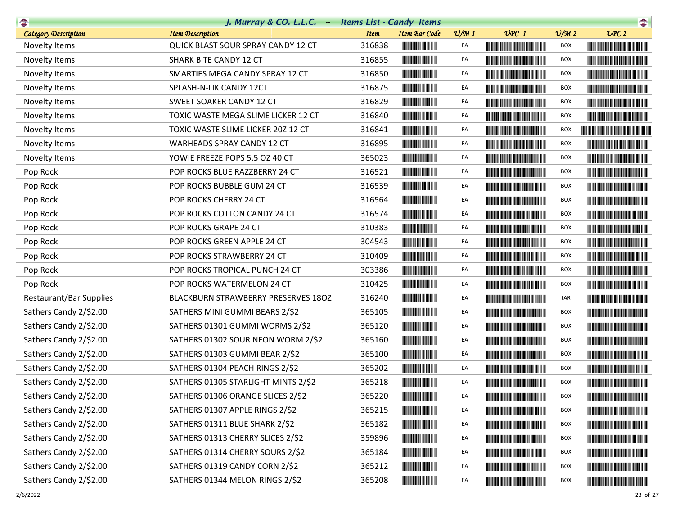| <b>Company</b>              | J. Murray & CO. L.L.C. - Items List - Candy Items |             |                                                                                                                       |                 |                                                                                                                                                                                                                                      |                             | $\begin{picture}(20,10) \put(0,0){\line(1,0){10}} \put(10,0){\line(1,0){10}} \put(10,0){\line(1,0){10}} \put(10,0){\line(1,0){10}} \put(10,0){\line(1,0){10}} \put(10,0){\line(1,0){10}} \put(10,0){\line(1,0){10}} \put(10,0){\line(1,0){10}} \put(10,0){\line(1,0){10}} \put(10,0){\line(1,0){10}} \put(10,0){\line(1,0){10}} \put(10,0){\line(1$ |
|-----------------------------|---------------------------------------------------|-------------|-----------------------------------------------------------------------------------------------------------------------|-----------------|--------------------------------------------------------------------------------------------------------------------------------------------------------------------------------------------------------------------------------------|-----------------------------|-----------------------------------------------------------------------------------------------------------------------------------------------------------------------------------------------------------------------------------------------------------------------------------------------------------------------------------------------------|
| <b>Category Description</b> | <b>Item Description</b>                           | <b>Item</b> | <b>Item Bar Code</b>                                                                                                  | $\frac{v}{M}$ 1 | $UPC$ 1                                                                                                                                                                                                                              | $\mathcal{O}/\mathcal{M}$ 2 | UPC2                                                                                                                                                                                                                                                                                                                                                |
| Novelty Items               | QUICK BLAST SOUR SPRAY CANDY 12 CT                | 316838      | <b>THE REAL PROPERTY</b>                                                                                              | EA              |                                                                                                                                                                                                                                      | BOX                         |                                                                                                                                                                                                                                                                                                                                                     |
| Novelty Items               | SHARK BITE CANDY 12 CT                            | 316855      |                                                                                                                       | EA              | <u> The Community of the Community of the Community of the Community of the Community of the Community of the Co</u>                                                                                                                 | <b>BOX</b>                  |                                                                                                                                                                                                                                                                                                                                                     |
| Novelty Items               | SMARTIES MEGA CANDY SPRAY 12 CT                   | 316850      |                                                                                                                       | EA              |                                                                                                                                                                                                                                      | <b>BOX</b>                  |                                                                                                                                                                                                                                                                                                                                                     |
| Novelty Items               | SPLASH-N-LIK CANDY 12CT                           | 316875      |                                                                                                                       | EA              | <b>The Committee of the Committee of the Committee</b>                                                                                                                                                                               | <b>BOX</b>                  |                                                                                                                                                                                                                                                                                                                                                     |
| Novelty Items               | SWEET SOAKER CANDY 12 CT                          | 316829      |                                                                                                                       | EA              |                                                                                                                                                                                                                                      | <b>BOX</b>                  |                                                                                                                                                                                                                                                                                                                                                     |
| Novelty Items               | TOXIC WASTE MEGA SLIME LICKER 12 CT               | 316840      |                                                                                                                       | EA              | <u> The Community of the Community of the Community of the Community of the Community of the Community of the Community of the Community of the Community of the Community of the Community of the Community of the Community of</u> | BOX                         |                                                                                                                                                                                                                                                                                                                                                     |
| Novelty Items               | TOXIC WASTE SLIME LICKER 20Z 12 CT                | 316841      |                                                                                                                       | EA              |                                                                                                                                                                                                                                      | <b>BOX</b>                  | <u> Harry Harry Harry Harry Harry Harry Harry Harry Harry Harry Harry Harry Harry Harry Harry Harry Harry Harry Harry Harry Harry Harry Harry Harry Harry Harry Harry Harry Harry Harry Harry Harry Harry Harry Harry Harry Harr</u>                                                                                                                |
| Novelty Items               | WARHEADS SPRAY CANDY 12 CT                        | 316895      |                                                                                                                       | EA              | <u> Harry Harry Harry Harry Harry Harry Harry Harry Harry Harry Harry Harry Harry Harry Harry Harry Harry Harry Harry Harry Harry Harry Harry Harry Harry Harry Harry Harry Harry Harry Harry Harry Harry Harry Harry Harry Harr</u> | <b>BOX</b>                  | <b>The Community of the Community</b>                                                                                                                                                                                                                                                                                                               |
| Novelty Items               | YOWIE FREEZE POPS 5.5 OZ 40 CT                    | 365023      |                                                                                                                       | EA              | <u> Harry Harry Harry Harry Harry Harry Harry Harry Harry Harry Harry Harry Harry Harry Harry Harry Harry Harry Harry Harry Harry Harry Harry Harry Harry Harry Harry Harry Harry Harry Harry Harry Harry Harry Harry Harry Harr</u> | BOX                         |                                                                                                                                                                                                                                                                                                                                                     |
| Pop Rock                    | POP ROCKS BLUE RAZZBERRY 24 CT                    | 316521      |                                                                                                                       | EA              |                                                                                                                                                                                                                                      | <b>BOX</b>                  | <b>The Community of the Community</b>                                                                                                                                                                                                                                                                                                               |
| Pop Rock                    | POP ROCKS BUBBLE GUM 24 CT                        | 316539      |                                                                                                                       | EA              | <u> Harat Barat Barat Barat Barat Barat Barat Barat Barat Barat Barat Barat Barat Barat Barat Barat Barat Barat Barat Barat Barat Barat Barat Barat Barat Barat Barat Barat Barat Barat Barat Barat Barat Barat Barat Barat Bara</u> | <b>BOX</b>                  |                                                                                                                                                                                                                                                                                                                                                     |
| Pop Rock                    | POP ROCKS CHERRY 24 CT                            | 316564      |                                                                                                                       | EA              |                                                                                                                                                                                                                                      | <b>BOX</b>                  |                                                                                                                                                                                                                                                                                                                                                     |
| Pop Rock                    | POP ROCKS COTTON CANDY 24 CT                      | 316574      | <b>The Community of the Community</b>                                                                                 | EA              | <b>The Common Section</b>                                                                                                                                                                                                            | <b>BOX</b>                  |                                                                                                                                                                                                                                                                                                                                                     |
| Pop Rock                    | POP ROCKS GRAPE 24 CT                             | 310383      |                                                                                                                       | EA              |                                                                                                                                                                                                                                      | <b>BOX</b>                  |                                                                                                                                                                                                                                                                                                                                                     |
| Pop Rock                    | POP ROCKS GREEN APPLE 24 CT                       | 304543      |                                                                                                                       | EA              |                                                                                                                                                                                                                                      | <b>BOX</b>                  |                                                                                                                                                                                                                                                                                                                                                     |
| Pop Rock                    | POP ROCKS STRAWBERRY 24 CT                        | 310409      |                                                                                                                       | EA              |                                                                                                                                                                                                                                      | <b>BOX</b>                  |                                                                                                                                                                                                                                                                                                                                                     |
| Pop Rock                    | POP ROCKS TROPICAL PUNCH 24 CT                    | 303386      |                                                                                                                       | EA              | <b>CONTRACTOR</b>                                                                                                                                                                                                                    | <b>BOX</b>                  |                                                                                                                                                                                                                                                                                                                                                     |
| Pop Rock                    | POP ROCKS WATERMELON 24 CT                        | 310425      |                                                                                                                       | EA              |                                                                                                                                                                                                                                      | <b>BOX</b>                  |                                                                                                                                                                                                                                                                                                                                                     |
| Restaurant/Bar Supplies     | BLACKBURN STRAWBERRY PRESERVES 180Z               | 316240      |                                                                                                                       | EA              |                                                                                                                                                                                                                                      | JAR                         |                                                                                                                                                                                                                                                                                                                                                     |
| Sathers Candy 2/\$2.00      | SATHERS MINI GUMMI BEARS 2/\$2                    | 365105      |                                                                                                                       | EA              |                                                                                                                                                                                                                                      | BOX                         | <b>CONTRACTOR</b>                                                                                                                                                                                                                                                                                                                                   |
| Sathers Candy 2/\$2.00      | SATHERS 01301 GUMMI WORMS 2/\$2                   | 365120      | <b>The Common Service Common</b>                                                                                      | EA              |                                                                                                                                                                                                                                      | <b>BOX</b>                  |                                                                                                                                                                                                                                                                                                                                                     |
| Sathers Candy 2/\$2.00      | SATHERS 01302 SOUR NEON WORM 2/\$2                | 365160      |                                                                                                                       | EA              |                                                                                                                                                                                                                                      | BOX                         |                                                                                                                                                                                                                                                                                                                                                     |
| Sathers Candy 2/\$2.00      | SATHERS 01303 GUMMI BEAR 2/\$2                    | 365100      |                                                                                                                       | EA              | <b>The Committee of the Committee of the Committee</b>                                                                                                                                                                               | <b>BOX</b>                  |                                                                                                                                                                                                                                                                                                                                                     |
| Sathers Candy 2/\$2.00      | SATHERS 01304 PEACH RINGS 2/\$2                   | 365202      |                                                                                                                       | EA              |                                                                                                                                                                                                                                      | BOX                         |                                                                                                                                                                                                                                                                                                                                                     |
| Sathers Candy 2/\$2.00      | SATHERS 01305 STARLIGHT MINTS 2/\$2               | 365218      |                                                                                                                       | EA              |                                                                                                                                                                                                                                      | <b>BOX</b>                  | <u> Timba ka matsayin ka matsayin ka matsayin ka matsayin ka matsayin ka matsayin ka matsayin ka matsayin ka matsayin ka matsayin ka matsayin ka matsayin ka matsayin ka matsayin ka matsayin ka matsayin ka matsayin ka matsayi</u>                                                                                                                |
| Sathers Candy 2/\$2.00      | SATHERS 01306 ORANGE SLICES 2/\$2                 | 365220      |                                                                                                                       | EA              |                                                                                                                                                                                                                                      | <b>BOX</b>                  |                                                                                                                                                                                                                                                                                                                                                     |
| Sathers Candy 2/\$2.00      | SATHERS 01307 APPLE RINGS 2/\$2                   | 365215      | <u> III de la provincia de la provincia de la provincia de la provincia de la provincia de la provincia de la pro</u> | EA              | <b>The Common Section</b>                                                                                                                                                                                                            | <b>BOX</b>                  | <b>The Committee of the Committee of the Committee</b>                                                                                                                                                                                                                                                                                              |
| Sathers Candy 2/\$2.00      | SATHERS 01311 BLUE SHARK 2/\$2                    | 365182      |                                                                                                                       | EA              |                                                                                                                                                                                                                                      | <b>BOX</b>                  |                                                                                                                                                                                                                                                                                                                                                     |
| Sathers Candy 2/\$2.00      | SATHERS 01313 CHERRY SLICES 2/\$2                 | 359896      |                                                                                                                       | EA              |                                                                                                                                                                                                                                      | BOX                         |                                                                                                                                                                                                                                                                                                                                                     |
| Sathers Candy 2/\$2.00      | SATHERS 01314 CHERRY SOURS 2/\$2                  | 365184      |                                                                                                                       | EA              |                                                                                                                                                                                                                                      | BOX                         |                                                                                                                                                                                                                                                                                                                                                     |
| Sathers Candy 2/\$2.00      | SATHERS 01319 CANDY CORN 2/\$2                    | 365212      | <b>The Community of Service</b>                                                                                       | EA              |                                                                                                                                                                                                                                      | BOX                         |                                                                                                                                                                                                                                                                                                                                                     |
| Sathers Candy 2/\$2.00      | SATHERS 01344 MELON RINGS 2/\$2                   | 365208      | <b>The Common Service Common</b>                                                                                      | EA              |                                                                                                                                                                                                                                      | BOX                         |                                                                                                                                                                                                                                                                                                                                                     |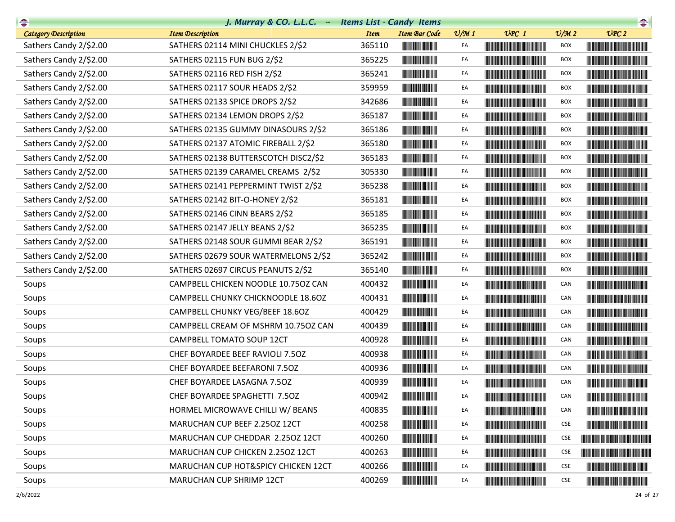| $\rightarrow$          | J. Murray & CO. L.L.C. - Items List - Candy Items |             |                                      |                 |                                                                                                                                                                                                                                      |                 | $\begin{picture}(20,10) \put(0,0){\line(1,0){10}} \put(15,0){\line(1,0){10}} \put(15,0){\line(1,0){10}} \put(15,0){\line(1,0){10}} \put(15,0){\line(1,0){10}} \put(15,0){\line(1,0){10}} \put(15,0){\line(1,0){10}} \put(15,0){\line(1,0){10}} \put(15,0){\line(1,0){10}} \put(15,0){\line(1,0){10}} \put(15,0){\line(1,0){10}} \put(15,0){\line(1$ |
|------------------------|---------------------------------------------------|-------------|--------------------------------------|-----------------|--------------------------------------------------------------------------------------------------------------------------------------------------------------------------------------------------------------------------------------|-----------------|-----------------------------------------------------------------------------------------------------------------------------------------------------------------------------------------------------------------------------------------------------------------------------------------------------------------------------------------------------|
| Category Description   | <b>Item Description</b>                           | <b>Item</b> | <b>Item Bar Code</b>                 | $\frac{v}{M}$ 1 | $UPC$ 1                                                                                                                                                                                                                              | $\frac{v}{M}$ 2 | UPC2                                                                                                                                                                                                                                                                                                                                                |
| Sathers Candy 2/\$2.00 | SATHERS 02114 MINI CHUCKLES 2/\$2                 | 365110      |                                      | EA              |                                                                                                                                                                                                                                      | <b>BOX</b>      | <u> Harry Harry Harry Harry Harry Harry Harry Harry Harry Harry Harry Harry Harry Harry Harry Harry Harry Harry Harry Harry Harry Harry Harry Harry Harry Harry Harry Harry Harry Harry Harry Harry Harry Harry Harry Harry Harr</u>                                                                                                                |
| Sathers Candy 2/\$2.00 | SATHERS 02115 FUN BUG 2/\$2                       | 365225      | <b>The Community</b>                 | EA              | <u> Liberaldo de la contrada de la con</u>                                                                                                                                                                                           | <b>BOX</b>      |                                                                                                                                                                                                                                                                                                                                                     |
| Sathers Candy 2/\$2.00 | SATHERS 02116 RED FISH 2/\$2                      | 365241      |                                      | EA              | <u> Timba ka matsayin ka matsayin ka matsayin ka matsayin ka matsayin ka matsayin ka matsayin ka matsayin ka matsayin ka matsayin ka matsayin ka matsayin ka matsayin ka matsayin ka matsayin ka matsayin ka matsayin ka matsayi</u> | <b>BOX</b>      |                                                                                                                                                                                                                                                                                                                                                     |
| Sathers Candy 2/\$2.00 | SATHERS 02117 SOUR HEADS 2/\$2                    | 359959      |                                      | EA              | <b>The Community of the Community</b>                                                                                                                                                                                                | BOX             |                                                                                                                                                                                                                                                                                                                                                     |
| Sathers Candy 2/\$2.00 | SATHERS 02133 SPICE DROPS 2/\$2                   | 342686      |                                      | EA              | <u> Indian American Indian American Indian Indian Indian Indian Indian Indian Indian Indian Indian Indian Indian Indian Indian Indian Indian Indian Indian Indian Indian Indian Indian Indian Indian Indian Indian Indian Indian</u> | <b>BOX</b>      |                                                                                                                                                                                                                                                                                                                                                     |
| Sathers Candy 2/\$2.00 | SATHERS 02134 LEMON DROPS 2/\$2                   | 365187      |                                      | EA              |                                                                                                                                                                                                                                      | <b>BOX</b>      |                                                                                                                                                                                                                                                                                                                                                     |
| Sathers Candy 2/\$2.00 | SATHERS 02135 GUMMY DINASOURS 2/\$2               | 365186      |                                      | EA              | <b>The Committee of the Committee of the Committee</b>                                                                                                                                                                               | <b>BOX</b>      | <u> Harris Harris Harris Harris Harris Harris Harris Harris Harris Harris Harris Harris Harris Harris Harris Harris Harris Harris Harris Harris Harris Harris Harris Harris Harris Harris Harris Harris Harris Harris Harris Har</u>                                                                                                                |
| Sathers Candy 2/\$2.00 | SATHERS 02137 ATOMIC FIREBALL 2/\$2               | 365180      |                                      | EA              |                                                                                                                                                                                                                                      | <b>BOX</b>      |                                                                                                                                                                                                                                                                                                                                                     |
| Sathers Candy 2/\$2.00 | SATHERS 02138 BUTTERSCOTCH DISC2/\$2              | 365183      |                                      | EA              | <u> Liberal Maria de la c</u>                                                                                                                                                                                                        | BOX             | <b>The Community of the Community</b>                                                                                                                                                                                                                                                                                                               |
| Sathers Candy 2/\$2.00 | SATHERS 02139 CARAMEL CREAMS 2/\$2                | 305330      |                                      | EA              | <u> Liberal Maria de la c</u>                                                                                                                                                                                                        | <b>BOX</b>      |                                                                                                                                                                                                                                                                                                                                                     |
| Sathers Candy 2/\$2.00 | SATHERS 02141 PEPPERMINT TWIST 2/\$2              | 365238      |                                      | EA              |                                                                                                                                                                                                                                      | <b>BOX</b>      | <u> Handi ka ka matsayin ka shekara ta shekara ta 1999 ta 1999 ta 1999 ta 1999 ta 1999 ta 1999 ta 1999 ta 1999 ta 1999 ta 1999 ta 1999 ta 1999 ta 1999 ta 1999 ta 1999 ta 1999 ta 1999 ta 1999 ta 1999 ta 1999 ta 1999 ta 1999 t</u>                                                                                                                |
| Sathers Candy 2/\$2.00 | SATHERS 02142 BIT-O-HONEY 2/\$2                   | 365181      |                                      | EA              | <u> Tanzania de la provincia del control de la provincia del control de la provincia del control de la provincia </u>                                                                                                                | BOX             |                                                                                                                                                                                                                                                                                                                                                     |
| Sathers Candy 2/\$2.00 | SATHERS 02146 CINN BEARS 2/\$2                    | 365185      |                                      | EA              |                                                                                                                                                                                                                                      | <b>BOX</b>      |                                                                                                                                                                                                                                                                                                                                                     |
| Sathers Candy 2/\$2.00 | SATHERS 02147 JELLY BEANS 2/\$2                   | 365235      |                                      | EA              | <u> The Community of the Community of the Community of the Community of the Community of the Community of the Community of the Community of the Community of the Community of the Community of the Community of the Community of</u> | <b>BOX</b>      |                                                                                                                                                                                                                                                                                                                                                     |
| Sathers Candy 2/\$2.00 | SATHERS 02148 SOUR GUMMI BEAR 2/\$2               | 365191      |                                      | EA              | <u> Harry Harry Harry Harry Harry Harry Harry Harry Harry Harry Harry Harry Harry Harry Harry Harry Harry Harry Harry Harry Harry Harry Harry Harry Harry Harry Harry Harry Harry Harry Harry Harry Harry Harry Harry Harry Harr</u> | <b>BOX</b>      | <u> Harris Harris Harris Harris Harris Harris Harris Harris Harris Harris Harris Harris Harris Harris Harris Harris Harris Harris Harris Harris Harris Harris Harris Harris Harris Harris Harris Harris Harris Harris Harris Har</u>                                                                                                                |
| Sathers Candy 2/\$2.00 | SATHERS 02679 SOUR WATERMELONS 2/\$2              | 365242      |                                      | EA              | <u> III de la provincia del control del c</u>                                                                                                                                                                                        | BOX             |                                                                                                                                                                                                                                                                                                                                                     |
| Sathers Candy 2/\$2.00 | SATHERS 02697 CIRCUS PEANUTS 2/\$2                | 365140      |                                      | EA              | <u> Liberal Maria Maria Ma</u>                                                                                                                                                                                                       | <b>BOX</b>      | <u> Harry Harry Harry Harry Harry Harry Harry Harry Harry Harry Harry Harry Harry Harry Harry Harry Harry Harry Harry Harry Harry Harry Harry Harry Harry Harry Harry Harry Harry Harry Harry Harry Harry Harry Harry Harry Harr</u>                                                                                                                |
| Soups                  | CAMPBELL CHICKEN NOODLE 10.750Z CAN               | 400432      |                                      | EA              |                                                                                                                                                                                                                                      | CAN             | <u> Liberal Maria Maria Maria Maria Maria Maria Maria Maria Maria Maria Maria Maria Maria Maria Maria Maria Maria </u>                                                                                                                                                                                                                              |
| Soups                  | CAMPBELL CHUNKY CHICKNOODLE 18.6OZ                | 400431      |                                      | EA              |                                                                                                                                                                                                                                      | CAN             |                                                                                                                                                                                                                                                                                                                                                     |
| Soups                  | CAMPBELL CHUNKY VEG/BEEF 18.6OZ                   | 400429      |                                      | EA              | <u> Timba ka masa sa kasang sa mga kalendari ng mga kasang ng mga kalendari ng mga kasang ng mga kasang ng mga kasang ng mga kasang ng mga kasang ng mga kasang ng mga kasang ng mga kasang ng mga kasang ng mga kasang ng mga k</u> | CAN             | <u> Harry Harry Harry Harry Harry Harry Harry Harry Harry Harry Harry Harry Harry Harry Harry Harry Harry Harry Harry Harry Harry Harry Harry Harry Harry Harry Harry Harry Harry Harry Harry Harry Harry Harry Harry Harry Harr</u>                                                                                                                |
| Soups                  | CAMPBELL CREAM OF MSHRM 10.750Z CAN               | 400439      | <u> III de la contrada de la con</u> | EA              |                                                                                                                                                                                                                                      | CAN             |                                                                                                                                                                                                                                                                                                                                                     |
| Soups                  | CAMPBELL TOMATO SOUP 12CT                         | 400928      |                                      | EA              |                                                                                                                                                                                                                                      | CAN             |                                                                                                                                                                                                                                                                                                                                                     |
| Soups                  | CHEF BOYARDEE BEEF RAVIOLI 7.50Z                  | 400938      |                                      | EA              | <u> III de la contrada de la contrada de la con</u>                                                                                                                                                                                  | CAN             |                                                                                                                                                                                                                                                                                                                                                     |
| Soups                  | CHEF BOYARDEE BEEFARONI 7.50Z                     | 400936      |                                      | EA              |                                                                                                                                                                                                                                      | CAN             | <b>The Community of the Community</b>                                                                                                                                                                                                                                                                                                               |
| Soups                  | CHEF BOYARDEE LASAGNA 7.5OZ                       | 400939      | <u> III de la contrada de la con</u> | EA              |                                                                                                                                                                                                                                      | CAN             | <u> Linda ka ka matsayin ka sa</u>                                                                                                                                                                                                                                                                                                                  |
| Soups                  | CHEF BOYARDEE SPAGHETTI 7.50Z                     | 400942      |                                      | EA              |                                                                                                                                                                                                                                      | CAN             |                                                                                                                                                                                                                                                                                                                                                     |
| Soups                  | HORMEL MICROWAVE CHILLI W/ BEANS                  | 400835      |                                      | EA              | <u> The Community of the Community of the Community of the Community of the Community of the Community of the Community of the Community of the Community of the Community of the Community of the Community of the Community of</u> | CAN             |                                                                                                                                                                                                                                                                                                                                                     |
| Soups                  | MARUCHAN CUP BEEF 2.250Z 12CT                     | 400258      |                                      | EA              |                                                                                                                                                                                                                                      | <b>CSE</b>      |                                                                                                                                                                                                                                                                                                                                                     |
| Soups                  | MARUCHAN CUP CHEDDAR 2.250Z 12CT                  | 400260      |                                      | EA              | <u> Liberal Maria de la contrada de la con</u>                                                                                                                                                                                       | <b>CSE</b>      | <u> Linda ka ka matsayin ka sanadi na katalog asl na katalog asl na katalog asl na katalog asl na katalog asl na katalog asl na katalog asl na katalog asl na katalog asl na katalog asl na katalog asl na katalog asl na katalo</u>                                                                                                                |
| Soups                  | MARUCHAN CUP CHICKEN 2.250Z 12CT                  | 400263      |                                      | EA              | <u> Harry Harry Harry Harry Harry Harry Harry Harry Harry Harry Harry Harry Harry Harry Harry Harry Harry Harry Harry Harry Harry Harry Harry Harry Harry Harry Harry Harry Harry Harry Harry Harry Harry Harry Harry Harry Harr</u> | <b>CSE</b>      | <u> Liberal Maria Maria Maria Maria Maria Maria Maria Maria Maria Maria Maria Maria Maria Maria Maria Maria Maria </u>                                                                                                                                                                                                                              |
| Soups                  | MARUCHAN CUP HOT&SPICY CHICKEN 12CT               | 400266      |                                      | EA              | <u> Liberal Maria Maria Maria Maria Maria Maria Maria Maria Maria Maria Maria Maria Maria Maria Maria Maria Maria </u>                                                                                                               | <b>CSE</b>      |                                                                                                                                                                                                                                                                                                                                                     |
| Soups                  | MARUCHAN CUP SHRIMP 12CT                          | 400269      |                                      | EA              |                                                                                                                                                                                                                                      | <b>CSE</b>      | <u> Linda ka ka matsayin ka sanadi na ka</u>                                                                                                                                                                                                                                                                                                        |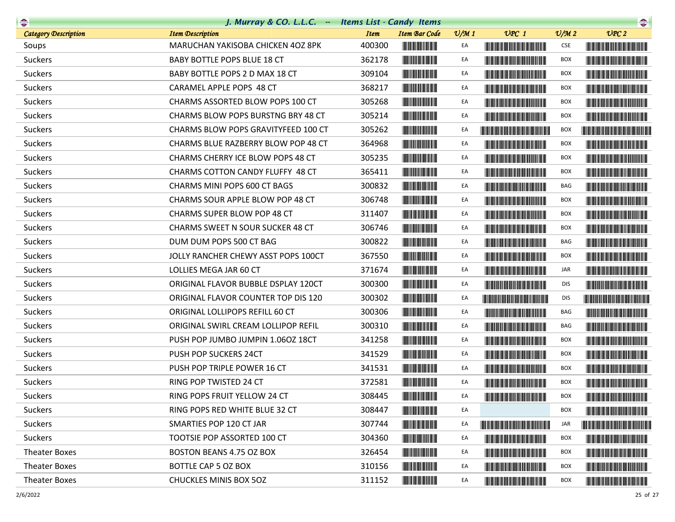|                             | J. Murray & CO. L.L.C. Items List - Candy Items |             |                                                        |                 |                                                                                                                                                                                                                                      |                             | $\begin{picture}(20,10) \put(0,0){\line(1,0){10}} \put(0,0){\line(1,0){10}} \put(0,0){\line(1,0){10}} \put(0,0){\line(1,0){10}} \put(0,0){\line(1,0){10}} \put(0,0){\line(1,0){10}} \put(0,0){\line(1,0){10}} \put(0,0){\line(1,0){10}} \put(0,0){\line(1,0){10}} \put(0,0){\line(1,0){10}} \put(0,0){\line(1,0){10}} \put(0,0){\line(1,0){10}} \put(0,$ |
|-----------------------------|-------------------------------------------------|-------------|--------------------------------------------------------|-----------------|--------------------------------------------------------------------------------------------------------------------------------------------------------------------------------------------------------------------------------------|-----------------------------|----------------------------------------------------------------------------------------------------------------------------------------------------------------------------------------------------------------------------------------------------------------------------------------------------------------------------------------------------------|
| <b>Category Description</b> | <b>Item Description</b>                         | <b>Item</b> | <b>Item Bar Code</b>                                   | $\frac{v}{M}$ 1 | $UPC$ 1                                                                                                                                                                                                                              | $\mathcal{O}/\mathcal{M}$ 2 | UPC2                                                                                                                                                                                                                                                                                                                                                     |
| Soups                       | MARUCHAN YAKISOBA CHICKEN 40Z 8PK               | 400300      |                                                        | EA              |                                                                                                                                                                                                                                      | <b>CSE</b>                  | <u> Linda ka masa sa kasang mga ka</u>                                                                                                                                                                                                                                                                                                                   |
| Suckers                     | BABY BOTTLE POPS BLUE 18 CT                     | 362178      | <b>The Committee of the Committee</b>                  | EA              | <b>The Committee of the Committee of the Committee</b>                                                                                                                                                                               | <b>BOX</b>                  | <b>The Community of the Community</b>                                                                                                                                                                                                                                                                                                                    |
| Suckers                     | BABY BOTTLE POPS 2 D MAX 18 CT                  | 309104      |                                                        | EA              |                                                                                                                                                                                                                                      | BOX                         |                                                                                                                                                                                                                                                                                                                                                          |
| <b>Suckers</b>              | CARAMEL APPLE POPS 48 CT                        | 368217      |                                                        | EA              | <b>The Committee of the Committee of the Committee</b>                                                                                                                                                                               | BOX                         |                                                                                                                                                                                                                                                                                                                                                          |
| Suckers                     | CHARMS ASSORTED BLOW POPS 100 CT                | 305268      |                                                        | EA              | <b>The Common Section 1999</b>                                                                                                                                                                                                       | <b>BOX</b>                  |                                                                                                                                                                                                                                                                                                                                                          |
| Suckers                     | <b>CHARMS BLOW POPS BURSTNG BRY 48 CT</b>       | 305214      | <b>The Common Service</b>                              | EA              | <b>The Community of the Community</b>                                                                                                                                                                                                | BOX                         |                                                                                                                                                                                                                                                                                                                                                          |
| Suckers                     | CHARMS BLOW POPS GRAVITYFEED 100 CT             | 305262      |                                                        | EA              | <u> Liberal Maria de la contrada de la contrada de la contrada de la contrada de la contrada de la con</u>                                                                                                                           | BOX                         | <u> Harat Barat Barat Barat Barat Barat Barat Barat Barat Barat Barat Barat Barat Barat Barat Barat Barat Barat Ba</u>                                                                                                                                                                                                                                   |
| Suckers                     | CHARMS BLUE RAZBERRY BLOW POP 48 CT             | 364968      |                                                        | EA              |                                                                                                                                                                                                                                      | BOX                         | <b>The Committee of the Committee of the Committee of the Committee</b>                                                                                                                                                                                                                                                                                  |
| Suckers                     | CHARMS CHERRY ICE BLOW POPS 48 CT               | 305235      |                                                        | EA              | <b>The Committee of the Committee of the Committee</b>                                                                                                                                                                               | BOX                         |                                                                                                                                                                                                                                                                                                                                                          |
| Suckers                     | CHARMS COTTON CANDY FLUFFY 48 CT                | 365411      |                                                        | EA              |                                                                                                                                                                                                                                      | BOX                         |                                                                                                                                                                                                                                                                                                                                                          |
| Suckers                     | CHARMS MINI POPS 600 CT BAGS                    | 300832      |                                                        | EA              | <u> Harry Harry Harry Harry Harry Harry Harry Harry Harry Harry Harry Harry Harry Harry Harry Harry Harry Harry Harry Harry Harry Harry Harry Harry Harry Harry Harry Harry Harry Harry Harry Harry Harry Harry Harry Harry Harr</u> | BAG                         |                                                                                                                                                                                                                                                                                                                                                          |
| Suckers                     | CHARMS SOUR APPLE BLOW POP 48 CT                | 306748      |                                                        | EA              | <b>The Common Section</b>                                                                                                                                                                                                            | BOX                         |                                                                                                                                                                                                                                                                                                                                                          |
| Suckers                     | <b>CHARMS SUPER BLOW POP 48 CT</b>              | 311407      | <b>The Committee of the Committee of the Committee</b> | EA              | <b>The Common Section Common Section</b>                                                                                                                                                                                             | BOX                         |                                                                                                                                                                                                                                                                                                                                                          |
| Suckers                     | CHARMS SWEET N SOUR SUCKER 48 CT                | 306746      | <b>CONTRACTOR</b>                                      | EA              | <u> Timber de la provincia de la provincia de la provincia de la provincia de la provincia de la provincia de la </u>                                                                                                                | BOX                         |                                                                                                                                                                                                                                                                                                                                                          |
| Suckers                     | DUM DUM POPS 500 CT BAG                         | 300822      |                                                        | EA              |                                                                                                                                                                                                                                      | BAG                         |                                                                                                                                                                                                                                                                                                                                                          |
| Suckers                     | JOLLY RANCHER CHEWY ASST POPS 100CT             | 367550      |                                                        | EA              |                                                                                                                                                                                                                                      | BOX                         |                                                                                                                                                                                                                                                                                                                                                          |
| Suckers                     | LOLLIES MEGA JAR 60 CT                          | 371674      | <b>The Committee of the Committee</b>                  | EA              | <u> Harry Harry Harry Harry Harry Harry Harry Harry Harry Harry Harry Harry Harry Harry Harry Harry Harry Harry Harry Harry Harry Harry Harry Harry Harry Harry Harry Harry Harry Harry Harry Harry Harry Harry Harry Harry Harr</u> | JAR                         |                                                                                                                                                                                                                                                                                                                                                          |
| <b>Suckers</b>              | ORIGINAL FLAVOR BUBBLE DSPLAY 120CT             | 300300      | <b>CONTRACTOR</b>                                      | EA              |                                                                                                                                                                                                                                      | <b>DIS</b>                  |                                                                                                                                                                                                                                                                                                                                                          |
| <b>Suckers</b>              | ORIGINAL FLAVOR COUNTER TOP DIS 120             | 300302      |                                                        | EA              |                                                                                                                                                                                                                                      | <b>DIS</b>                  |                                                                                                                                                                                                                                                                                                                                                          |
| <b>Suckers</b>              | ORIGINAL LOLLIPOPS REFILL 60 CT                 | 300306      | <b>CONTRACTOR</b>                                      | EA              |                                                                                                                                                                                                                                      | BAG                         | <b>CONTRACTOR</b>                                                                                                                                                                                                                                                                                                                                        |
| Suckers                     | ORIGINAL SWIRL CREAM LOLLIPOP REFIL             | 300310      | <b>CONTRACTOR</b>                                      | EA              |                                                                                                                                                                                                                                      | BAG                         |                                                                                                                                                                                                                                                                                                                                                          |
| <b>Suckers</b>              | PUSH POP JUMBO JUMPIN 1.060Z 18CT               | 341258      |                                                        | EA              |                                                                                                                                                                                                                                      | BOX                         |                                                                                                                                                                                                                                                                                                                                                          |
| Suckers                     | PUSH POP SUCKERS 24CT                           | 341529      |                                                        | EA              | <b>The Community of the Community</b>                                                                                                                                                                                                | BOX                         | <u> Harry Harry Harry Harry Harry Harry Harry Harry Harry Harry Harry Harry Harry Harry Harry Harry Harry Harry Harry Harry Harry Harry Harry Harry Harry Harry Harry Harry Harry Harry Harry Harry Harry Harry Harry Harry Harr</u>                                                                                                                     |
| Suckers                     | PUSH POP TRIPLE POWER 16 CT                     | 341531      |                                                        | EA              |                                                                                                                                                                                                                                      | BOX                         |                                                                                                                                                                                                                                                                                                                                                          |
| Suckers                     | RING POP TWISTED 24 CT                          | 372581      |                                                        | EA              |                                                                                                                                                                                                                                      | <b>BOX</b>                  |                                                                                                                                                                                                                                                                                                                                                          |
| Suckers                     | RING POPS FRUIT YELLOW 24 CT                    | 308445      | <b>THE REAL PROPERTY</b>                               | EA              |                                                                                                                                                                                                                                      | <b>BOX</b>                  |                                                                                                                                                                                                                                                                                                                                                          |
| Suckers                     | RING POPS RED WHITE BLUE 32 CT                  | 308447      |                                                        | EA              |                                                                                                                                                                                                                                      | <b>BOX</b>                  | <b>The Community of Community</b>                                                                                                                                                                                                                                                                                                                        |
| Suckers                     | SMARTIES POP 120 CT JAR                         | 307744      |                                                        | EA              | <u> The Community of the Community of the Community of the Community of the Community of the Community of the Community of the Community of the Community of the Community of the Community of the Community of the Community of</u> | JAR                         | <u> Liberaldo de la contrada de la con</u>                                                                                                                                                                                                                                                                                                               |
| Suckers                     | TOOTSIE POP ASSORTED 100 CT                     | 304360      | <b>CONTRACTOR</b>                                      | EA              | <u> Timba ka matsayin ka matsayin ka matsayin ka matsayin ka matsayin ka matsayin ka matsayin ka matsayin ka matsayin ka matsayin ka matsayin ka matsayin ka matsayin ka matsayin ka matsayin ka matsayin ka matsayin ka matsayi</u> | BOX                         | <u> HII DI BILININ DI BILININ DI BILININ DI BILININ DI BILININ DI BILININ DI BILININ DI BILININ DI BILININ DI BI</u>                                                                                                                                                                                                                                     |
| Theater Boxes               | <b>BOSTON BEANS 4.75 OZ BOX</b>                 | 326454      |                                                        | EA              | <u> Timba ka matsayin ka matsayin ka matsayin ka matsayin ka matsayin ka matsayin ka matsayin ka matsayin ka matsayin ka matsayin ka matsayin ka matsayin ka matsayin ka matsayin ka matsayin ka matsayin ka matsayin ka matsayi</u> | <b>BOX</b>                  | <b>The Community of the Community</b>                                                                                                                                                                                                                                                                                                                    |
| Theater Boxes               | BOTTLE CAP 5 OZ BOX                             | 310156      | <b>The Committee of the Committee of the Committee</b> | EA              | <u> The Community of the Community of the Community of the Community of the Community of the Community of the Community of the Community of the Community of the Community of the Community of the Community of the Community of</u> | BOX                         | <u> Hill in de la Bibliothe de la Bibliothe de la Bibliothe de la Bibliothe de la Bibliothe de la Bibliothe de l</u>                                                                                                                                                                                                                                     |
| Theater Boxes               | <b>CHUCKLES MINIS BOX 50Z</b>                   | 311152      |                                                        | EA              |                                                                                                                                                                                                                                      | BOX                         | <u> III di kacamatan Indonesia Ka</u>                                                                                                                                                                                                                                                                                                                    |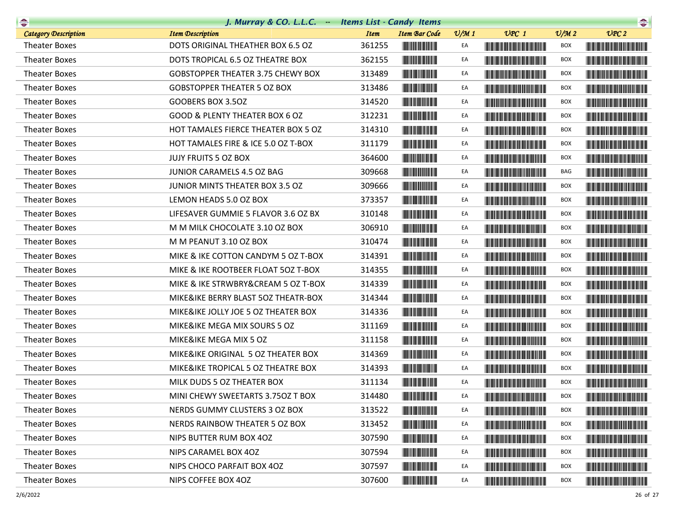| $\begin{picture}(20,10) \put(0,0){\line(1,0){10}} \put(10,0){\line(1,0){10}} \put(10,0){\line(1,0){10}} \put(10,0){\line(1,0){10}} \put(10,0){\line(1,0){10}} \put(10,0){\line(1,0){10}} \put(10,0){\line(1,0){10}} \put(10,0){\line(1,0){10}} \put(10,0){\line(1,0){10}} \put(10,0){\line(1,0){10}} \put(10,0){\line(1,0){10}} \put(10,0){\line(1$ | J. Murray & CO. L.L.C. Items List - Candy Items |             |                                                        |                 |                                                                                                                                                                                                                                      |                             | $\begin{picture}(20,10) \put(0,0){\line(1,0){10}} \put(0,0){\line(1,0){10}} \put(0,0){\line(1,0){10}} \put(0,0){\line(1,0){10}} \put(0,0){\line(1,0){10}} \put(0,0){\line(1,0){10}} \put(0,0){\line(1,0){10}} \put(0,0){\line(1,0){10}} \put(0,0){\line(1,0){10}} \put(0,0){\line(1,0){10}} \put(0,0){\line(1,0){10}} \put(0,0){\line(1,0){10}} \put(0,$ |
|-----------------------------------------------------------------------------------------------------------------------------------------------------------------------------------------------------------------------------------------------------------------------------------------------------------------------------------------------------|-------------------------------------------------|-------------|--------------------------------------------------------|-----------------|--------------------------------------------------------------------------------------------------------------------------------------------------------------------------------------------------------------------------------------|-----------------------------|----------------------------------------------------------------------------------------------------------------------------------------------------------------------------------------------------------------------------------------------------------------------------------------------------------------------------------------------------------|
| <b>Category Description</b>                                                                                                                                                                                                                                                                                                                         | <b>Item Description</b>                         | <b>Item</b> | Item Bar Code                                          | $\frac{v}{M}$ 1 | $UPC$ 1                                                                                                                                                                                                                              | $\mathcal{O}/\mathcal{M}$ 2 | UPC2                                                                                                                                                                                                                                                                                                                                                     |
| <b>Theater Boxes</b>                                                                                                                                                                                                                                                                                                                                | DOTS ORIGINAL THEATHER BOX 6.5 OZ               | 361255      |                                                        | EA              |                                                                                                                                                                                                                                      | BOX                         |                                                                                                                                                                                                                                                                                                                                                          |
| <b>Theater Boxes</b>                                                                                                                                                                                                                                                                                                                                | DOTS TROPICAL 6.5 OZ THEATRE BOX                | 362155      |                                                        | EA              |                                                                                                                                                                                                                                      | BOX                         |                                                                                                                                                                                                                                                                                                                                                          |
| <b>Theater Boxes</b>                                                                                                                                                                                                                                                                                                                                | <b>GOBSTOPPER THEATER 3.75 CHEWY BOX</b>        | 313489      |                                                        | EA              |                                                                                                                                                                                                                                      | <b>BOX</b>                  |                                                                                                                                                                                                                                                                                                                                                          |
| <b>Theater Boxes</b>                                                                                                                                                                                                                                                                                                                                | <b>GOBSTOPPER THEATER 5 OZ BOX</b>              | 313486      |                                                        | EA              | <u> Linda ka ka matsayin ka sanadi na sa</u>                                                                                                                                                                                         | <b>BOX</b>                  |                                                                                                                                                                                                                                                                                                                                                          |
| <b>Theater Boxes</b>                                                                                                                                                                                                                                                                                                                                | GOOBERS BOX 3.5OZ                               | 314520      |                                                        | EA              |                                                                                                                                                                                                                                      | <b>BOX</b>                  |                                                                                                                                                                                                                                                                                                                                                          |
| <b>Theater Boxes</b>                                                                                                                                                                                                                                                                                                                                | GOOD & PLENTY THEATER BOX 6 OZ                  | 312231      |                                                        | EA              |                                                                                                                                                                                                                                      | BOX                         | <u> Liberal Barbara (Barbara) </u>                                                                                                                                                                                                                                                                                                                       |
| <b>Theater Boxes</b>                                                                                                                                                                                                                                                                                                                                | HOT TAMALES FIERCE THEATER BOX 5 OZ             | 314310      |                                                        | EA              |                                                                                                                                                                                                                                      | <b>BOX</b>                  | <u> Handi ka kasa sa masa sa kasa</u>                                                                                                                                                                                                                                                                                                                    |
| <b>Theater Boxes</b>                                                                                                                                                                                                                                                                                                                                | HOT TAMALES FIRE & ICE 5.0 OZ T-BOX             | 311179      |                                                        | EA              |                                                                                                                                                                                                                                      | <b>BOX</b>                  |                                                                                                                                                                                                                                                                                                                                                          |
| <b>Theater Boxes</b>                                                                                                                                                                                                                                                                                                                                | JUJY FRUITS 5 OZ BOX                            | 364600      |                                                        | EA              |                                                                                                                                                                                                                                      | <b>BOX</b>                  |                                                                                                                                                                                                                                                                                                                                                          |
| <b>Theater Boxes</b>                                                                                                                                                                                                                                                                                                                                | JUNIOR CARAMELS 4.5 OZ BAG                      | 309668      |                                                        | EA              |                                                                                                                                                                                                                                      | BAG                         |                                                                                                                                                                                                                                                                                                                                                          |
| <b>Theater Boxes</b>                                                                                                                                                                                                                                                                                                                                | JUNIOR MINTS THEATER BOX 3.5 OZ                 | 309666      |                                                        | EA              |                                                                                                                                                                                                                                      | <b>BOX</b>                  |                                                                                                                                                                                                                                                                                                                                                          |
| <b>Theater Boxes</b>                                                                                                                                                                                                                                                                                                                                | LEMON HEADS 5.0 OZ BOX                          | 373357      |                                                        | EA              |                                                                                                                                                                                                                                      | <b>BOX</b>                  |                                                                                                                                                                                                                                                                                                                                                          |
| <b>Theater Boxes</b>                                                                                                                                                                                                                                                                                                                                | LIFESAVER GUMMIE 5 FLAVOR 3.6 OZ BX             | 310148      | <b>The Committee of the Committee</b>                  | EA              |                                                                                                                                                                                                                                      | BOX                         | <u> Handi ka kasa masa sa m</u>                                                                                                                                                                                                                                                                                                                          |
| <b>Theater Boxes</b>                                                                                                                                                                                                                                                                                                                                | M M MILK CHOCOLATE 3.10 OZ BOX                  | 306910      | <u> Hillian Maria A</u>                                | EA              |                                                                                                                                                                                                                                      | BOX                         |                                                                                                                                                                                                                                                                                                                                                          |
| <b>Theater Boxes</b>                                                                                                                                                                                                                                                                                                                                | M M PEANUT 3.10 OZ BOX                          | 310474      |                                                        | EA              |                                                                                                                                                                                                                                      | <b>BOX</b>                  |                                                                                                                                                                                                                                                                                                                                                          |
| <b>Theater Boxes</b>                                                                                                                                                                                                                                                                                                                                | MIKE & IKE COTTON CANDYM 5 OZ T-BOX             | 314391      |                                                        | EA              |                                                                                                                                                                                                                                      | <b>BOX</b>                  | <b>The Community of the Community</b>                                                                                                                                                                                                                                                                                                                    |
| <b>Theater Boxes</b>                                                                                                                                                                                                                                                                                                                                | MIKE & IKE ROOTBEER FLOAT 50Z T-BOX             | 314355      |                                                        | EA              |                                                                                                                                                                                                                                      | BOX                         |                                                                                                                                                                                                                                                                                                                                                          |
| <b>Theater Boxes</b>                                                                                                                                                                                                                                                                                                                                | MIKE & IKE STRWBRY&CREAM 5 OZ T-BOX             | 314339      |                                                        | EA              |                                                                                                                                                                                                                                      | <b>BOX</b>                  |                                                                                                                                                                                                                                                                                                                                                          |
| <b>Theater Boxes</b>                                                                                                                                                                                                                                                                                                                                | MIKE&IKE BERRY BLAST 50Z THEATR-BOX             | 314344      |                                                        | EA              |                                                                                                                                                                                                                                      | <b>BOX</b>                  |                                                                                                                                                                                                                                                                                                                                                          |
| <b>Theater Boxes</b>                                                                                                                                                                                                                                                                                                                                | MIKE&IKE JOLLY JOE 5 OZ THEATER BOX             | 314336      |                                                        | EA              | <b>The Community of the Community</b>                                                                                                                                                                                                | <b>BOX</b>                  |                                                                                                                                                                                                                                                                                                                                                          |
| <b>Theater Boxes</b>                                                                                                                                                                                                                                                                                                                                | MIKE&IKE MEGA MIX SOURS 5 OZ                    | 311169      |                                                        | EA              |                                                                                                                                                                                                                                      | BOX                         |                                                                                                                                                                                                                                                                                                                                                          |
| <b>Theater Boxes</b>                                                                                                                                                                                                                                                                                                                                | MIKE&IKE MEGA MIX 5 OZ                          | 311158      |                                                        | EA              |                                                                                                                                                                                                                                      | BOX                         |                                                                                                                                                                                                                                                                                                                                                          |
| <b>Theater Boxes</b>                                                                                                                                                                                                                                                                                                                                | MIKE&IKE ORIGINAL 5 OZ THEATER BOX              | 314369      |                                                        | EA              | <u> Timba ka matsayin ka matsayin ka matsayin ka matsayin ka matsayin ka matsayin ka matsayin ka matsayin ka matsayin ka matsayin ka matsayin ka matsayin ka matsayin ka matsayin ka matsayin ka matsayin ka matsayin ka matsayi</u> | <b>BOX</b>                  |                                                                                                                                                                                                                                                                                                                                                          |
| <b>Theater Boxes</b>                                                                                                                                                                                                                                                                                                                                | MIKE&IKE TROPICAL 5 OZ THEATRE BOX              | 314393      | <b>The Committee of the Committee</b>                  | EA              |                                                                                                                                                                                                                                      | BOX                         |                                                                                                                                                                                                                                                                                                                                                          |
| <b>Theater Boxes</b>                                                                                                                                                                                                                                                                                                                                | MILK DUDS 5 OZ THEATER BOX                      | 311134      |                                                        | EA              |                                                                                                                                                                                                                                      | BOX                         |                                                                                                                                                                                                                                                                                                                                                          |
| <b>Theater Boxes</b>                                                                                                                                                                                                                                                                                                                                | MINI CHEWY SWEETARTS 3.750Z T BOX               | 314480      | <b>THE REAL PROPERTY</b>                               | EA              |                                                                                                                                                                                                                                      | <b>BOX</b>                  |                                                                                                                                                                                                                                                                                                                                                          |
| <b>Theater Boxes</b>                                                                                                                                                                                                                                                                                                                                | NERDS GUMMY CLUSTERS 3 OZ BOX                   | 313522      |                                                        | EA              | <u> Tanzania (h. 1888).</u>                                                                                                                                                                                                          | BOX                         |                                                                                                                                                                                                                                                                                                                                                          |
| <b>Theater Boxes</b>                                                                                                                                                                                                                                                                                                                                | NERDS RAINBOW THEATER 5 OZ BOX                  | 313452      |                                                        | EA              | <u> Die Berger von Die Berger von Die Berger von Die Berger von Die Berger von Die Berger von Die Berger von Die B</u>                                                                                                               | BOX                         |                                                                                                                                                                                                                                                                                                                                                          |
| <b>Theater Boxes</b>                                                                                                                                                                                                                                                                                                                                | NIPS BUTTER RUM BOX 4OZ                         | 307590      | <b>The Committee of the Committee of the Committee</b> | EA              | <u> Tanzania (1989)</u>                                                                                                                                                                                                              | <b>BOX</b>                  | <u> Tanzania (Barat III) di Barat III di Barat III di Barat III di Barat III di Barat III di Barat III di Barat III di Barat III di Barat III di Barat III di Barat III di Barat III di Barat III di Barat III di Barat III di B</u>                                                                                                                     |
| <b>Theater Boxes</b>                                                                                                                                                                                                                                                                                                                                | NIPS CARAMEL BOX 4OZ                            | 307594      |                                                        | EA              | <u> Tanzania de la provincia de la provincia de la provincia de la provincia de la provincia de la provincia de</u>                                                                                                                  | <b>BOX</b>                  | <u> Timba ka masa sa kasang mga kalendari ng mga kasang mga kalendari ng mga kasang mga kasang mga kasang mga kasang mga kasang mga kasang mga kasang mga kasang mga kasang mga kasang mga kasang mga kasang mga kasang mga kasa</u>                                                                                                                     |
| <b>Theater Boxes</b>                                                                                                                                                                                                                                                                                                                                | NIPS CHOCO PARFAIT BOX 4OZ                      | 307597      | <u> Herbert Herbert in der </u>                        | EA              | <u> Liberal Maria Maria San Barat III a Shekara ta 1989 da kasar Ing Barat III a shekara ta 1989 da kasar Ing Barat Ing Barat Ing Barat Ing Barat Ing Barat Ing Barat Ing Barat Ing Barat Ing Barat Ing Barat Ing Barat Ing Bara</u> | <b>BOX</b>                  | <b>The Community of the Community</b>                                                                                                                                                                                                                                                                                                                    |
| <b>Theater Boxes</b>                                                                                                                                                                                                                                                                                                                                | NIPS COFFEE BOX 4OZ                             | 307600      |                                                        | EA              |                                                                                                                                                                                                                                      | <b>BOX</b>                  | <b>The Committee of the Committee of the Committee</b>                                                                                                                                                                                                                                                                                                   |